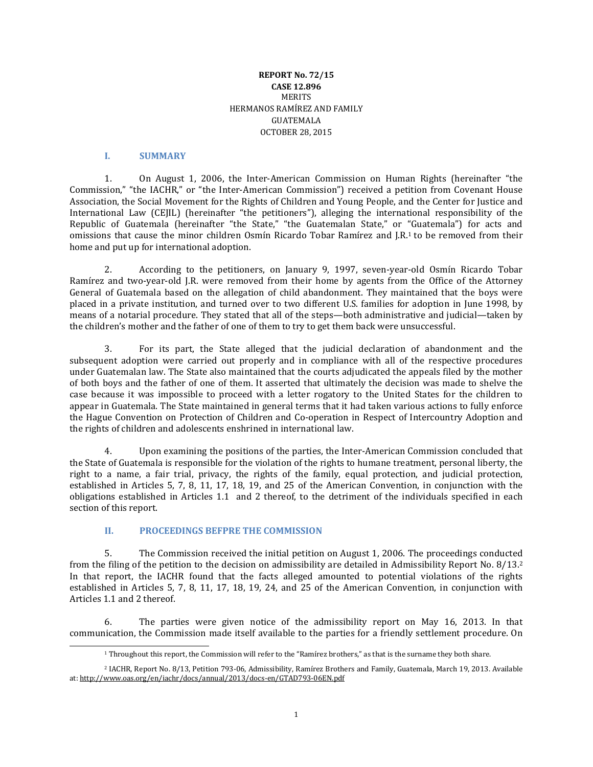## **REPORT No. 72/15 CASE 12.896** MERITS HERMANOS RAMÍREZ AND FAMILY GUATEMALA OCTOBER 28, 2015

#### **I. SUMMARY**

1. On August 1, 2006, the Inter-American Commission on Human Rights (hereinafter "the Commission," "the IACHR," or "the Inter-American Commission") received a petition from Covenant House Association, the Social Movement for the Rights of Children and Young People, and the Center for Justice and International Law (CEJIL) (hereinafter "the petitioners"), alleging the international responsibility of the Republic of Guatemala (hereinafter "the State," "the Guatemalan State," or "Guatemala") for acts and omissions that cause the minor children Osmín Ricardo Tobar Ramírez and J.R.<sup>1</sup> to be removed from their home and put up for international adoption.

2. According to the petitioners, on January 9, 1997, seven-year-old Osmín Ricardo Tobar Ramírez and two-year-old J.R. were removed from their home by agents from the Office of the Attorney General of Guatemala based on the allegation of child abandonment. They maintained that the boys were placed in a private institution, and turned over to two different U.S. families for adoption in June 1998, by means of a notarial procedure. They stated that all of the steps—both administrative and judicial—taken by the children's mother and the father of one of them to try to get them back were unsuccessful.

3. For its part, the State alleged that the judicial declaration of abandonment and the subsequent adoption were carried out properly and in compliance with all of the respective procedures under Guatemalan law. The State also maintained that the courts adjudicated the appeals filed by the mother of both boys and the father of one of them. It asserted that ultimately the decision was made to shelve the case because it was impossible to proceed with a letter rogatory to the United States for the children to appear in Guatemala. The State maintained in general terms that it had taken various actions to fully enforce the Hague Convention on Protection of Children and Co-operation in Respect of Intercountry Adoption and the rights of children and adolescents enshrined in international law.

4. Upon examining the positions of the parties, the Inter-American Commission concluded that the State of Guatemala is responsible for the violation of the rights to humane treatment, personal liberty, the right to a name, a fair trial, privacy, the rights of the family, equal protection, and judicial protection, established in Articles 5, 7, 8, 11, 17, 18, 19, and 25 of the American Convention, in conjunction with the obligations established in Articles 1.1 and 2 thereof, to the detriment of the individuals specified in each section of this report.

#### **II. PROCEEDINGS BEFPRE THE COMMISSION**

 $\overline{\phantom{a}}$ 

5. The Commission received the initial petition on August 1, 2006. The proceedings conducted from the filing of the petition to the decision on admissibility are detailed in Admissibility Report No. 8/13. 2 In that report, the IACHR found that the facts alleged amounted to potential violations of the rights established in Articles 5, 7, 8, 11, 17, 18, 19, 24, and 25 of the American Convention, in conjunction with Articles 1.1 and 2 thereof.

6. The parties were given notice of the admissibility report on May 16, 2013. In that communication, the Commission made itself available to the parties for a friendly settlement procedure. On

<sup>1</sup> Throughout this report, the Commission will refer to the "Ramírez brothers," as that is the surname they both share.

<sup>2</sup> IACHR, Report No. 8/13, Petition 793-06, Admissibility, Ramírez Brothers and Family, Guatemala, March 19, 2013. Available at: <http://www.oas.org/en/iachr/docs/annual/2013/docs-en/GTAD793-06EN.pdf>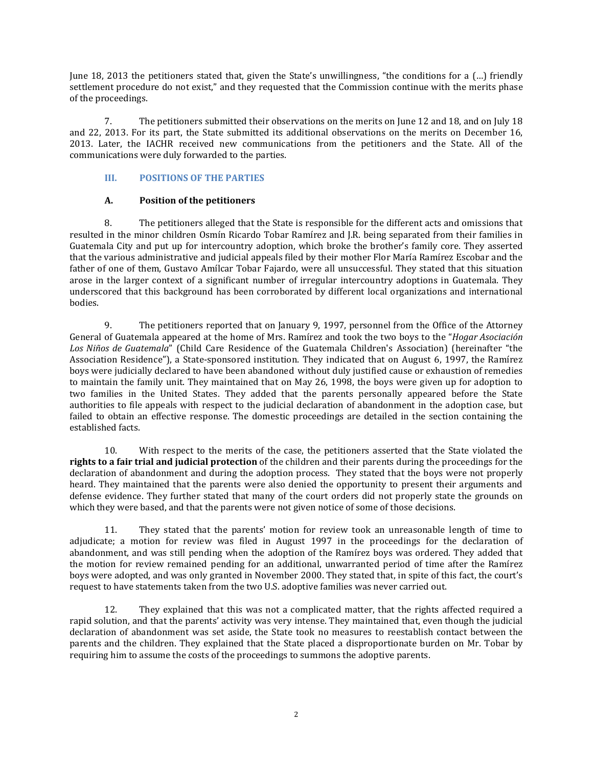June 18, 2013 the petitioners stated that, given the State's unwillingness, "the conditions for a (…) friendly settlement procedure do not exist," and they requested that the Commission continue with the merits phase of the proceedings.

7. The petitioners submitted their observations on the merits on June 12 and 18, and on July 18 and 22, 2013. For its part, the State submitted its additional observations on the merits on December 16, 2013. Later, the IACHR received new communications from the petitioners and the State. All of the communications were duly forwarded to the parties.

## **III. POSITIONS OF THE PARTIES**

## **A. Position of the petitioners**

8. The petitioners alleged that the State is responsible for the different acts and omissions that resulted in the minor children Osmín Ricardo Tobar Ramírez and J.R. being separated from their families in Guatemala City and put up for intercountry adoption, which broke the brother's family core. They asserted that the various administrative and judicial appeals filed by their mother Flor María Ramírez Escobar and the father of one of them, Gustavo Amílcar Tobar Fajardo, were all unsuccessful. They stated that this situation arose in the larger context of a significant number of irregular intercountry adoptions in Guatemala. They underscored that this background has been corroborated by different local organizations and international bodies.

9. The petitioners reported that on January 9, 1997, personnel from the Office of the Attorney General of Guatemala appeared at the home of Mrs. Ramírez and took the two boys to the "*Hogar Asociación Los Niños de Guatemala*" (Child Care Residence of the Guatemala Children's Association) (hereinafter "the Association Residence"), a State-sponsored institution. They indicated that on August 6, 1997, the Ramírez boys were judicially declared to have been abandoned without duly justified cause or exhaustion of remedies to maintain the family unit. They maintained that on May 26, 1998, the boys were given up for adoption to two families in the United States. They added that the parents personally appeared before the State authorities to file appeals with respect to the judicial declaration of abandonment in the adoption case, but failed to obtain an effective response. The domestic proceedings are detailed in the section containing the established facts.

10. With respect to the merits of the case, the petitioners asserted that the State violated the **rights to a fair trial and judicial protection** of the children and their parents during the proceedings for the declaration of abandonment and during the adoption process. They stated that the boys were not properly heard. They maintained that the parents were also denied the opportunity to present their arguments and defense evidence. They further stated that many of the court orders did not properly state the grounds on which they were based, and that the parents were not given notice of some of those decisions.

11. They stated that the parents' motion for review took an unreasonable length of time to adjudicate; a motion for review was filed in August 1997 in the proceedings for the declaration of abandonment, and was still pending when the adoption of the Ramírez boys was ordered. They added that the motion for review remained pending for an additional, unwarranted period of time after the Ramírez boys were adopted, and was only granted in November 2000. They stated that, in spite of this fact, the court's request to have statements taken from the two U.S. adoptive families was never carried out.

12. They explained that this was not a complicated matter, that the rights affected required a rapid solution, and that the parents' activity was very intense. They maintained that, even though the judicial declaration of abandonment was set aside, the State took no measures to reestablish contact between the parents and the children. They explained that the State placed a disproportionate burden on Mr. Tobar by requiring him to assume the costs of the proceedings to summons the adoptive parents.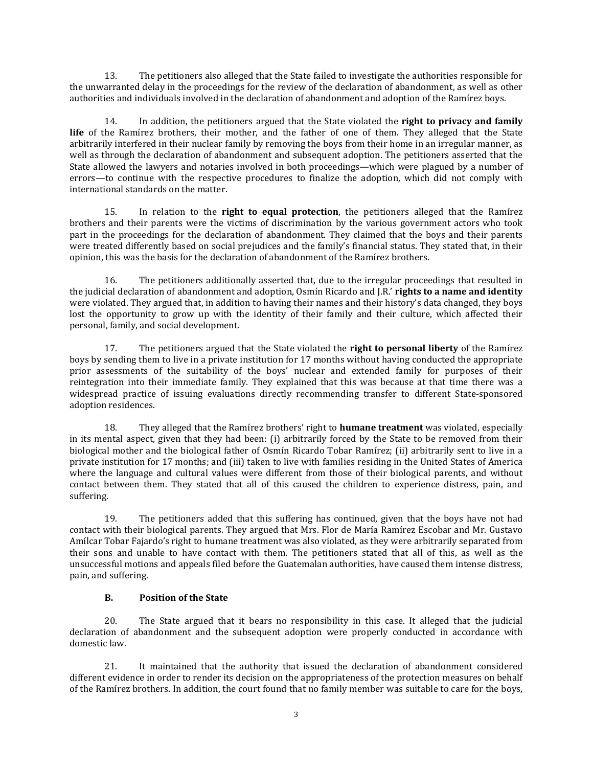13. The petitioners also alleged that the State failed to investigate the authorities responsible for the unwarranted delay in the proceedings for the review of the declaration of abandonment, as well as other authorities and individuals involved in the declaration of abandonment and adoption of the Ramírez boys.

14. In addition, the petitioners argued that the State violated the **right to privacy and family life** of the Ramírez brothers, their mother, and the father of one of them. They alleged that the State arbitrarily interfered in their nuclear family by removing the boys from their home in an irregular manner, as well as through the declaration of abandonment and subsequent adoption. The petitioners asserted that the State allowed the lawyers and notaries involved in both proceedings—which were plagued by a number of errors—to continue with the respective procedures to finalize the adoption, which did not comply with international standards on the matter.

15. In relation to the **right to equal protection**, the petitioners alleged that the Ramírez brothers and their parents were the victims of discrimination by the various government actors who took part in the proceedings for the declaration of abandonment. They claimed that the boys and their parents were treated differently based on social prejudices and the family's financial status. They stated that, in their opinion, this was the basis for the declaration of abandonment of the Ramírez brothers.

16. The petitioners additionally asserted that, due to the irregular proceedings that resulted in the judicial declaration of abandonment and adoption, Osmín Ricardo and J.R.' **rights to a name and identity** were violated. They argued that, in addition to having their names and their history's data changed, they boys lost the opportunity to grow up with the identity of their family and their culture, which affected their personal, family, and social development.

17. The petitioners argued that the State violated the **right to personal liberty** of the Ramírez boys by sending them to live in a private institution for 17 months without having conducted the appropriate prior assessments of the suitability of the boys' nuclear and extended family for purposes of their reintegration into their immediate family. They explained that this was because at that time there was a widespread practice of issuing evaluations directly recommending transfer to different State-sponsored adoption residences.

18. They alleged that the Ramírez brothers' right to **humane treatment** was violated, especially in its mental aspect, given that they had been: (i) arbitrarily forced by the State to be removed from their biological mother and the biological father of Osmín Ricardo Tobar Ramírez; (ii) arbitrarily sent to live in a private institution for 17 months; and (iii) taken to live with families residing in the United States of America where the language and cultural values were different from those of their biological parents, and without contact between them. They stated that all of this caused the children to experience distress, pain, and suffering.

19. The petitioners added that this suffering has continued, given that the boys have not had contact with their biological parents. They argued that Mrs. Flor de María Ramírez Escobar and Mr. Gustavo Amílcar Tobar Fajardo's right to humane treatment was also violated, as they were arbitrarily separated from their sons and unable to have contact with them. The petitioners stated that all of this, as well as the unsuccessful motions and appeals filed before the Guatemalan authorities, have caused them intense distress, pain, and suffering.

# **B. Position of the State**

20. The State argued that it bears no responsibility in this case. It alleged that the judicial declaration of abandonment and the subsequent adoption were properly conducted in accordance with domestic law.

21. It maintained that the authority that issued the declaration of abandonment considered different evidence in order to render its decision on the appropriateness of the protection measures on behalf of the Ramírez brothers. In addition, the court found that no family member was suitable to care for the boys,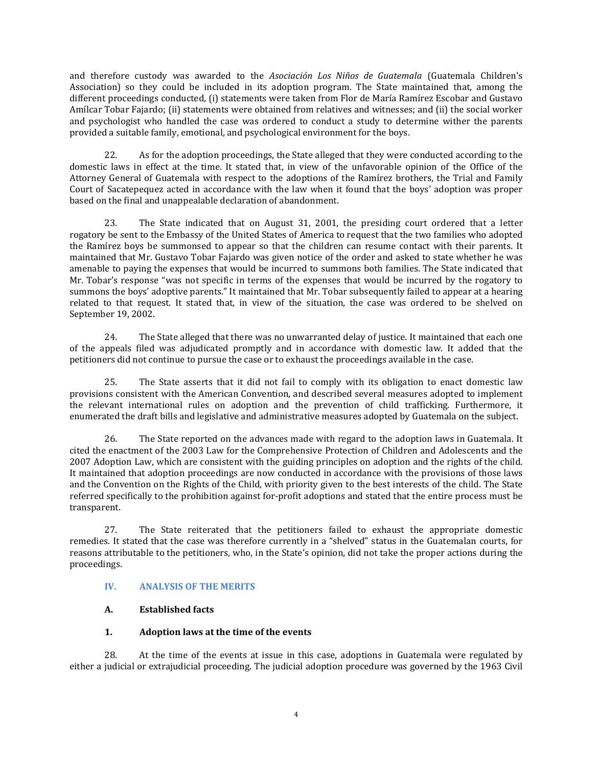and therefore custody was awarded to the *Asociación Los Niños de Guatemala* (Guatemala Children's Association) so they could be included in its adoption program. The State maintained that, among the different proceedings conducted, (i) statements were taken from Flor de María Ramírez Escobar and Gustavo Amílcar Tobar Fajardo; (ii) statements were obtained from relatives and witnesses; and (ii) the social worker and psychologist who handled the case was ordered to conduct a study to determine wither the parents provided a suitable family, emotional, and psychological environment for the boys.

22. As for the adoption proceedings, the State alleged that they were conducted according to the domestic laws in effect at the time. It stated that, in view of the unfavorable opinion of the Office of the Attorney General of Guatemala with respect to the adoptions of the Ramírez brothers, the Trial and Family Court of Sacatepequez acted in accordance with the law when it found that the boys' adoption was proper based on the final and unappealable declaration of abandonment.

23. The State indicated that on August 31, 2001, the presiding court ordered that a letter rogatory be sent to the Embassy of the United States of America to request that the two families who adopted the Ramírez boys be summonsed to appear so that the children can resume contact with their parents. It maintained that Mr. Gustavo Tobar Fajardo was given notice of the order and asked to state whether he was amenable to paying the expenses that would be incurred to summons both families. The State indicated that Mr. Tobar's response "was not specific in terms of the expenses that would be incurred by the rogatory to summons the boys' adoptive parents." It maintained that Mr. Tobar subsequently failed to appear at a hearing related to that request. It stated that, in view of the situation, the case was ordered to be shelved on September 19, 2002.

24. The State alleged that there was no unwarranted delay of justice. It maintained that each one of the appeals filed was adjudicated promptly and in accordance with domestic law. It added that the petitioners did not continue to pursue the case or to exhaust the proceedings available in the case.

25. The State asserts that it did not fail to comply with its obligation to enact domestic law provisions consistent with the American Convention, and described several measures adopted to implement the relevant international rules on adoption and the prevention of child trafficking. Furthermore, it enumerated the draft bills and legislative and administrative measures adopted by Guatemala on the subject.

26. The State reported on the advances made with regard to the adoption laws in Guatemala. It cited the enactment of the 2003 Law for the Comprehensive Protection of Children and Adolescents and the 2007 Adoption Law, which are consistent with the guiding principles on adoption and the rights of the child. It maintained that adoption proceedings are now conducted in accordance with the provisions of those laws and the Convention on the Rights of the Child, with priority given to the best interests of the child. The State referred specifically to the prohibition against for-profit adoptions and stated that the entire process must be transparent.

27. The State reiterated that the petitioners failed to exhaust the appropriate domestic remedies. It stated that the case was therefore currently in a "shelved" status in the Guatemalan courts, for reasons attributable to the petitioners, who, in the State's opinion, did not take the proper actions during the proceedings.

# **IV. ANALYSIS OF THE MERITS**

# **A. Established facts**

# **1. Adoption laws at the time of the events**

28. At the time of the events at issue in this case, adoptions in Guatemala were regulated by either a judicial or extrajudicial proceeding. The judicial adoption procedure was governed by the 1963 Civil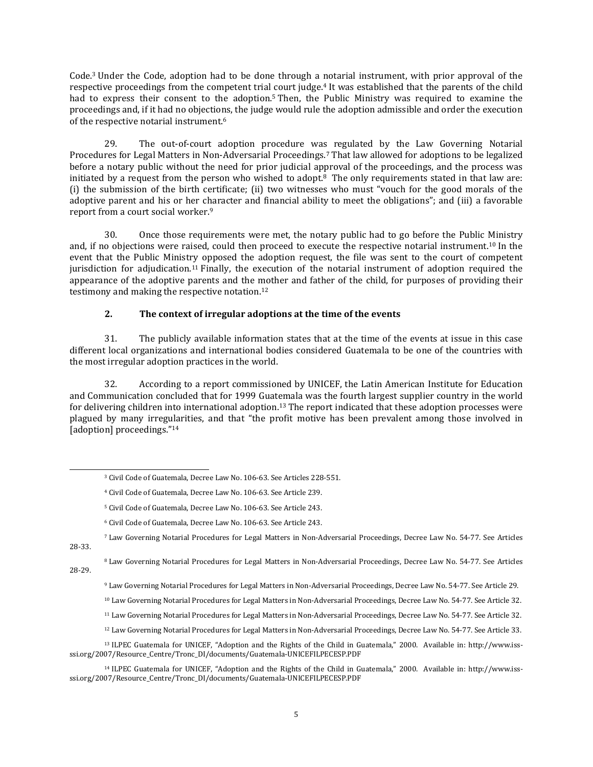Code.<sup>3</sup> Under the Code, adoption had to be done through a notarial instrument, with prior approval of the respective proceedings from the competent trial court judge.<sup>4</sup> It was established that the parents of the child had to express their consent to the adoption.<sup>5</sup> Then, the Public Ministry was required to examine the proceedings and, if it had no objections, the judge would rule the adoption admissible and order the execution of the respective notarial instrument.<sup>6</sup>

29. The out-of-court adoption procedure was regulated by the Law Governing Notarial Procedures for Legal Matters in Non-Adversarial Proceedings. <sup>7</sup> That law allowed for adoptions to be legalized before a notary public without the need for prior judicial approval of the proceedings, and the process was initiated by a request from the person who wished to adopt.<sup>8</sup> The only requirements stated in that law are: (i) the submission of the birth certificate; (ii) two witnesses who must "vouch for the good morals of the adoptive parent and his or her character and financial ability to meet the obligations"; and (iii) a favorable report from a court social worker. 9

30. Once those requirements were met, the notary public had to go before the Public Ministry and, if no objections were raised, could then proceed to execute the respective notarial instrument.<sup>10</sup> In the event that the Public Ministry opposed the adoption request, the file was sent to the court of competent jurisdiction for adjudication.<sup>11</sup> Finally, the execution of the notarial instrument of adoption required the appearance of the adoptive parents and the mother and father of the child, for purposes of providing their testimony and making the respective notation.<sup>12</sup>

# **2. The context of irregular adoptions at the time of the events**

31. The publicly available information states that at the time of the events at issue in this case different local organizations and international bodies considered Guatemala to be one of the countries with the most irregular adoption practices in the world.

32. According to a report commissioned by UNICEF, the Latin American Institute for Education and Communication concluded that for 1999 Guatemala was the fourth largest supplier country in the world for delivering children into international adoption.<sup>13</sup> The report indicated that these adoption processes were plagued by many irregularities, and that "the profit motive has been prevalent among those involved in [adoption] proceedings."<sup>14</sup>

<sup>7</sup> Law Governing Notarial Procedures for Legal Matters in Non-Adversarial Proceedings, Decree Law No. 54-77. See Articles

28-33.

28-29.

 $\overline{\phantom{a}}$ 

<sup>8</sup> Law Governing Notarial Procedures for Legal Matters in Non-Adversarial Proceedings, Decree Law No. 54-77. See Articles

- <sup>10</sup> Law Governing Notarial Procedures for Legal Matters in Non-Adversarial Proceedings, Decree Law No. 54-77. See Article 32.
- <sup>11</sup> Law Governing Notarial Procedures for Legal Matters in Non-Adversarial Proceedings, Decree Law No. 54-77. See Article 32.
- <sup>12</sup> Law Governing Notarial Procedures for Legal Matters in Non-Adversarial Proceedings, Decree Law No. 54-77. See Article 33.
- <sup>13</sup> ILPEC Guatemala for UNICEF, "Adoption and the Rights of the Child in Guatemala," 2000. Available in: http://www.issssi.org/2007/Resource\_Centre/Tronc\_DI/documents/Guatemala-UNICEFILPECESP.PDF
- <sup>14</sup> ILPEC Guatemala for UNICEF, "Adoption and the Rights of the Child in Guatemala," 2000. Available in: http://www.issssi.org/2007/Resource\_Centre/Tronc\_DI/documents/Guatemala-UNICEFILPECESP.PDF

<sup>3</sup> Civil Code of Guatemala, Decree Law No. 106-63. See Articles 228-551.

<sup>4</sup> Civil Code of Guatemala, Decree Law No. 106-63. See Article 239.

<sup>5</sup> Civil Code of Guatemala, Decree Law No. 106-63. See Article 243.

<sup>6</sup> Civil Code of Guatemala, Decree Law No. 106-63. See Article 243.

<sup>9</sup> Law Governing Notarial Procedures for Legal Matters in Non-Adversarial Proceedings, Decree Law No. 54-77. See Article 29.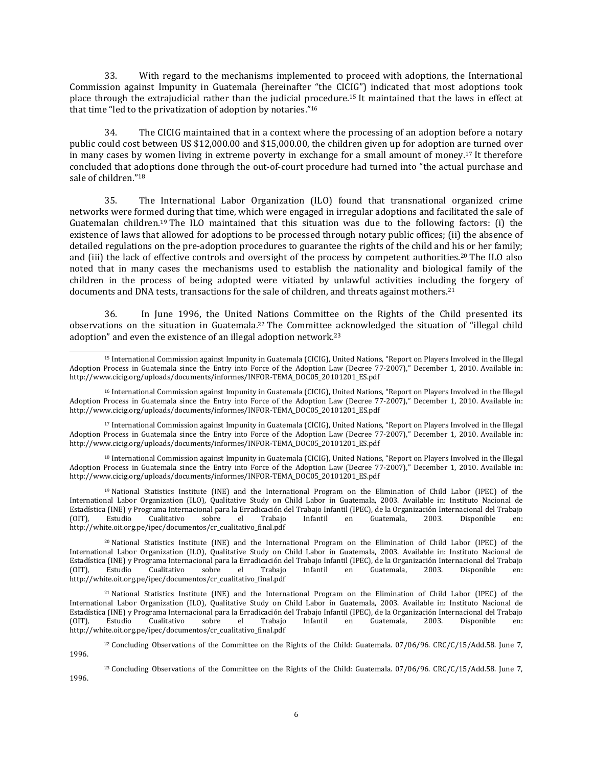33. With regard to the mechanisms implemented to proceed with adoptions, the International Commission against Impunity in Guatemala (hereinafter "the CICIG") indicated that most adoptions took place through the extrajudicial rather than the judicial procedure.<sup>15</sup> It maintained that the laws in effect at that time "led to the privatization of adoption by notaries." 16

34. The CICIG maintained that in a context where the processing of an adoption before a notary public could cost between US \$12,000.00 and \$15,000.00, the children given up for adoption are turned over in many cases by women living in extreme poverty in exchange for a small amount of money.<sup>17</sup> It therefore concluded that adoptions done through the out-of-court procedure had turned into "the actual purchase and sale of children." 18

35. The International Labor Organization (ILO) found that transnational organized crime networks were formed during that time, which were engaged in irregular adoptions and facilitated the sale of Guatemalan children.<sup>19</sup> The ILO maintained that this situation was due to the following factors: (i) the existence of laws that allowed for adoptions to be processed through notary public offices; (ii) the absence of detailed regulations on the pre-adoption procedures to guarantee the rights of the child and his or her family; and (iii) the lack of effective controls and oversight of the process by competent authorities.<sup>20</sup> The ILO also noted that in many cases the mechanisms used to establish the nationality and biological family of the children in the process of being adopted were vitiated by unlawful activities including the forgery of documents and DNA tests, transactions for the sale of children, and threats against mothers.<sup>21</sup>

36. In June 1996, the United Nations Committee on the Rights of the Child presented its observations on the situation in Guatemala. <sup>22</sup> The Committee acknowledged the situation of "illegal child adoption" and even the existence of an illegal adoption network.<sup>23</sup>

<sup>17</sup> International Commission against Impunity in Guatemala (CICIG), United Nations, "Report on Players Involved in the Illegal Adoption Process in Guatemala since the Entry into Force of the Adoption Law (Decree 77-2007)," December 1, 2010. Available in: http://www.cicig.org/uploads/documents/informes/INFOR-TEMA\_DOC05\_20101201\_ES.pdf

<sup>18</sup> International Commission against Impunity in Guatemala (CICIG), United Nations, "Report on Players Involved in the Illegal Adoption Process in Guatemala since the Entry into Force of the Adoption Law (Decree 77-2007)," December 1, 2010. Available in: http://www.cicig.org/uploads/documents/informes/INFOR-TEMA\_DOC05\_20101201\_ES.pdf

<sup>19</sup> National Statistics Institute (INE) and the International Program on the Elimination of Child Labor (IPEC) of the International Labor Organization (ILO), Qualitative Study on Child Labor in Guatemala, 2003. Available in: Instituto Nacional de Estadística (INE) y Programa Internacional para la Erradicación del Trabajo Infantil (IPEC), de la Organización Internacional del Trabajo (OIT), Estudio Cualitativo sobre el Trabajo Infantil en Guatemala, 2003. Disponible en: http://white.oit.org.pe/ipec/documentos/cr\_cualitativo\_final.pdf

<sup>20</sup> National Statistics Institute (INE) and the International Program on the Elimination of Child Labor (IPEC) of the International Labor Organization (ILO), Qualitative Study on Child Labor in Guatemala, 2003. Available in: Instituto Nacional de Estadística (INE) y Programa Internacional para la Erradicación del Trabajo Infantil (IPEC), de la Organización Internacional del Trabajo (OIT), Estudio Cualitativo sobre el Trabajo Infantil en Guatemala, 2003. Disponible en: http://white.oit.org.pe/ipec/documentos/cr\_cualitativo\_final.pdf

<sup>21</sup> National Statistics Institute (INE) and the International Program on the Elimination of Child Labor (IPEC) of the International Labor Organization (ILO), Qualitative Study on Child Labor in Guatemala, 2003. Available in: Instituto Nacional de Estadística (INE) y Programa Internacional para la Erradicación del Trabajo Infantil (IPEC), de la Organización Internacional del Trabajo (OIT), Estudio Cualitativo sobre el Trabajo Infantil en Guatemala, 2003. Disponible en: http://white.oit.org.pe/ipec/documentos/cr\_cualitativo\_final.pdf

<sup>22</sup> Concluding Observations of the Committee on the Rights of the Child: Guatemala. 07/06/96. CRC/C/15/Add.58. June 7, 1996.

<sup>23</sup> Concluding Observations of the Committee on the Rights of the Child: Guatemala. 07/06/96. CRC/C/15/Add.58. June 7, 1996.

 $\overline{\phantom{a}}$ <sup>15</sup> International Commission against Impunity in Guatemala (CICIG), United Nations, "Report on Players Involved in the Illegal Adoption Process in Guatemala since the Entry into Force of the Adoption Law (Decree 77-2007)," December 1, 2010. Available in: http://www.cicig.org/uploads/documents/informes/INFOR-TEMA\_DOC05\_20101201\_ES.pdf

<sup>16</sup> International Commission against Impunity in Guatemala (CICIG), United Nations, "Report on Players Involved in the Illegal Adoption Process in Guatemala since the Entry into Force of the Adoption Law (Decree 77-2007)," December 1, 2010. Available in: http://www.cicig.org/uploads/documents/informes/INFOR-TEMA\_DOC05\_20101201\_ES.pdf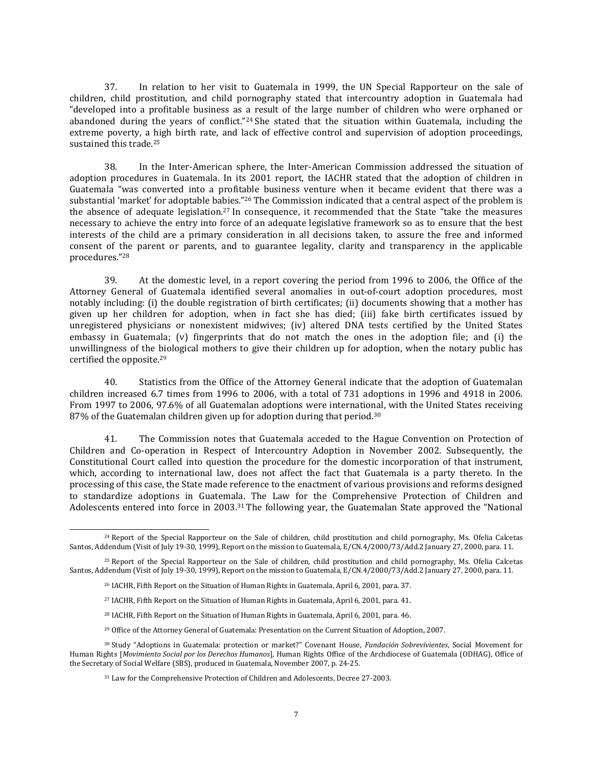37. In relation to her visit to Guatemala in 1999, the UN Special Rapporteur on the sale of children, child prostitution, and child pornography stated that intercountry adoption in Guatemala had "developed into a profitable business as a result of the large number of children who were orphaned or abandoned during the years of conflict."<sup>24</sup> She stated that the situation within Guatemala, including the extreme poverty, a high birth rate, and lack of effective control and supervision of adoption proceedings, sustained this trade. 25

38. In the Inter-American sphere, the Inter-American Commission addressed the situation of adoption procedures in Guatemala. In its 2001 report, the IACHR stated that the adoption of children in Guatemala "was converted into a profitable business venture when it became evident that there was a substantial 'market' for adoptable babies."<sup>26</sup> The Commission indicated that a central aspect of the problem is the absence of adequate legislation.<sup>27</sup> In consequence, it recommended that the State "take the measures necessary to achieve the entry into force of an adequate legislative framework so as to ensure that the best interests of the child are a primary consideration in all decisions taken, to assure the free and informed consent of the parent or parents, and to guarantee legality, clarity and transparency in the applicable procedures." 28

39. At the domestic level, in a report covering the period from 1996 to 2006, the Office of the Attorney General of Guatemala identified several anomalies in out-of-court adoption procedures, most notably including: (i) the double registration of birth certificates; (ii) documents showing that a mother has given up her children for adoption, when in fact she has died; (iii) fake birth certificates issued by unregistered physicians or nonexistent midwives; (iv) altered DNA tests certified by the United States embassy in Guatemala; (v) fingerprints that do not match the ones in the adoption file; and (i) the unwillingness of the biological mothers to give their children up for adoption, when the notary public has certified the opposite. 29

40. Statistics from the Office of the Attorney General indicate that the adoption of Guatemalan children increased 6.7 times from 1996 to 2006, with a total of 731 adoptions in 1996 and 4918 in 2006. From 1997 to 2006, 97.6% of all Guatemalan adoptions were international, with the United States receiving 87% of the Guatemalan children given up for adoption during that period.<sup>30</sup>

41. The Commission notes that Guatemala acceded to the Hague Convention on Protection of Children and Co-operation in Respect of Intercountry Adoption in November 2002. Subsequently, the Constitutional Court called into question the procedure for the domestic incorporation of that instrument, which, according to international law, does not affect the fact that Guatemala is a party thereto. In the processing of this case, the State made reference to the enactment of various provisions and reforms designed to standardize adoptions in Guatemala. The Law for the Comprehensive Protection of Children and Adolescents entered into force in 2003.<sup>31</sup> The following year, the Guatemalan State approved the "National

 $\overline{\phantom{a}}$ 

<sup>24</sup> Report of the Special Rapporteur on the Sale of children, child prostitution and child pornography, Ms. Ofelia Calcetas Santos, Addendum (Visit of July 19-30, 1999), Report on the mission to Guatemala, E/CN.4/2000/73/Add.2 January 27, 2000, para. 11.

<sup>25</sup> Report of the Special Rapporteur on the Sale of children, child prostitution and child pornography, Ms. Ofelia Calcetas Santos, Addendum (Visit of July 19-30, 1999), Report on the mission to Guatemala, E/CN.4/2000/73/Add.2 January 27, 2000, para. 11.

<sup>26</sup> IACHR, Fifth Report on the Situation of Human Rights in Guatemala, April 6, 2001, para. 37.

<sup>27</sup> IACHR, Fifth Report on the Situation of Human Rights in Guatemala, April 6, 2001, para. 41.

<sup>28</sup> IACHR, Fifth Report on the Situation of Human Rights in Guatemala, April 6, 2001, para. 46.

<sup>29</sup> Office of the Attorney General of Guatemala: Presentation on the Current Situation of Adoption, 2007.

<sup>30</sup> Study "Adoptions in Guatemala: protection or market?" Covenant House, *Fundación Sobrevivientes*, Social Movement for Human Rights [*Movimiento Social por los Derechos Humanos*], Human Rights Office of the Archdiocese of Guatemala (ODHAG), Office of the Secretary of Social Welfare (SBS), produced in Guatemala, November 2007, p. 24-25.

<sup>31</sup> Law for the Comprehensive Protection of Children and Adolescents, Decree 27-2003.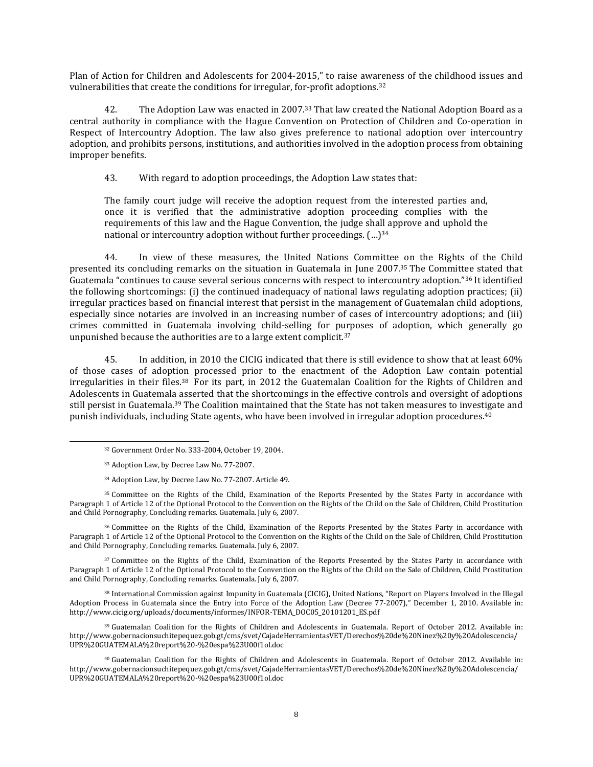Plan of Action for Children and Adolescents for 2004-2015," to raise awareness of the childhood issues and vulnerabilities that create the conditions for irregular, for-profit adoptions. 32

42. The Adoption Law was enacted in 2007.<sup>33</sup> That law created the National Adoption Board as a central authority in compliance with the Hague Convention on Protection of Children and Co-operation in Respect of Intercountry Adoption. The law also gives preference to national adoption over intercountry adoption, and prohibits persons, institutions, and authorities involved in the adoption process from obtaining improper benefits.

43. With regard to adoption proceedings, the Adoption Law states that:

The family court judge will receive the adoption request from the interested parties and, once it is verified that the administrative adoption proceeding complies with the requirements of this law and the Hague Convention, the judge shall approve and uphold the national or intercountry adoption without further proceedings.  $(...)$ <sup>34</sup>

44. In view of these measures, the United Nations Committee on the Rights of the Child presented its concluding remarks on the situation in Guatemala in June 2007.<sup>35</sup> The Committee stated that Guatemala "continues to cause several serious concerns with respect to intercountry adoption."<sup>36</sup> It identified the following shortcomings: (i) the continued inadequacy of national laws regulating adoption practices; (ii) irregular practices based on financial interest that persist in the management of Guatemalan child adoptions, especially since notaries are involved in an increasing number of cases of intercountry adoptions; and (iii) crimes committed in Guatemala involving child-selling for purposes of adoption, which generally go unpunished because the authorities are to a large extent complicit.<sup>37</sup>

45. In addition, in 2010 the CICIG indicated that there is still evidence to show that at least 60% of those cases of adoption processed prior to the enactment of the Adoption Law contain potential irregularities in their files.38 For its part, in 2012 the Guatemalan Coalition for the Rights of Children and Adolescents in Guatemala asserted that the shortcomings in the effective controls and oversight of adoptions still persist in Guatemala.<sup>39</sup> The Coalition maintained that the State has not taken measures to investigate and punish individuals, including State agents, who have been involved in irregular adoption procedures. 40

 $\overline{\phantom{a}}$ 

<sup>35</sup> Committee on the Rights of the Child, Examination of the Reports Presented by the States Party in accordance with Paragraph 1 of Article 12 of the Optional Protocol to the Convention on the Rights of the Child on the Sale of Children, Child Prostitution and Child Pornography, Concluding remarks. Guatemala. July 6, 2007.

<sup>36</sup> Committee on the Rights of the Child, Examination of the Reports Presented by the States Party in accordance with Paragraph 1 of Article 12 of the Optional Protocol to the Convention on the Rights of the Child on the Sale of Children, Child Prostitution and Child Pornography, Concluding remarks. Guatemala. July 6, 2007.

<sup>37</sup> Committee on the Rights of the Child, Examination of the Reports Presented by the States Party in accordance with Paragraph 1 of Article 12 of the Optional Protocol to the Convention on the Rights of the Child on the Sale of Children, Child Prostitution and Child Pornography, Concluding remarks. Guatemala. July 6, 2007.

<sup>38</sup> International Commission against Impunity in Guatemala (CICIG), United Nations, "Report on Players Involved in the Illegal Adoption Process in Guatemala since the Entry into Force of the Adoption Law (Decree 77-2007)," December 1, 2010. Available in: http://www.cicig.org/uploads/documents/informes/INFOR-TEMA\_DOC05\_20101201\_ES.pdf

<sup>39</sup> Guatemalan Coalition for the Rights of Children and Adolescents in Guatemala. Report of October 2012. Available in: http://www.gobernacionsuchitepequez.gob.gt/cms/svet/CajadeHerramientasVET/Derechos%20de%20Ninez%20y%20Adolescencia/ UPR%20GUATEMALA%20report%20-%20espa%23U00f1ol.doc

<sup>40</sup> Guatemalan Coalition for the Rights of Children and Adolescents in Guatemala. Report of October 2012. Available in: http://www.gobernacionsuchitepequez.gob.gt/cms/svet/CajadeHerramientasVET/Derechos%20de%20Ninez%20y%20Adolescencia/ UPR%20GUATEMALA%20report%20-%20espa%23U00f1ol.doc

<sup>32</sup> Government Order No. 333-2004, October 19, 2004.

<sup>33</sup> Adoption Law, by Decree Law No. 77-2007.

<sup>34</sup> Adoption Law, by Decree Law No. 77-2007. Article 49.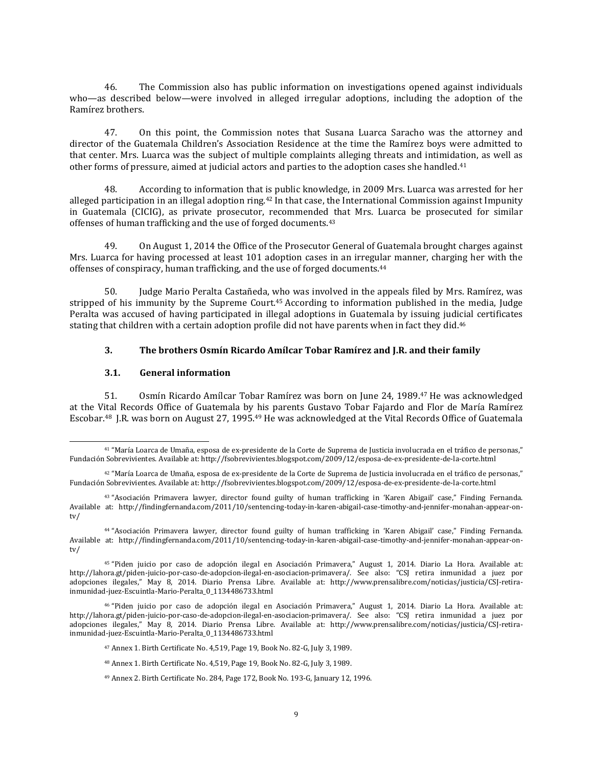46. The Commission also has public information on investigations opened against individuals who—as described below—were involved in alleged irregular adoptions, including the adoption of the Ramírez brothers.

47. On this point, the Commission notes that Susana Luarca Saracho was the attorney and director of the Guatemala Children's Association Residence at the time the Ramírez boys were admitted to that center. Mrs. Luarca was the subject of multiple complaints alleging threats and intimidation, as well as other forms of pressure, aimed at judicial actors and parties to the adoption cases she handled.<sup>41</sup>

48. According to information that is public knowledge, in 2009 Mrs. Luarca was arrested for her alleged participation in an illegal adoption ring.<sup>42</sup> In that case, the International Commission against Impunity in Guatemala (CICIG), as private prosecutor, recommended that Mrs. Luarca be prosecuted for similar offenses of human trafficking and the use of forged documents.<sup>43</sup>

49. On August 1, 2014 the Office of the Prosecutor General of Guatemala brought charges against Mrs. Luarca for having processed at least 101 adoption cases in an irregular manner, charging her with the offenses of conspiracy, human trafficking, and the use of forged documents.<sup>44</sup>

50. Judge Mario Peralta Castañeda, who was involved in the appeals filed by Mrs. Ramírez, was stripped of his immunity by the Supreme Court.<sup>45</sup> According to information published in the media, Judge Peralta was accused of having participated in illegal adoptions in Guatemala by issuing judicial certificates stating that children with a certain adoption profile did not have parents when in fact they did.<sup>46</sup>

### **3. The brothers Osmín Ricardo Amílcar Tobar Ramírez and J.R. and their family**

#### **3.1. General information**

 $\overline{\phantom{a}}$ 

51. Osmín Ricardo Amílcar Tobar Ramírez was born on June 24, 1989. <sup>47</sup> He was acknowledged at the Vital Records Office of Guatemala by his parents Gustavo Tobar Fajardo and Flor de María Ramírez Escobar.<sup>48</sup> J.R. was born on August 27, 1995.<sup>49</sup> He was acknowledged at the Vital Records Office of Guatemala

- <sup>47</sup> Annex 1. Birth Certificate No. 4,519, Page 19, Book No. 82-G, July 3, 1989.
- <sup>48</sup> Annex 1. Birth Certificate No. 4,519, Page 19, Book No. 82-G, July 3, 1989.
- <sup>49</sup> Annex 2. Birth Certificate No. 284, Page 172, Book No. 193-G, January 12, 1996.

<sup>41</sup> "María Loarca de Umaña, esposa de ex-presidente de la Corte de Suprema de Justicia involucrada en el tráfico de personas," Fundación Sobrevivientes. Available at: http://fsobrevivientes.blogspot.com/2009/12/esposa-de-ex-presidente-de-la-corte.html

<sup>42</sup> "María Loarca de Umaña, esposa de ex-presidente de la Corte de Suprema de Justicia involucrada en el tráfico de personas," Fundación Sobrevivientes. Available at: http://fsobrevivientes.blogspot.com/2009/12/esposa-de-ex-presidente-de-la-corte.html

<sup>43</sup> "Asociación Primavera lawyer, director found guilty of human trafficking in 'Karen Abigail' case," Finding Fernanda. Available at: [http://findingfernanda.com/2011/10/sentencing-today-in-karen-abigail-case-timothy-and-jennifer-monahan-appear-on](http://findingfernanda.com/2011/10/sentencing-today-in-karen-abigail-case-timothy-and-jennifer-monahan-appear-on-tv/)[tv/](http://findingfernanda.com/2011/10/sentencing-today-in-karen-abigail-case-timothy-and-jennifer-monahan-appear-on-tv/)

<sup>44</sup> "Asociación Primavera lawyer, director found guilty of human trafficking in 'Karen Abigail' case," Finding Fernanda. Available at: [http://findingfernanda.com/2011/10/sentencing-today-in-karen-abigail-case-timothy-and-jennifer-monahan-appear-on](http://findingfernanda.com/2011/10/sentencing-today-in-karen-abigail-case-timothy-and-jennifer-monahan-appear-on-tv/)[tv/](http://findingfernanda.com/2011/10/sentencing-today-in-karen-abigail-case-timothy-and-jennifer-monahan-appear-on-tv/)

<sup>45</sup> "Piden juicio por caso de adopción ilegal en Asociación Primavera," August 1, 2014. Diario La Hora. Available at: [http://lahora.gt/piden-juicio-por-caso-de-adopcion-ilegal-en-asociacion-primavera/.](http://lahora.gt/piden-juicio-por-caso-de-adopcion-ilegal-en-asociacion-primavera/) See also: "CSJ retira inmunidad a juez por adopciones ilegales," May 8, 2014. Diario Prensa Libre. Available at: [http://www.prensalibre.com/noticias/justicia/CSJ-retira](http://www.prensalibre.com/noticias/justicia/CSJ-retira-inmunidad-juez-Escuintla-Mario-Peralta_0_1134486733.html)[inmunidad-juez-Escuintla-Mario-Peralta\\_0\\_1134486733.html](http://www.prensalibre.com/noticias/justicia/CSJ-retira-inmunidad-juez-Escuintla-Mario-Peralta_0_1134486733.html)

<sup>46</sup> "Piden juicio por caso de adopción ilegal en Asociación Primavera," August 1, 2014. Diario La Hora. Available at: [http://lahora.gt/piden-juicio-por-caso-de-adopcion-ilegal-en-asociacion-primavera/.](http://lahora.gt/piden-juicio-por-caso-de-adopcion-ilegal-en-asociacion-primavera/) See also: "CSJ retira inmunidad a juez por adopciones ilegales," May 8, 2014. Diario Prensa Libre. Available at: [http://www.prensalibre.com/noticias/justicia/CSJ-retira](http://www.prensalibre.com/noticias/justicia/CSJ-retira-inmunidad-juez-Escuintla-Mario-Peralta_0_1134486733.html)[inmunidad-juez-Escuintla-Mario-Peralta\\_0\\_1134486733.html](http://www.prensalibre.com/noticias/justicia/CSJ-retira-inmunidad-juez-Escuintla-Mario-Peralta_0_1134486733.html)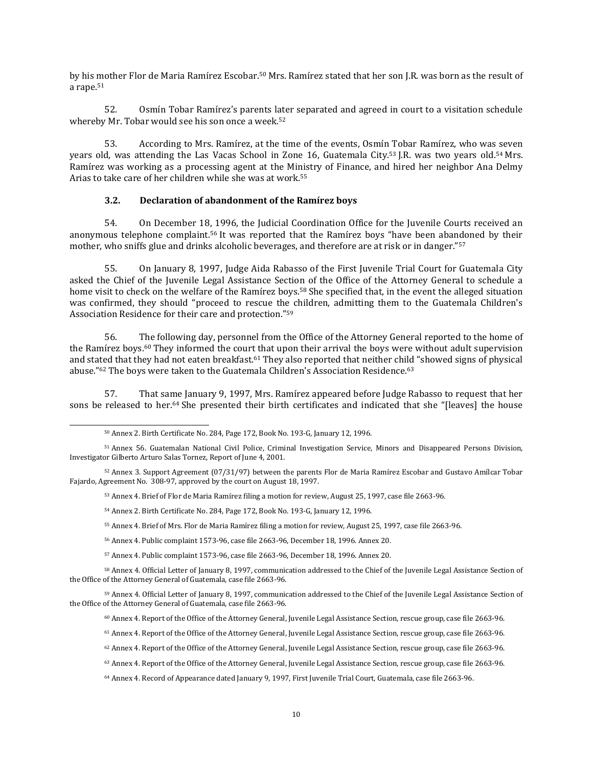by his mother Flor de Maria Ramírez Escobar. <sup>50</sup> Mrs. Ramírez stated that her son J.R. was born as the result of a rape.<sup>51</sup>

52. Osmín Tobar Ramírez's parents later separated and agreed in court to a visitation schedule whereby Mr. Tobar would see his son once a week.<sup>52</sup>

53. According to Mrs. Ramírez, at the time of the events, Osmín Tobar Ramírez, who was seven years old, was attending the Las Vacas School in Zone 16, Guatemala City. <sup>53</sup> J.R. was two years old.<sup>54</sup> Mrs. Ramírez was working as a processing agent at the Ministry of Finance, and hired her neighbor Ana Delmy Arias to take care of her children while she was at work. 55

#### **3.2. Declaration of abandonment of the Ramírez boys**

54. On December 18, 1996, the Judicial Coordination Office for the Juvenile Courts received an anonymous telephone complaint.<sup>56</sup> It was reported that the Ramírez boys "have been abandoned by their mother, who sniffs glue and drinks alcoholic beverages, and therefore are at risk or in danger." 57

55. On January 8, 1997, Judge Aida Rabasso of the First Juvenile Trial Court for Guatemala City asked the Chief of the Juvenile Legal Assistance Section of the Office of the Attorney General to schedule a home visit to check on the welfare of the Ramírez boys.<sup>58</sup> She specified that, in the event the alleged situation was confirmed, they should "proceed to rescue the children, admitting them to the Guatemala Children's Association Residence for their care and protection." 59

56. The following day, personnel from the Office of the Attorney General reported to the home of the Ramírez boys. <sup>60</sup> They informed the court that upon their arrival the boys were without adult supervision and stated that they had not eaten breakfast.<sup>61</sup> They also reported that neither child "showed signs of physical abuse." <sup>62</sup> The boys were taken to the Guatemala Children's Association Residence. 63

57. That same January 9, 1997, Mrs. Ramírez appeared before Judge Rabasso to request that her sons be released to her.<sup>64</sup> She presented their birth certificates and indicated that she "[leaves] the house

 $\overline{\phantom{a}}$ 

<sup>53</sup> Annex 4. Brief of Flor de Maria Ramírez filing a motion for review, August 25, 1997, case file 2663-96.

- <sup>54</sup> Annex 2. Birth Certificate No. 284, Page 172, Book No. 193-G, January 12, 1996.
- <sup>55</sup> Annex 4. Brief of Mrs. Flor de Maria Ramírez filing a motion for review, August 25, 1997, case file 2663-96.
- <sup>56</sup> Annex 4. Public complaint 1573-96, case file 2663-96, December 18, 1996. Annex 20.
- <sup>57</sup> Annex 4. Public complaint 1573-96, case file 2663-96, December 18, 1996. Annex 20.

<sup>58</sup> Annex 4. Official Letter of January 8, 1997, communication addressed to the Chief of the Juvenile Legal Assistance Section of the Office of the Attorney General of Guatemala, case file 2663-96.

<sup>50</sup> Annex 2. Birth Certificate No. 284, Page 172, Book No. 193-G, January 12, 1996.

<sup>51</sup> Annex 56. Guatemalan National Civil Police, Criminal Investigation Service, Minors and Disappeared Persons Division, Investigator Gilberto Arturo Salas Tornez, Report of June 4, 2001.

<sup>52</sup> Annex 3. Support Agreement (07/31/97) between the parents Flor de Maria Ramírez Escobar and Gustavo Amílcar Tobar Fajardo, Agreement No. 308-97, approved by the court on August 18, 1997.

<sup>59</sup> Annex 4. Official Letter of January 8, 1997, communication addressed to the Chief of the Juvenile Legal Assistance Section of the Office of the Attorney General of Guatemala, case file 2663-96.

<sup>60</sup> Annex 4. Report of the Office of the Attorney General, Juvenile Legal Assistance Section, rescue group, case file 2663-96.

<sup>61</sup> Annex 4. Report of the Office of the Attorney General, Juvenile Legal Assistance Section, rescue group, case file 2663-96.

<sup>62</sup> Annex 4. Report of the Office of the Attorney General, Juvenile Legal Assistance Section, rescue group, case file 2663-96.

<sup>63</sup> Annex 4. Report of the Office of the Attorney General, Juvenile Legal Assistance Section, rescue group, case file 2663-96.

<sup>64</sup> Annex 4. Record of Appearance dated January 9, 1997, First Juvenile Trial Court, Guatemala, case file 2663-96.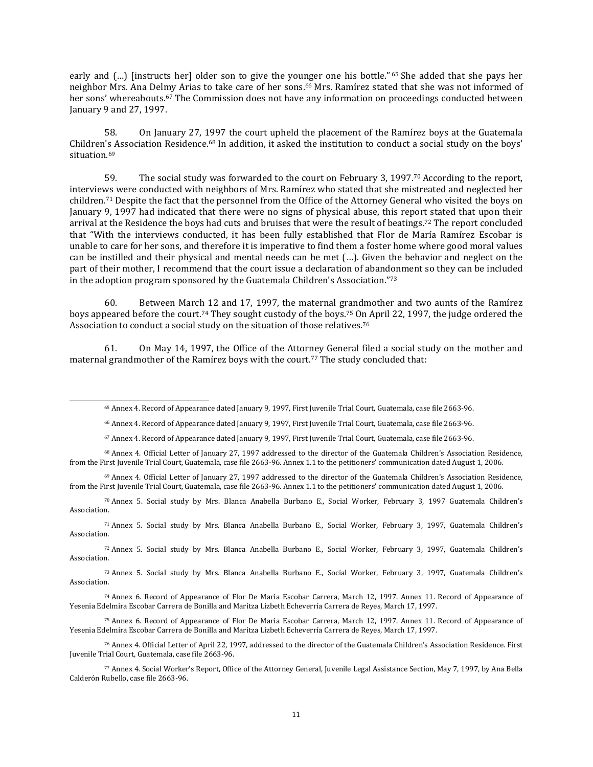early and (…) [instructs her] older son to give the younger one his bottle." <sup>65</sup> She added that she pays her neighbor Mrs. Ana Delmy Arias to take care of her sons.<sup>66</sup> Mrs. Ramírez stated that she was not informed of her sons' whereabouts.<sup>67</sup> The Commission does not have any information on proceedings conducted between January 9 and 27, 1997.

58. On January 27, 1997 the court upheld the placement of the Ramírez boys at the Guatemala Children's Association Residence.<sup>68</sup> In addition, it asked the institution to conduct a social study on the boys' situation. 69

59. The social study was forwarded to the court on February 3, 1997.<sup>70</sup> According to the report, interviews were conducted with neighbors of Mrs. Ramírez who stated that she mistreated and neglected her children.<sup>71</sup> Despite the fact that the personnel from the Office of the Attorney General who visited the boys on January 9, 1997 had indicated that there were no signs of physical abuse, this report stated that upon their arrival at the Residence the boys had cuts and bruises that were the result of beatings.<sup>72</sup> The report concluded that "With the interviews conducted, it has been fully established that Flor de María Ramírez Escobar is unable to care for her sons, and therefore it is imperative to find them a foster home where good moral values can be instilled and their physical and mental needs can be met (…). Given the behavior and neglect on the part of their mother, I recommend that the court issue a declaration of abandonment so they can be included in the adoption program sponsored by the Guatemala Children's Association." 73

60. Between March 12 and 17, 1997, the maternal grandmother and two aunts of the Ramírez boys appeared before the court.<sup>74</sup> They sought custody of the boys.<sup>75</sup> On April 22, 1997, the judge ordered the Association to conduct a social study on the situation of those relatives.<sup>76</sup>

61. On May 14, 1997, the Office of the Attorney General filed a social study on the mother and maternal grandmother of the Ramírez boys with the court.<sup>77</sup> The study concluded that:

 $\overline{\phantom{a}}$ 

<sup>69</sup> Annex 4. Official Letter of January 27, 1997 addressed to the director of the Guatemala Children's Association Residence, from the First Juvenile Trial Court, Guatemala, case file 2663-96. Annex 1.1 to the petitioners' communication dated August 1, 2006.

<sup>70</sup> Annex 5. Social study by Mrs. Blanca Anabella Burbano E., Social Worker, February 3, 1997 Guatemala Children's Association.

<sup>71</sup> Annex 5. Social study by Mrs. Blanca Anabella Burbano E., Social Worker, February 3, 1997, Guatemala Children's Association*.*

<sup>72</sup> Annex 5. Social study by Mrs. Blanca Anabella Burbano E., Social Worker, February 3, 1997, Guatemala Children's Association*.*

<sup>73</sup> Annex 5. Social study by Mrs. Blanca Anabella Burbano E., Social Worker, February 3, 1997, Guatemala Children's Association*.*

<sup>74</sup> Annex 6. Record of Appearance of Flor De Maria Escobar Carrera, March 12, 1997. Annex 11. Record of Appearance of Yesenia Edelmira Escobar Carrera de Bonilla and Maritza Lizbeth Echeverría Carrera de Reyes, March 17, 1997.

<sup>75</sup> Annex 6. Record of Appearance of Flor De Maria Escobar Carrera, March 12, 1997. Annex 11. Record of Appearance of Yesenia Edelmira Escobar Carrera de Bonilla and Maritza Lizbeth Echeverría Carrera de Reyes, March 17, 1997.

<sup>76</sup> Annex 4. Official Letter of April 22, 1997, addressed to the director of the Guatemala Children's Association Residence. First Juvenile Trial Court, Guatemala, case file 2663-96.

<sup>77</sup> Annex 4. Social Worker's Report, Office of the Attorney General, Juvenile Legal Assistance Section, May 7, 1997, by Ana Bella Calderón Rubello, case file 2663-96.

<sup>65</sup> Annex 4. Record of Appearance dated January 9, 1997, First Juvenile Trial Court, Guatemala, case file 2663-96.

<sup>66</sup> Annex 4. Record of Appearance dated January 9, 1997, First Juvenile Trial Court, Guatemala, case file 2663-96.

<sup>67</sup> Annex 4. Record of Appearance dated January 9, 1997, First Juvenile Trial Court, Guatemala, case file 2663-96.

<sup>68</sup> Annex 4. Official Letter of January 27, 1997 addressed to the director of the Guatemala Children's Association Residence, from the First Juvenile Trial Court, Guatemala, case file 2663-96. Annex 1.1 to the petitioners' communication dated August 1, 2006.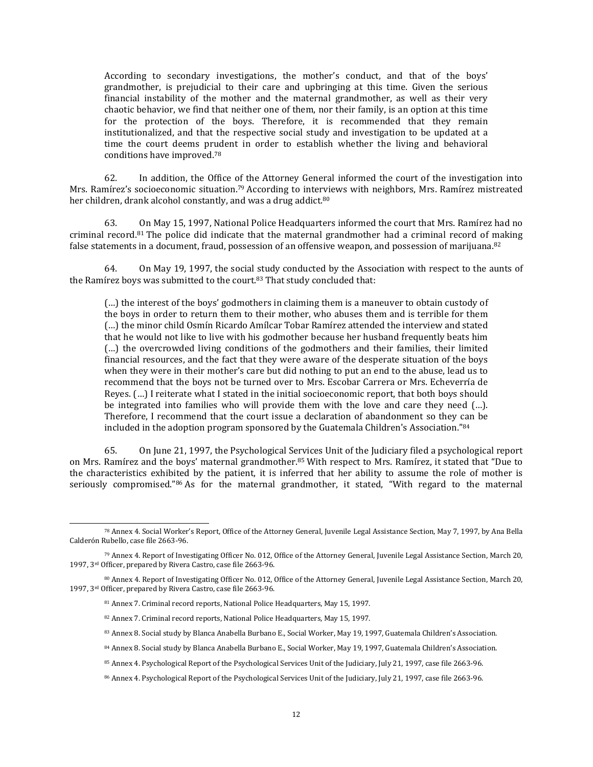According to secondary investigations, the mother's conduct, and that of the boys' grandmother, is prejudicial to their care and upbringing at this time. Given the serious financial instability of the mother and the maternal grandmother, as well as their very chaotic behavior, we find that neither one of them, nor their family, is an option at this time for the protection of the boys. Therefore, it is recommended that they remain institutionalized, and that the respective social study and investigation to be updated at a time the court deems prudent in order to establish whether the living and behavioral conditions have improved. 78

62. In addition, the Office of the Attorney General informed the court of the investigation into Mrs. Ramírez's socioeconomic situation.<sup>79</sup> According to interviews with neighbors, Mrs. Ramírez mistreated her children, drank alcohol constantly, and was a drug addict.<sup>80</sup>

63. On May 15, 1997, National Police Headquarters informed the court that Mrs. Ramírez had no criminal record.<sup>81</sup> The police did indicate that the maternal grandmother had a criminal record of making false statements in a document, fraud, possession of an offensive weapon, and possession of marijuana.<sup>82</sup>

64. On May 19, 1997, the social study conducted by the Association with respect to the aunts of the Ramírez boys was submitted to the court.<sup>83</sup> That study concluded that:

(…) the interest of the boys' godmothers in claiming them is a maneuver to obtain custody of the boys in order to return them to their mother, who abuses them and is terrible for them (…) the minor child Osmín Ricardo Amílcar Tobar Ramírez attended the interview and stated that he would not like to live with his godmother because her husband frequently beats him (…) the overcrowded living conditions of the godmothers and their families, their limited financial resources, and the fact that they were aware of the desperate situation of the boys when they were in their mother's care but did nothing to put an end to the abuse, lead us to recommend that the boys not be turned over to Mrs. Escobar Carrera or Mrs. Echeverría de Reyes. (…) I reiterate what I stated in the initial socioeconomic report, that both boys should be integrated into families who will provide them with the love and care they need (…). Therefore, I recommend that the court issue a declaration of abandonment so they can be included in the adoption program sponsored by the Guatemala Children's Association."<sup>84</sup>

65. On June 21, 1997, the Psychological Services Unit of the Judiciary filed a psychological report on Mrs. Ramírez and the boys' maternal grandmother.<sup>85</sup> With respect to Mrs. Ramírez, it stated that "Due to the characteristics exhibited by the patient, it is inferred that her ability to assume the role of mother is seriously compromised."<sup>86</sup> As for the maternal grandmother, it stated, "With regard to the maternal

 $\overline{\phantom{a}}$ 

<sup>78</sup> Annex 4. Social Worker's Report, Office of the Attorney General, Juvenile Legal Assistance Section, May 7, 1997, by Ana Bella Calderón Rubello, case file 2663-96.

<sup>79</sup> Annex 4. Report of Investigating Officer No. 012, Office of the Attorney General, Juvenile Legal Assistance Section, March 20, 1997, 3rd Officer, prepared by Rivera Castro, case file 2663-96.

<sup>80</sup> Annex 4. Report of Investigating Officer No. 012, Office of the Attorney General, Juvenile Legal Assistance Section, March 20, 1997, 3rd Officer, prepared by Rivera Castro, case file 2663-96.

<sup>81</sup> Annex 7. Criminal record reports, National Police Headquarters, May 15, 1997.

<sup>82</sup> Annex 7. Criminal record reports, National Police Headquarters, May 15, 1997.

<sup>83</sup> Annex 8. Social study by Blanca Anabella Burbano E., Social Worker, May 19, 1997, Guatemala Children's Association.

<sup>84</sup> Annex 8. Social study by Blanca Anabella Burbano E., Social Worker, May 19, 1997, Guatemala Children's Association.

<sup>85</sup> Annex 4. Psychological Report of the Psychological Services Unit of the Judiciary, July 21, 1997, case file 2663-96.

<sup>86</sup> Annex 4. Psychological Report of the Psychological Services Unit of the Judiciary, July 21, 1997, case file 2663-96.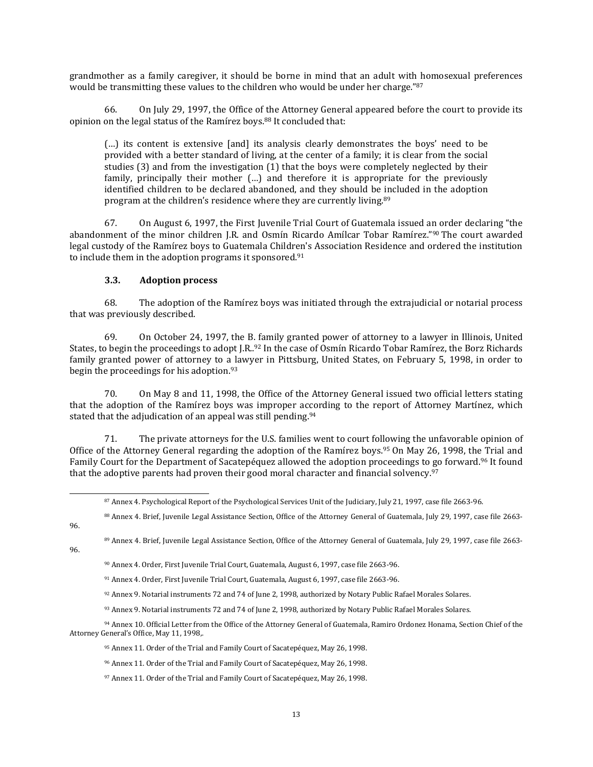grandmother as a family caregiver, it should be borne in mind that an adult with homosexual preferences would be transmitting these values to the children who would be under her charge."<sup>87</sup>

66. On July 29, 1997, the Office of the Attorney General appeared before the court to provide its opinion on the legal status of the Ramírez boys. <sup>88</sup> It concluded that:

(…) its content is extensive [and] its analysis clearly demonstrates the boys' need to be provided with a better standard of living, at the center of a family; it is clear from the social studies (3) and from the investigation (1) that the boys were completely neglected by their family, principally their mother (…) and therefore it is appropriate for the previously identified children to be declared abandoned, and they should be included in the adoption program at the children's residence where they are currently living.<sup>89</sup>

67. On August 6, 1997, the First Juvenile Trial Court of Guatemala issued an order declaring "the abandonment of the minor children J.R. and Osmín Ricardo Amílcar Tobar Ramírez."<sup>90</sup> The court awarded legal custody of the Ramírez boys to Guatemala Children's Association Residence and ordered the institution to include them in the adoption programs it sponsored.<sup>91</sup>

## **3.3. Adoption process**

68. The adoption of the Ramírez boys was initiated through the extrajudicial or notarial process that was previously described.

69. On October 24, 1997, the B. family granted power of attorney to a lawyer in Illinois, United States, to begin the proceedings to adopt J.R..<sup>92</sup> In the case of Osmín Ricardo Tobar Ramírez, the Borz Richards family granted power of attorney to a lawyer in Pittsburg, United States, on February 5, 1998, in order to begin the proceedings for his adoption.<sup>93</sup>

70. On May 8 and 11, 1998, the Office of the Attorney General issued two official letters stating that the adoption of the Ramírez boys was improper according to the report of Attorney Martínez, which stated that the adjudication of an appeal was still pending.<sup>94</sup>

71. The private attorneys for the U.S. families went to court following the unfavorable opinion of Office of the Attorney General regarding the adoption of the Ramírez boys.<sup>95</sup> On May 26, 1998, the Trial and Family Court for the Department of Sacatepéquez allowed the adoption proceedings to go forward.<sup>96</sup> It found that the adoptive parents had proven their good moral character and financial solvency.<sup>97</sup>

96.

96.

 $\overline{\phantom{a}}$ 

89 Annex 4. Brief, Juvenile Legal Assistance Section, Office of the Attorney General of Guatemala, July 29, 1997, case file 2663-

<sup>94</sup> Annex 10. Official Letter from the Office of the Attorney General of Guatemala, Ramiro Ordonez Honama, Section Chief of the Attorney General's Office, May 11, 1998,.

<sup>95</sup> Annex 11. Order of the Trial and Family Court of Sacatepéquez, May 26, 1998.

<sup>96</sup> Annex 11. Order of the Trial and Family Court of Sacatepéquez, May 26, 1998.

<sup>97</sup> Annex 11. Order of the Trial and Family Court of Sacatepéquez, May 26, 1998.

<sup>87</sup> Annex 4. Psychological Report of the Psychological Services Unit of the Judiciary, July 21, 1997, case file 2663-96.

<sup>88</sup> Annex 4. Brief, Juvenile Legal Assistance Section, Office of the Attorney General of Guatemala, July 29, 1997, case file 2663-

<sup>90</sup> Annex 4. Order, First Juvenile Trial Court, Guatemala, August 6, 1997, case file 2663-96.

<sup>91</sup> Annex 4. Order, First Juvenile Trial Court, Guatemala, August 6, 1997, case file 2663-96.

<sup>92</sup> Annex 9. Notarial instruments 72 and 74 of June 2, 1998, authorized by Notary Public Rafael Morales Solares.

<sup>93</sup> Annex 9. Notarial instruments 72 and 74 of June 2, 1998, authorized by Notary Public Rafael Morales Solares.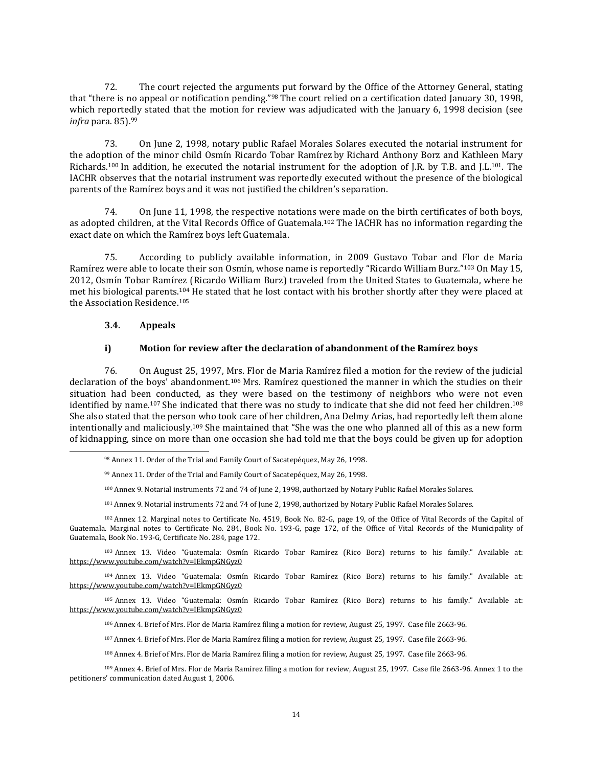72. The court rejected the arguments put forward by the Office of the Attorney General, stating that "there is no appeal or notification pending."<sup>98</sup> The court relied on a certification dated January 30, 1998, which reportedly stated that the motion for review was adjudicated with the January 6, 1998 decision (see *infra* para. 85). 99

73. On June 2, 1998, notary public Rafael Morales Solares executed the notarial instrument for the adoption of the minor child Osmín Ricardo Tobar Ramírez by Richard Anthony Borz and Kathleen Mary Richards.<sup>100</sup> In addition, he executed the notarial instrument for the adoption of J.R. by T.B. and J.L.<sup>101</sup>. The IACHR observes that the notarial instrument was reportedly executed without the presence of the biological parents of the Ramírez boys and it was not justified the children's separation.

74. On June 11, 1998, the respective notations were made on the birth certificates of both boys, as adopted children, at the Vital Records Office of Guatemala.<sup>102</sup> The IACHR has no information regarding the exact date on which the Ramírez boys left Guatemala.

75. According to publicly available information, in 2009 Gustavo Tobar and Flor de Maria Ramírez were able to locate their son Osmín, whose name is reportedly "Ricardo William Burz."<sup>103</sup> On May 15, 2012, Osmín Tobar Ramírez (Ricardo William Burz) traveled from the United States to Guatemala, where he met his biological parents.<sup>104</sup> He stated that he lost contact with his brother shortly after they were placed at the Association Residence. 105

### **3.4. Appeals**

 $\overline{\phantom{a}}$ 

#### **i) Motion for review after the declaration of abandonment of the Ramírez boys**

76. On August 25, 1997, Mrs. Flor de Maria Ramírez filed a motion for the review of the judicial declaration of the boys' abandonment.<sup>106</sup> Mrs. Ramírez questioned the manner in which the studies on their situation had been conducted, as they were based on the testimony of neighbors who were not even identified by name.<sup>107</sup> She indicated that there was no study to indicate that she did not feed her children.<sup>108</sup> She also stated that the person who took care of her children, Ana Delmy Arias, had reportedly left them alone intentionally and maliciously.<sup>109</sup> She maintained that "She was the one who planned all of this as a new form of kidnapping, since on more than one occasion she had told me that the boys could be given up for adoption

<sup>102</sup> Annex 12. Marginal notes to Certificate No. 4519, Book No. 82-G, page 19, of the Office of Vital Records of the Capital of Guatemala. Marginal notes to Certificate No. 284, Book No. 193-G, page 172, of the Office of Vital Records of the Municipality of Guatemala, Book No. 193-G, Certificate No. 284, page 172.

<sup>103</sup> Annex 13. Video "Guatemala: Osmín Ricardo Tobar Ramírez (Rico Borz) returns to his family." Available at: <https://www.youtube.com/watch?v=IEkmpGNGyz0>

<sup>104</sup> Annex 13. Video "Guatemala: Osmín Ricardo Tobar Ramírez (Rico Borz) returns to his family." Available at: <https://www.youtube.com/watch?v=IEkmpGNGyz0>

<sup>105</sup> Annex 13. Video "Guatemala: Osmín Ricardo Tobar Ramírez (Rico Borz) returns to his family." Available at: <https://www.youtube.com/watch?v=IEkmpGNGyz0>

<sup>106</sup> Annex 4. Brief of Mrs. Flor de Maria Ramírez filing a motion for review, August 25, 1997. Case file 2663-96.

<sup>107</sup> Annex 4. Brief of Mrs. Flor de Maria Ramírez filing a motion for review, August 25, 1997. Case file 2663-96.

<sup>108</sup> Annex 4. Brief of Mrs. Flor de Maria Ramírez filing a motion for review, August 25, 1997. Case file 2663-96.

<sup>109</sup> Annex 4. Brief of Mrs. Flor de Maria Ramírez filing a motion for review, August 25, 1997. Case file 2663-96. Annex 1 to the petitioners' communication dated August 1, 2006.

<sup>98</sup> Annex 11. Order of the Trial and Family Court of Sacatepéquez, May 26, 1998.

<sup>99</sup> Annex 11. Order of the Trial and Family Court of Sacatepéquez, May 26, 1998.

<sup>100</sup> Annex 9. Notarial instruments 72 and 74 of June 2, 1998, authorized by Notary Public Rafael Morales Solares.

<sup>101</sup> Annex 9. Notarial instruments 72 and 74 of June 2, 1998, authorized by Notary Public Rafael Morales Solares.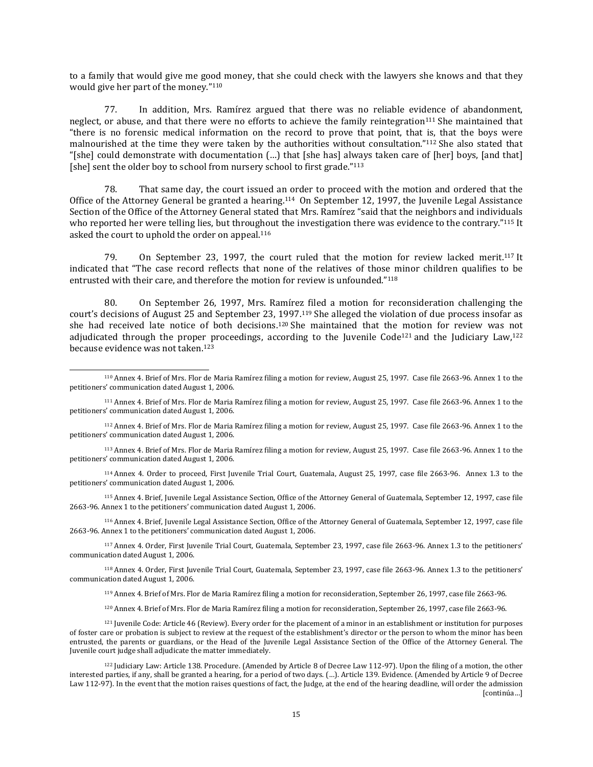to a family that would give me good money, that she could check with the lawyers she knows and that they would give her part of the money." <sup>110</sup>

77. In addition, Mrs. Ramírez argued that there was no reliable evidence of abandonment, neglect, or abuse, and that there were no efforts to achieve the family reintegration<sup>111</sup> She maintained that "there is no forensic medical information on the record to prove that point, that is, that the boys were malnourished at the time they were taken by the authorities without consultation." <sup>112</sup> She also stated that "[she] could demonstrate with documentation (…) that [she has] always taken care of [her] boys, [and that] [she] sent the older boy to school from nursery school to first grade."<sup>113</sup>

78. That same day, the court issued an order to proceed with the motion and ordered that the Office of the Attorney General be granted a hearing.<sup>114</sup> On September 12, 1997, the Juvenile Legal Assistance Section of the Office of the Attorney General stated that Mrs. Ramírez "said that the neighbors and individuals who reported her were telling lies, but throughout the investigation there was evidence to the contrary."<sup>115</sup> It asked the court to uphold the order on appeal.<sup>116</sup>

79. On September 23, 1997, the court ruled that the motion for review lacked merit.<sup>117</sup> It indicated that "The case record reflects that none of the relatives of those minor children qualifies to be entrusted with their care, and therefore the motion for review is unfounded."<sup>118</sup>

80. On September 26, 1997, Mrs. Ramírez filed a motion for reconsideration challenging the court's decisions of August 25 and September 23, 1997.<sup>119</sup> She alleged the violation of due process insofar as she had received late notice of both decisions.<sup>120</sup> She maintained that the motion for review was not adjudicated through the proper proceedings, according to the Juvenile Code<sup>121</sup> and the Judiciary Law,<sup>122</sup> because evidence was not taken. <sup>123</sup>

 $\overline{a}$ 

<sup>112</sup> Annex 4. Brief of Mrs. Flor de Maria Ramírez filing a motion for review, August 25, 1997. Case file 2663-96. Annex 1 to the petitioners' communication dated August 1, 2006.

<sup>113</sup> Annex 4. Brief of Mrs. Flor de Maria Ramírez filing a motion for review, August 25, 1997. Case file 2663-96. Annex 1 to the petitioners' communication dated August 1, 2006.

<sup>114</sup> Annex 4. Order to proceed, First Juvenile Trial Court, Guatemala, August 25, 1997, case file 2663-96. Annex 1.3 to the petitioners' communication dated August 1, 2006.

<sup>115</sup> Annex 4. Brief, Juvenile Legal Assistance Section, Office of the Attorney General of Guatemala, September 12, 1997, case file 2663-96. Annex 1 to the petitioners' communication dated August 1, 2006.

<sup>116</sup> Annex 4. Brief, Juvenile Legal Assistance Section, Office of the Attorney General of Guatemala, September 12, 1997, case file 2663-96. Annex 1 to the petitioners' communication dated August 1, 2006.

<sup>117</sup> Annex 4. Order, First Juvenile Trial Court, Guatemala, September 23, 1997, case file 2663-96. Annex 1.3 to the petitioners' communication dated August 1, 2006.

<sup>118</sup> Annex 4. Order, First Juvenile Trial Court, Guatemala, September 23, 1997, case file 2663-96. Annex 1.3 to the petitioners' communication dated August 1, 2006.

<sup>119</sup> Annex 4. Brief of Mrs. Flor de Maria Ramírez filing a motion for reconsideration, September 26, 1997, case file 2663-96.

<sup>120</sup> Annex 4. Brief of Mrs. Flor de Maria Ramírez filing a motion for reconsideration, September 26, 1997, case file 2663-96.

<sup>121</sup> Juvenile Code: Article 46 (Review). Every order for the placement of a minor in an establishment or institution for purposes of foster care or probation is subject to review at the request of the establishment's director or the person to whom the minor has been entrusted, the parents or guardians, or the Head of the Juvenile Legal Assistance Section of the Office of the Attorney General. The Juvenile court judge shall adjudicate the matter immediately.

<sup>122</sup> Judiciary Law: Article 138. Procedure. (Amended by Article 8 of Decree Law 112-97). Upon the filing of a motion, the other interested parties, if any, shall be granted a hearing, for a period of two days. (…). Article 139. Evidence. (Amended by Article 9 of Decree Law 112-97). In the event that the motion raises questions of fact, the Judge, at the end of the hearing deadline, will order the admission [continúa…]

<sup>110</sup> Annex 4. Brief of Mrs. Flor de Maria Ramírez filing a motion for review, August 25, 1997. Case file 2663-96. Annex 1 to the petitioners' communication dated August 1, 2006.

<sup>111</sup> Annex 4. Brief of Mrs. Flor de Maria Ramírez filing a motion for review, August 25, 1997. Case file 2663-96. Annex 1 to the petitioners' communication dated August 1, 2006.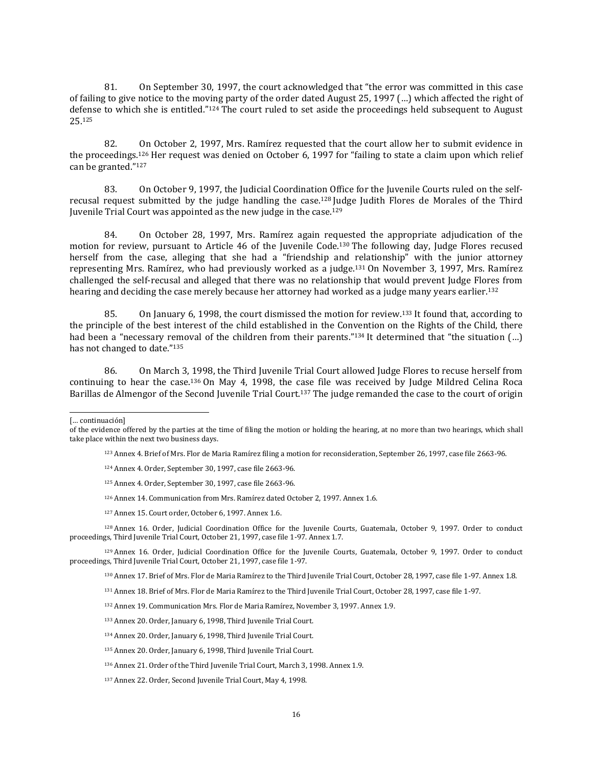81. On September 30, 1997, the court acknowledged that "the error was committed in this case of failing to give notice to the moving party of the order dated August 25, 1997 (…) which affected the right of defense to which she is entitled."<sup>124</sup> The court ruled to set aside the proceedings held subsequent to August 25. 125

82. On October 2, 1997, Mrs. Ramírez requested that the court allow her to submit evidence in the proceedings.<sup>126</sup> Her request was denied on October 6, 1997 for "failing to state a claim upon which relief can be granted." 127

83. On October 9, 1997, the Judicial Coordination Office for the Juvenile Courts ruled on the selfrecusal request submitted by the judge handling the case.<sup>128</sup> Judge Judith Flores de Morales of the Third Juvenile Trial Court was appointed as the new judge in the case.<sup>129</sup>

84. On October 28, 1997, Mrs. Ramírez again requested the appropriate adjudication of the motion for review, pursuant to Article 46 of the Juvenile Code. <sup>130</sup> The following day, Judge Flores recused herself from the case, alleging that she had a "friendship and relationship" with the junior attorney representing Mrs. Ramírez, who had previously worked as a judge. <sup>131</sup> On November 3, 1997, Mrs. Ramírez challenged the self-recusal and alleged that there was no relationship that would prevent Judge Flores from hearing and deciding the case merely because her attorney had worked as a judge many years earlier.<sup>132</sup>

85. On January 6, 1998, the court dismissed the motion for review.<sup>133</sup> It found that, according to the principle of the best interest of the child established in the Convention on the Rights of the Child, there had been a "necessary removal of the children from their parents."<sup>134</sup> It determined that "the situation (...) has not changed to date."<sup>135</sup>

86. On March 3, 1998, the Third Juvenile Trial Court allowed Judge Flores to recuse herself from continuing to hear the case.<sup>136</sup> On May 4, 1998, the case file was received by Judge Mildred Celina Roca Barillas de Almengor of the Second Juvenile Trial Court.<sup>137</sup> The judge remanded the case to the court of origin

[… continuación]

 $\overline{\phantom{a}}$ 

<sup>123</sup> Annex 4. Brief of Mrs. Flor de Maria Ramírez filing a motion for reconsideration, September 26, 1997, case file 2663-96.

<sup>127</sup> Annex 15. Court order, October 6, 1997. Annex 1.6.

<sup>128</sup> Annex 16. Order, Judicial Coordination Office for the Juvenile Courts, Guatemala, October 9, 1997. Order to conduct proceedings, Third Juvenile Trial Court, October 21, 1997, case file 1-97. Annex 1.7.

<sup>129</sup> Annex 16. Order, Judicial Coordination Office for the Juvenile Courts, Guatemala, October 9, 1997. Order to conduct proceedings, Third Juvenile Trial Court, October 21, 1997, case file 1-97.

<sup>130</sup> Annex 17. Brief of Mrs. Flor de Maria Ramírez to the Third Juvenile Trial Court, October 28, 1997, case file 1-97. Annex 1.8.

<sup>131</sup> Annex 18. Brief of Mrs. Flor de Maria Ramírez to the Third Juvenile Trial Court, October 28, 1997, case file 1-97.

<sup>132</sup> Annex 19. Communication Mrs. Flor de Maria Ramírez, November 3, 1997. Annex 1.9.

of the evidence offered by the parties at the time of filing the motion or holding the hearing, at no more than two hearings, which shall take place within the next two business days.

<sup>124</sup> Annex 4. Order, September 30, 1997, case file 2663-96.

<sup>125</sup> Annex 4. Order, September 30, 1997, case file 2663-96.

<sup>126</sup> Annex 14. Communication from Mrs. Ramírez dated October 2, 1997. Annex 1.6.

<sup>133</sup> Annex 20. Order, January 6, 1998, Third Juvenile Trial Court.

<sup>134</sup> Annex 20. Order, January 6, 1998, Third Juvenile Trial Court.

<sup>135</sup> Annex 20. Order, January 6, 1998, Third Juvenile Trial Court.

<sup>136</sup> Annex 21. Order of the Third Juvenile Trial Court, March 3, 1998. Annex 1.9.

<sup>137</sup> Annex 22. Order, Second Juvenile Trial Court, May 4, 1998.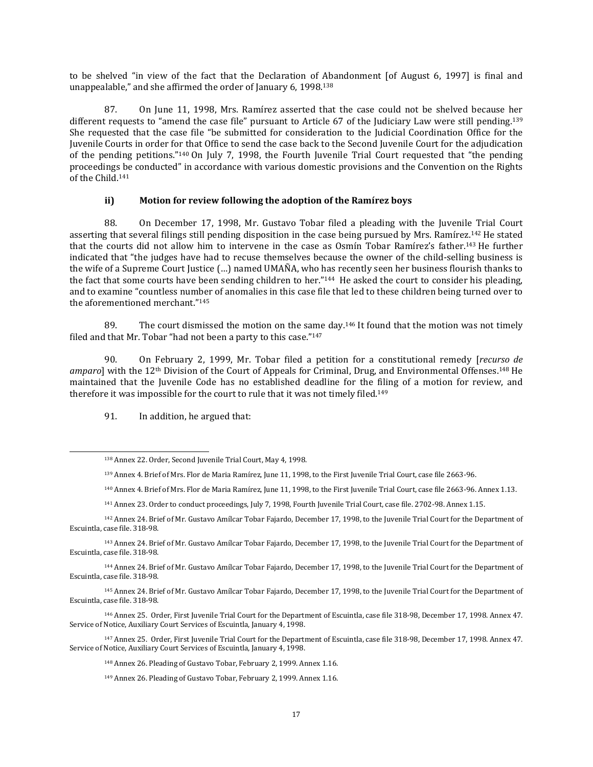to be shelved "in view of the fact that the Declaration of Abandonment [of August 6, 1997] is final and unappealable," and she affirmed the order of January 6, 1998. 138

87. On June 11, 1998, Mrs. Ramírez asserted that the case could not be shelved because her different requests to "amend the case file" pursuant to Article 67 of the Judiciary Law were still pending.<sup>139</sup> She requested that the case file "be submitted for consideration to the Judicial Coordination Office for the Juvenile Courts in order for that Office to send the case back to the Second Juvenile Court for the adjudication of the pending petitions."<sup>140</sup> On July 7, 1998, the Fourth Juvenile Trial Court requested that "the pending proceedings be conducted" in accordance with various domestic provisions and the Convention on the Rights of the Child. 141

#### **ii) Motion for review following the adoption of the Ramírez boys**

88. On December 17, 1998, Mr. Gustavo Tobar filed a pleading with the Juvenile Trial Court asserting that several filings still pending disposition in the case being pursued by Mrs. Ramírez.<sup>142</sup> He stated that the courts did not allow him to intervene in the case as Osmín Tobar Ramírez's father.<sup>143</sup> He further indicated that "the judges have had to recuse themselves because the owner of the child-selling business is the wife of a Supreme Court Justice (…) named UMAÑA, who has recently seen her business flourish thanks to the fact that some courts have been sending children to her."<sup>144</sup> He asked the court to consider his pleading, and to examine "countless number of anomalies in this case file that led to these children being turned over to the aforementioned merchant." 145

89. The court dismissed the motion on the same day.<sup>146</sup> It found that the motion was not timely filed and that Mr. Tobar "had not been a party to this case."<sup>147</sup>

90. On February 2, 1999, Mr. Tobar filed a petition for a constitutional remedy [*recurso de* amparo] with the 12<sup>th</sup> Division of the Court of Appeals for Criminal, Drug, and Environmental Offenses.<sup>148</sup> He maintained that the Juvenile Code has no established deadline for the filing of a motion for review, and therefore it was impossible for the court to rule that it was not timely filed. 149

91. In addition, he argued that:

 $\overline{\phantom{a}}$ 

<sup>144</sup> Annex 24. Brief of Mr. Gustavo Amílcar Tobar Fajardo, December 17, 1998, to the Juvenile Trial Court for the Department of Escuintla, case file. 318-98.

<sup>145</sup> Annex 24. Brief of Mr. Gustavo Amílcar Tobar Fajardo, December 17, 1998, to the Juvenile Trial Court for the Department of Escuintla, case file. 318-98.

<sup>146</sup> Annex 25. Order, First Juvenile Trial Court for the Department of Escuintla, case file 318-98, December 17, 1998. Annex 47. Service of Notice, Auxiliary Court Services of Escuintla, January 4, 1998.

<sup>147</sup> Annex 25. Order, First Juvenile Trial Court for the Department of Escuintla, case file 318-98, December 17, 1998. Annex 47. Service of Notice, Auxiliary Court Services of Escuintla, January 4, 1998.

<sup>148</sup> Annex 26. Pleading of Gustavo Tobar, February 2, 1999. Annex 1.16.

<sup>138</sup> Annex 22. Order, Second Juvenile Trial Court, May 4, 1998.

<sup>139</sup> Annex 4. Brief of Mrs. Flor de Maria Ramírez, June 11, 1998, to the First Juvenile Trial Court, case file 2663-96.

<sup>140</sup> Annex 4. Brief of Mrs. Flor de Maria Ramírez, June 11, 1998, to the First Juvenile Trial Court, case file 2663-96. Annex 1.13.

<sup>141</sup> Annex 23. Order to conduct proceedings, July 7, 1998, Fourth Juvenile Trial Court, case file. 2702-98. Annex 1.15.

<sup>142</sup> Annex 24. Brief of Mr. Gustavo Amílcar Tobar Fajardo, December 17, 1998, to the Juvenile Trial Court for the Department of Escuintla, case file. 318-98.

<sup>143</sup> Annex 24. Brief of Mr. Gustavo Amílcar Tobar Fajardo, December 17, 1998, to the Juvenile Trial Court for the Department of Escuintla, case file. 318-98.

<sup>149</sup> Annex 26. Pleading of Gustavo Tobar, February 2, 1999. Annex 1.16.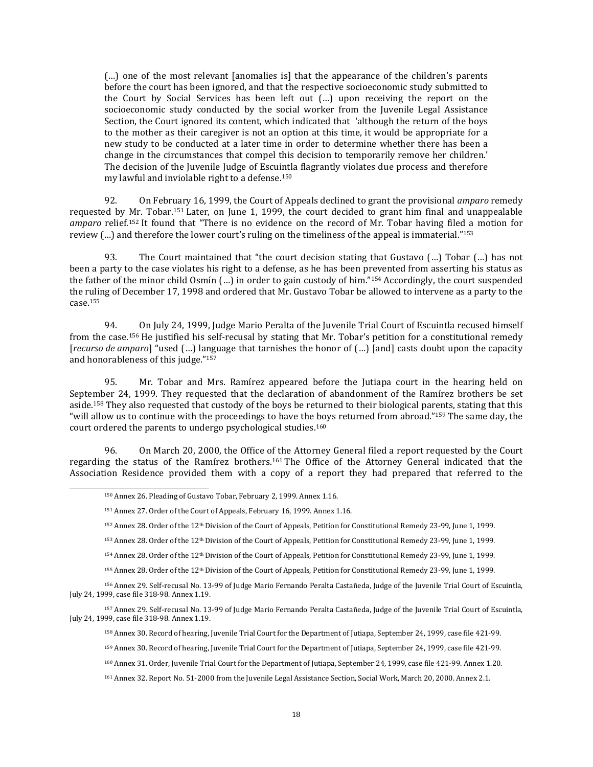(…) one of the most relevant [anomalies is] that the appearance of the children's parents before the court has been ignored, and that the respective socioeconomic study submitted to the Court by Social Services has been left out (…) upon receiving the report on the socioeconomic study conducted by the social worker from the Juvenile Legal Assistance Section, the Court ignored its content, which indicated that 'although the return of the boys to the mother as their caregiver is not an option at this time, it would be appropriate for a new study to be conducted at a later time in order to determine whether there has been a change in the circumstances that compel this decision to temporarily remove her children.' The decision of the Juvenile Judge of Escuintla flagrantly violates due process and therefore my lawful and inviolable right to a defense.<sup>150</sup>

92. On February 16, 1999, the Court of Appeals declined to grant the provisional *amparo* remedy requested by Mr. Tobar. <sup>151</sup> Later, on June 1, 1999, the court decided to grant him final and unappealable *amparo* relief. <sup>152</sup> It found that "There is no evidence on the record of Mr. Tobar having filed a motion for review (…) and therefore the lower court's ruling on the timeliness of the appeal is immaterial." 153

93. The Court maintained that "the court decision stating that Gustavo (…) Tobar (…) has not been a party to the case violates his right to a defense, as he has been prevented from asserting his status as the father of the minor child Osmín (…) in order to gain custody of him." <sup>154</sup> Accordingly, the court suspended the ruling of December 17, 1998 and ordered that Mr. Gustavo Tobar be allowed to intervene as a party to the case. 155

94. On July 24, 1999, Judge Mario Peralta of the Juvenile Trial Court of Escuintla recused himself from the case.<sup>156</sup> He justified his self-recusal by stating that Mr. Tobar's petition for a constitutional remedy [*recurso de amparo*] "used (…) language that tarnishes the honor of (…) [and] casts doubt upon the capacity and honorableness of this judge." 157

95. Mr. Tobar and Mrs. Ramírez appeared before the Jutiapa court in the hearing held on September 24, 1999. They requested that the declaration of abandonment of the Ramírez brothers be set aside.<sup>158</sup> They also requested that custody of the boys be returned to their biological parents, stating that this "will allow us to continue with the proceedings to have the boys returned from abroad."<sup>159</sup> The same day, the court ordered the parents to undergo psychological studies. 160

96. On March 20, 2000, the Office of the Attorney General filed a report requested by the Court regarding the status of the Ramírez brothers. <sup>161</sup> The Office of the Attorney General indicated that the Association Residence provided them with a copy of a report they had prepared that referred to the

 $\overline{\phantom{a}}$ 

<sup>156</sup> Annex 29. Self-recusal No. 13-99 of Judge Mario Fernando Peralta Castañeda, Judge of the Juvenile Trial Court of Escuintla, July 24, 1999, case file 318-98. Annex 1.19.

<sup>157</sup> Annex 29. Self-recusal No. 13-99 of Judge Mario Fernando Peralta Castañeda, Judge of the Juvenile Trial Court of Escuintla, July 24, 1999, case file 318-98. Annex 1.19.

<sup>158</sup> Annex 30. Record of hearing, Juvenile Trial Court for the Department of Jutiapa, September 24, 1999, case file 421-99.

<sup>150</sup> Annex 26. Pleading of Gustavo Tobar, February 2, 1999. Annex 1.16.

<sup>151</sup> Annex 27. Order of the Court of Appeals, February 16, 1999. Annex 1.16.

<sup>152</sup> Annex 28. Order of the 12th Division of the Court of Appeals, Petition for Constitutional Remedy 23-99, June 1, 1999*.*

<sup>153</sup> Annex 28. Order of the 12th Division of the Court of Appeals, Petition for Constitutional Remedy 23-99, June 1, 1999*.*

<sup>154</sup> Annex 28. Order of the 12th Division of the Court of Appeals, Petition for Constitutional Remedy 23-99, June 1, 1999*.*

<sup>155</sup> Annex 28. Order of the 12th Division of the Court of Appeals, Petition for Constitutional Remedy 23-99, June 1, 1999*.*

<sup>159</sup> Annex 30. Record of hearing, Juvenile Trial Court for the Department of Jutiapa, September 24, 1999, case file 421-99.

<sup>160</sup> Annex 31. Order, Juvenile Trial Court for the Department of Jutiapa, September 24, 1999, case file 421-99. Annex 1.20.

<sup>161</sup> Annex 32. Report No. 51-2000 from the Juvenile Legal Assistance Section, Social Work, March 20, 2000. Annex 2.1.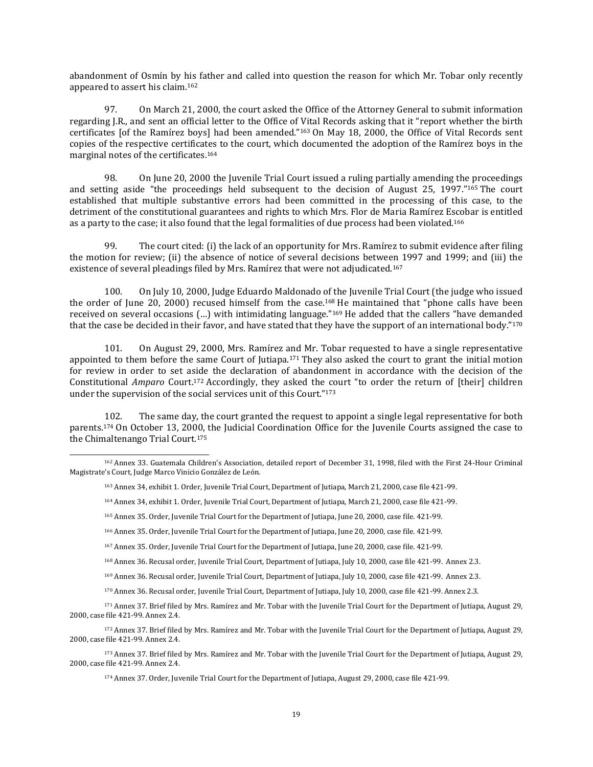abandonment of Osmín by his father and called into question the reason for which Mr. Tobar only recently appeared to assert his claim. <sup>162</sup>

97. On March 21, 2000, the court asked the Office of the Attorney General to submit information regarding J.R., and sent an official letter to the Office of Vital Records asking that it "report whether the birth certificates [of the Ramírez boys] had been amended." <sup>163</sup> On May 18, 2000, the Office of Vital Records sent copies of the respective certificates to the court, which documented the adoption of the Ramírez boys in the marginal notes of the certificates. 164

98. On June 20, 2000 the Juvenile Trial Court issued a ruling partially amending the proceedings and setting aside "the proceedings held subsequent to the decision of August 25, 1997." <sup>165</sup> The court established that multiple substantive errors had been committed in the processing of this case, to the detriment of the constitutional guarantees and rights to which Mrs. Flor de Maria Ramírez Escobar is entitled as a party to the case; it also found that the legal formalities of due process had been violated.<sup>166</sup>

99. The court cited: (i) the lack of an opportunity for Mrs. Ramírez to submit evidence after filing the motion for review; (ii) the absence of notice of several decisions between 1997 and 1999; and (iii) the existence of several pleadings filed by Mrs. Ramírez that were not adjudicated. 167

100. On July 10, 2000, Judge Eduardo Maldonado of the Juvenile Trial Court (the judge who issued the order of June 20, 2000) recused himself from the case.<sup>168</sup> He maintained that "phone calls have been received on several occasions (...) with intimidating language."<sup>169</sup> He added that the callers "have demanded that the case be decided in their favor, and have stated that they have the support of an international body."<sup>170</sup>

101. On August 29, 2000, Mrs. Ramírez and Mr. Tobar requested to have a single representative appointed to them before the same Court of Jutiapa.<sup>171</sup> They also asked the court to grant the initial motion for review in order to set aside the declaration of abandonment in accordance with the decision of the Constitutional *Amparo* Court.<sup>172</sup> Accordingly, they asked the court "to order the return of [their] children under the supervision of the social services unit of this Court."<sup>173</sup>

102. The same day, the court granted the request to appoint a single legal representative for both parents.<sup>174</sup> On October 13, 2000, the Judicial Coordination Office for the Juvenile Courts assigned the case to the Chimaltenango Trial Court. <sup>175</sup>

<sup>164</sup> Annex 34, exhibit 1. Order, Juvenile Trial Court, Department of Jutiapa, March 21, 2000, case file 421-99.

<sup>165</sup> Annex 35. Order, Juvenile Trial Court for the Department of Jutiapa, June 20, 2000, case file. 421-99.

 $\overline{\phantom{a}}$ 

<sup>166</sup> Annex 35. Order, Juvenile Trial Court for the Department of Jutiapa, June 20, 2000, case file. 421-99.

<sup>167</sup> Annex 35. Order, Juvenile Trial Court for the Department of Jutiapa, June 20, 2000, case file. 421-99.

<sup>168</sup> Annex 36. Recusal order, Juvenile Trial Court, Department of Jutiapa, July 10, 2000, case file 421-99. Annex 2.3.

<sup>169</sup> Annex 36. Recusal order, Juvenile Trial Court, Department of Jutiapa, July 10, 2000, case file 421-99. Annex 2.3.

<sup>170</sup> Annex 36. Recusal order, Juvenile Trial Court, Department of Jutiapa, July 10, 2000, case file 421-99. Annex 2.3.

<sup>171</sup> Annex 37. Brief filed by Mrs. Ramírez and Mr. Tobar with the Juvenile Trial Court for the Department of Jutiapa, August 29, 2000, case file 421-99. Annex 2.4.

<sup>172</sup> Annex 37. Brief filed by Mrs. Ramírez and Mr. Tobar with the Juvenile Trial Court for the Department of Jutiapa, August 29, 2000, case file 421-99. Annex 2.4.

<sup>173</sup> Annex 37. Brief filed by Mrs. Ramírez and Mr. Tobar with the Juvenile Trial Court for the Department of Jutiapa, August 29, 2000, case file 421-99. Annex 2.4.

<sup>174</sup> Annex 37. Order, Juvenile Trial Court for the Department of Jutiapa, August 29, 2000, case file 421-99.

<sup>162</sup> Annex 33. Guatemala Children's Association, detailed report of December 31, 1998, filed with the First 24-Hour Criminal Magistrate's Court, Judge Marco Vinicio González de León.

<sup>163</sup> Annex 34, exhibit 1. Order, Juvenile Trial Court, Department of Jutiapa, March 21, 2000, case file 421-99.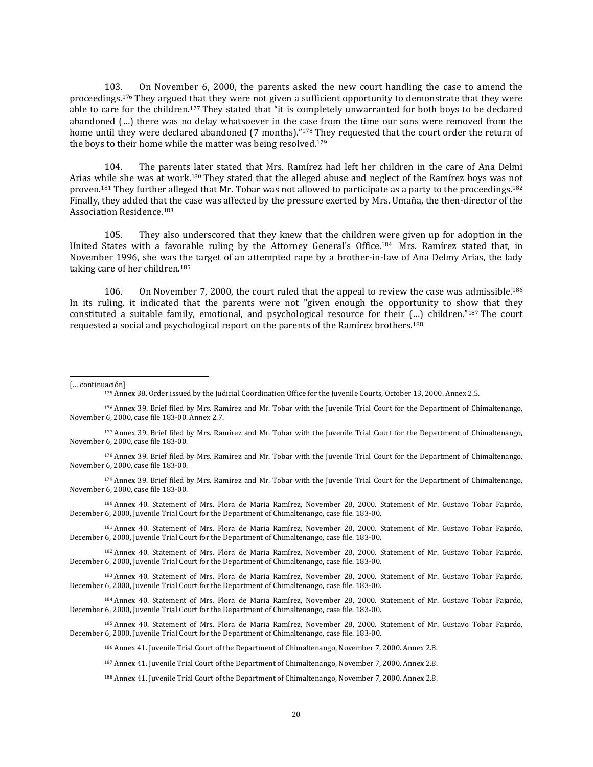103. On November 6, 2000, the parents asked the new court handling the case to amend the proceedings.<sup>176</sup> They argued that they were not given a sufficient opportunity to demonstrate that they were able to care for the children.<sup>177</sup> They stated that "it is completely unwarranted for both boys to be declared abandoned (…) there was no delay whatsoever in the case from the time our sons were removed from the home until they were declared abandoned (7 months)."<sup>178</sup> They requested that the court order the return of the boys to their home while the matter was being resolved. <sup>179</sup>

104. The parents later stated that Mrs. Ramírez had left her children in the care of Ana Delmi Arias while she was at work.<sup>180</sup> They stated that the alleged abuse and neglect of the Ramírez boys was not proven.<sup>181</sup> They further alleged that Mr. Tobar was not allowed to participate as a party to the proceedings.<sup>182</sup> Finally, they added that the case was affected by the pressure exerted by Mrs. Umaña, the then-director of the Association Residence. 183

105. They also underscored that they knew that the children were given up for adoption in the United States with a favorable ruling by the Attorney General's Office.184 Mrs. Ramírez stated that, in November 1996, she was the target of an attempted rape by a brother-in-law of Ana Delmy Arias, the lady taking care of her children.<sup>185</sup>

106. On November 7, 2000, the court ruled that the appeal to review the case was admissible.<sup>186</sup> In its ruling, it indicated that the parents were not "given enough the opportunity to show that they constituted a suitable family, emotional, and psychological resource for their (…) children."<sup>187</sup> The court requested a social and psychological report on the parents of the Ramírez brothers.<sup>188</sup>

[… continuación]

 $\overline{\phantom{a}}$ 

<sup>175</sup> Annex 38. Order issued by the Judicial Coordination Office for the Juvenile Courts, October 13, 2000. Annex 2.5.

<sup>176</sup> Annex 39. Brief filed by Mrs. Ramírez and Mr. Tobar with the Juvenile Trial Court for the Department of Chimaltenango, November 6, 2000, case file 183-00. Annex 2.7.

<sup>177</sup> Annex 39. Brief filed by Mrs. Ramírez and Mr. Tobar with the Juvenile Trial Court for the Department of Chimaltenango, November 6, 2000, case file 183-00.

<sup>178</sup> Annex 39. Brief filed by Mrs. Ramírez and Mr. Tobar with the Juvenile Trial Court for the Department of Chimaltenango, November 6, 2000, case file 183-00.

<sup>179</sup> Annex 39. Brief filed by Mrs. Ramírez and Mr. Tobar with the Juvenile Trial Court for the Department of Chimaltenango, November 6, 2000, case file 183-00.

<sup>180</sup> Annex 40. Statement of Mrs. Flora de Maria Ramírez, November 28, 2000. Statement of Mr. Gustavo Tobar Fajardo, December 6, 2000, Juvenile Trial Court for the Department of Chimaltenango, case file. 183-00.

<sup>181</sup> Annex 40. Statement of Mrs. Flora de Maria Ramírez, November 28, 2000. Statement of Mr. Gustavo Tobar Fajardo, December 6, 2000, Juvenile Trial Court for the Department of Chimaltenango, case file. 183-00.

<sup>182</sup> Annex 40. Statement of Mrs. Flora de Maria Ramírez, November 28, 2000. Statement of Mr. Gustavo Tobar Fajardo, December 6, 2000, Juvenile Trial Court for the Department of Chimaltenango, case file. 183-00.

<sup>183</sup> Annex 40. Statement of Mrs. Flora de Maria Ramírez, November 28, 2000. Statement of Mr. Gustavo Tobar Fajardo, December 6, 2000, Juvenile Trial Court for the Department of Chimaltenango, case file. 183-00.

<sup>184</sup> Annex 40. Statement of Mrs. Flora de Maria Ramírez, November 28, 2000. Statement of Mr. Gustavo Tobar Fajardo, December 6, 2000, Juvenile Trial Court for the Department of Chimaltenango, case file. 183-00.

<sup>185</sup> Annex 40. Statement of Mrs. Flora de Maria Ramírez, November 28, 2000. Statement of Mr. Gustavo Tobar Fajardo, December 6, 2000, Juvenile Trial Court for the Department of Chimaltenango, case file. 183-00.

<sup>186</sup> Annex 41. Juvenile Trial Court of the Department of Chimaltenango, November 7, 2000. Annex 2.8.

<sup>187</sup> Annex 41. Juvenile Trial Court of the Department of Chimaltenango, November 7, 2000. Annex 2.8.

<sup>188</sup> Annex 41. Juvenile Trial Court of the Department of Chimaltenango, November 7, 2000. Annex 2.8.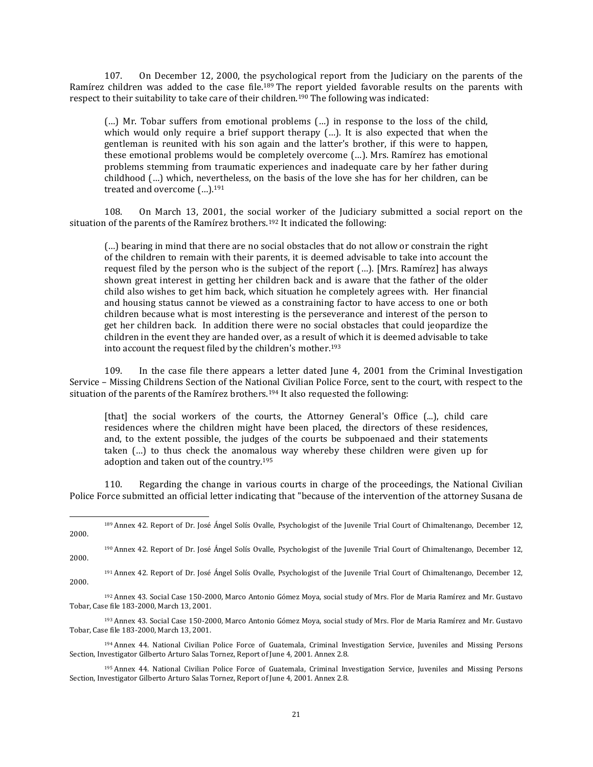107. On December 12, 2000, the psychological report from the Judiciary on the parents of the Ramírez children was added to the case file.<sup>189</sup> The report yielded favorable results on the parents with respect to their suitability to take care of their children.<sup>190</sup> The following was indicated:

(…) Mr. Tobar suffers from emotional problems (…) in response to the loss of the child, which would only require a brief support therapy (...). It is also expected that when the gentleman is reunited with his son again and the latter's brother, if this were to happen, these emotional problems would be completely overcome (…). Mrs. Ramírez has emotional problems stemming from traumatic experiences and inadequate care by her father during childhood (…) which, nevertheless, on the basis of the love she has for her children, can be treated and overcome (…).<sup>191</sup>

108. On March 13, 2001, the social worker of the Judiciary submitted a social report on the situation of the parents of the Ramírez brothers.<sup>192</sup> It indicated the following:

(…) bearing in mind that there are no social obstacles that do not allow or constrain the right of the children to remain with their parents, it is deemed advisable to take into account the request filed by the person who is the subject of the report (…). [Mrs. Ramírez] has always shown great interest in getting her children back and is aware that the father of the older child also wishes to get him back, which situation he completely agrees with. Her financial and housing status cannot be viewed as a constraining factor to have access to one or both children because what is most interesting is the perseverance and interest of the person to get her children back. In addition there were no social obstacles that could jeopardize the children in the event they are handed over, as a result of which it is deemed advisable to take into account the request filed by the children's mother.<sup>193</sup>

109. In the case file there appears a letter dated June 4, 2001 from the Criminal Investigation Service – Missing Childrens Section of the National Civilian Police Force, sent to the court, with respect to the situation of the parents of the Ramírez brothers.<sup>194</sup> It also requested the following:

[that] the social workers of the courts, the Attorney General's Office (...), child care residences where the children might have been placed, the directors of these residences, and, to the extent possible, the judges of the courts be subpoenaed and their statements taken (…) to thus check the anomalous way whereby these children were given up for adoption and taken out of the country.<sup>195</sup>

110. Regarding the change in various courts in charge of the proceedings, the National Civilian Police Force submitted an official letter indicating that "because of the intervention of the attorney Susana de

 $\overline{\phantom{a}}$ 

<sup>189</sup> Annex 42. Report of Dr. José Ángel Solís Ovalle, Psychologist of the Juvenile Trial Court of Chimaltenango, December 12, 2000.

<sup>190</sup> Annex 42. Report of Dr. José Ángel Solís Ovalle, Psychologist of the Juvenile Trial Court of Chimaltenango, December 12, 2000.

<sup>191</sup> Annex 42. Report of Dr. José Ángel Solís Ovalle, Psychologist of the Juvenile Trial Court of Chimaltenango, December 12, 2000.

<sup>192</sup> Annex 43. Social Case 150-2000, Marco Antonio Gómez Moya, social study of Mrs. Flor de Maria Ramírez and Mr. Gustavo Tobar, Case file 183-2000, March 13, 2001.

<sup>193</sup> Annex 43. Social Case 150-2000, Marco Antonio Gómez Moya, social study of Mrs. Flor de Maria Ramírez and Mr. Gustavo Tobar, Case file 183-2000, March 13, 2001.

<sup>194</sup> Annex 44. National Civilian Police Force of Guatemala, Criminal Investigation Service, Juveniles and Missing Persons Section, Investigator Gilberto Arturo Salas Tornez, Report of June 4, 2001. Annex 2.8.

<sup>195</sup> Annex 44. National Civilian Police Force of Guatemala, Criminal Investigation Service, Juveniles and Missing Persons Section, Investigator Gilberto Arturo Salas Tornez, Report of June 4, 2001. Annex 2.8.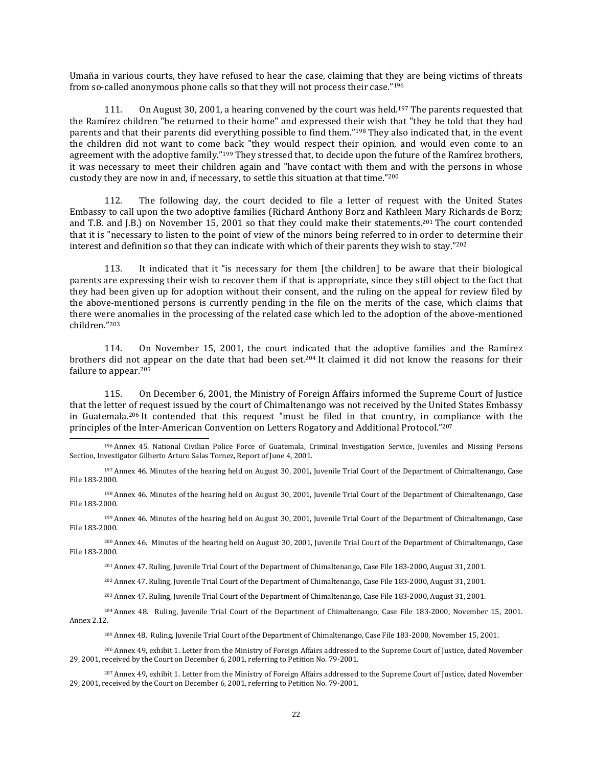Umaña in various courts, they have refused to hear the case, claiming that they are being victims of threats from so-called anonymous phone calls so that they will not process their case."<sup>196</sup>

111. On August 30, 2001, a hearing convened by the court was held.<sup>197</sup> The parents requested that the Ramírez children "be returned to their home" and expressed their wish that "they be told that they had parents and that their parents did everything possible to find them."<sup>198</sup> They also indicated that, in the event the children did not want to come back "they would respect their opinion, and would even come to an agreement with the adoptive family."<sup>199</sup> They stressed that, to decide upon the future of the Ramírez brothers, it was necessary to meet their children again and "have contact with them and with the persons in whose custody they are now in and, if necessary, to settle this situation at that time."<sup>200</sup>

112. The following day, the court decided to file a letter of request with the United States Embassy to call upon the two adoptive families (Richard Anthony Borz and Kathleen Mary Richards de Borz; and T.B. and J.B.) on November 15, 2001 so that they could make their statements.<sup>201</sup> The court contended that it is "necessary to listen to the point of view of the minors being referred to in order to determine their interest and definition so that they can indicate with which of their parents they wish to stay."<sup>202</sup>

113. It indicated that it "is necessary for them [the children] to be aware that their biological parents are expressing their wish to recover them if that is appropriate, since they still object to the fact that they had been given up for adoption without their consent, and the ruling on the appeal for review filed by the above-mentioned persons is currently pending in the file on the merits of the case, which claims that there were anomalies in the processing of the related case which led to the adoption of the above-mentioned children."<sup>203</sup>

114. On November 15, 2001, the court indicated that the adoptive families and the Ramírez brothers did not appear on the date that had been set.<sup>204</sup> It claimed it did not know the reasons for their failure to appear.<sup>205</sup>

115. On December 6, 2001, the Ministry of Foreign Affairs informed the Supreme Court of Justice that the letter of request issued by the court of Chimaltenango was not received by the United States Embassy in Guatemala.<sup>206</sup> It contended that this request "must be filed in that country, in compliance with the principles of the Inter-American Convention on Letters Rogatory and Additional Protocol."<sup>207</sup>

<sup>196</sup> Annex 45. National Civilian Police Force of Guatemala, Criminal Investigation Service, Juveniles and Missing Persons Section, Investigator Gilberto Arturo Salas Tornez, Report of June 4, 2001.

 $\overline{a}$ 

<sup>197</sup> Annex 46. Minutes of the hearing held on August 30, 2001, Juvenile Trial Court of the Department of Chimaltenango, Case File 183-2000.

<sup>198</sup> Annex 46. Minutes of the hearing held on August 30, 2001, Juvenile Trial Court of the Department of Chimaltenango, Case File 183-2000.

<sup>199</sup> Annex 46. Minutes of the hearing held on August 30, 2001, Juvenile Trial Court of the Department of Chimaltenango, Case File 183-2000.

<sup>200</sup> Annex 46. Minutes of the hearing held on August 30, 2001, Juvenile Trial Court of the Department of Chimaltenango, Case File 183-2000.

<sup>201</sup> Annex 47. Ruling, Juvenile Trial Court of the Department of Chimaltenango, Case File 183-2000, August 31, 2001.

<sup>202</sup> Annex 47. Ruling, Juvenile Trial Court of the Department of Chimaltenango, Case File 183-2000, August 31, 2001.

<sup>203</sup> Annex 47. Ruling, Juvenile Trial Court of the Department of Chimaltenango, Case File 183-2000, August 31, 2001.

<sup>204</sup> Annex 48. Ruling, Juvenile Trial Court of the Department of Chimaltenango, Case File 183-2000, November 15, 2001. Annex 2.12.

<sup>205</sup> Annex 48. Ruling, Juvenile Trial Court of the Department of Chimaltenango, Case File 183-2000, November 15, 2001.

<sup>206</sup> Annex 49, exhibit 1. Letter from the Ministry of Foreign Affairs addressed to the Supreme Court of Justice, dated November 29, 2001, received by the Court on December 6, 2001, referring to Petition No. 79-2001.

<sup>207</sup> Annex 49, exhibit 1. Letter from the Ministry of Foreign Affairs addressed to the Supreme Court of Justice, dated November 29, 2001, received by the Court on December 6, 2001, referring to Petition No. 79-2001.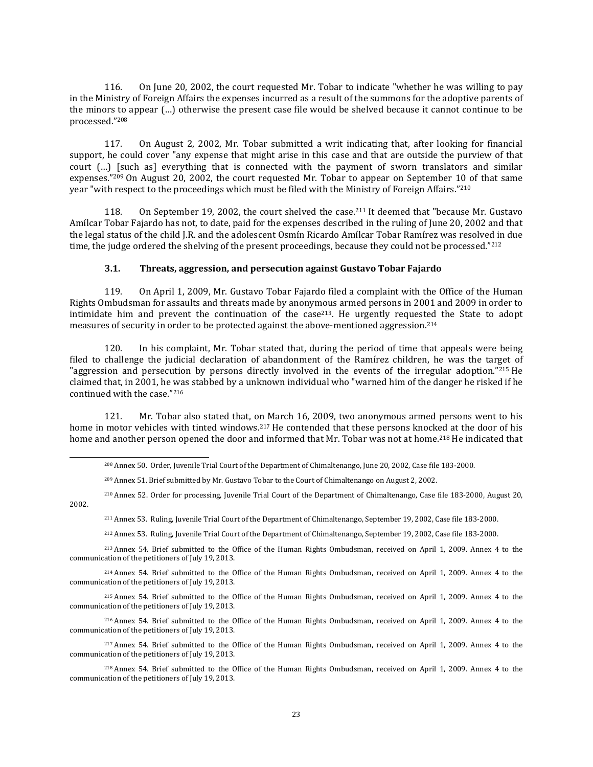116. On June 20, 2002, the court requested Mr. Tobar to indicate "whether he was willing to pay in the Ministry of Foreign Affairs the expenses incurred as a result of the summons for the adoptive parents of the minors to appear (…) otherwise the present case file would be shelved because it cannot continue to be processed."<sup>208</sup>

117. On August 2, 2002, Mr. Tobar submitted a writ indicating that, after looking for financial support, he could cover "any expense that might arise in this case and that are outside the purview of that court (…) [such as] everything that is connected with the payment of sworn translators and similar expenses."<sup>209</sup> On August 20, 2002, the court requested Mr. Tobar to appear on September 10 of that same year "with respect to the proceedings which must be filed with the Ministry of Foreign Affairs."<sup>210</sup>

118. On September 19, 2002, the court shelved the case.<sup>211</sup> It deemed that "because Mr. Gustavo Amílcar Tobar Fajardo has not, to date, paid for the expenses described in the ruling of June 20, 2002 and that the legal status of the child J.R. and the adolescent Osmín Ricardo Amílcar Tobar Ramírez was resolved in due time, the judge ordered the shelving of the present proceedings, because they could not be processed."<sup>212</sup>

#### **3.1. Threats, aggression, and persecution against Gustavo Tobar Fajardo**

119. On April 1, 2009, Mr. Gustavo Tobar Fajardo filed a complaint with the Office of the Human Rights Ombudsman for assaults and threats made by anonymous armed persons in 2001 and 2009 in order to intimidate him and prevent the continuation of the  $case^{213}$ . He urgently requested the State to adopt measures of security in order to be protected against the above-mentioned aggression.<sup>214</sup>

120. In his complaint, Mr. Tobar stated that, during the period of time that appeals were being filed to challenge the judicial declaration of abandonment of the Ramírez children, he was the target of "aggression and persecution by persons directly involved in the events of the irregular adoption."<sup>215</sup> He claimed that, in 2001, he was stabbed by a unknown individual who "warned him of the danger he risked if he continued with the case."<sup>216</sup>

121. Mr. Tobar also stated that, on March 16, 2009, two anonymous armed persons went to his home in motor vehicles with tinted windows.<sup>217</sup> He contended that these persons knocked at the door of his home and another person opened the door and informed that Mr. Tobar was not at home.<sup>218</sup> He indicated that

 $\overline{\phantom{a}}$ 

<sup>210</sup> Annex 52. Order for processing, Juvenile Trial Court of the Department of Chimaltenango, Case file 183-2000, August 20, 2002.

<sup>211</sup> Annex 53. Ruling, Juvenile Trial Court of the Department of Chimaltenango, September 19, 2002, Case file 183-2000.

<sup>212</sup> Annex 53. Ruling, Juvenile Trial Court of the Department of Chimaltenango, September 19, 2002, Case file 183-2000.

<sup>213</sup> Annex 54. Brief submitted to the Office of the Human Rights Ombudsman, received on April 1, 2009. Annex 4 to the communication of the petitioners of July 19, 2013.

<sup>214</sup> Annex 54. Brief submitted to the Office of the Human Rights Ombudsman, received on April 1, 2009. Annex 4 to the communication of the petitioners of July 19, 2013.

<sup>215</sup> Annex 54. Brief submitted to the Office of the Human Rights Ombudsman, received on April 1, 2009. Annex 4 to the communication of the petitioners of July 19, 2013.

<sup>216</sup> Annex 54. Brief submitted to the Office of the Human Rights Ombudsman, received on April 1, 2009. Annex 4 to the communication of the petitioners of July 19, 2013.

<sup>217</sup> Annex 54. Brief submitted to the Office of the Human Rights Ombudsman, received on April 1, 2009. Annex 4 to the communication of the petitioners of July 19, 2013.

<sup>218</sup> Annex 54. Brief submitted to the Office of the Human Rights Ombudsman, received on April 1, 2009. Annex 4 to the communication of the petitioners of July 19, 2013.

<sup>208</sup> Annex 50. Order, Juvenile Trial Court of the Department of Chimaltenango, June 20, 2002, Case file 183-2000.

<sup>209</sup> Annex 51. Brief submitted by Mr. Gustavo Tobar to the Court of Chimaltenango on August 2, 2002.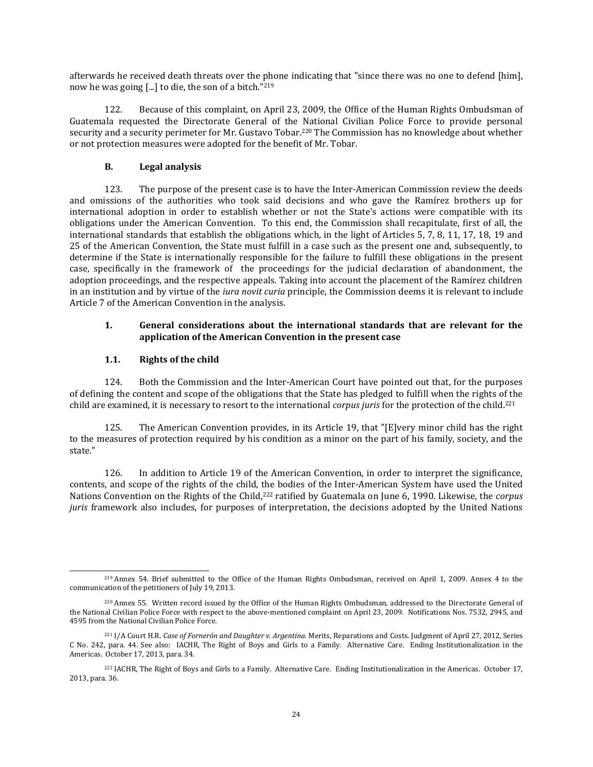afterwards he received death threats over the phone indicating that "since there was no one to defend [him], now he was going [...] to die, the son of a bitch."<sup>219</sup>

122. Because of this complaint, on April 23, 2009, the Office of the Human Rights Ombudsman of Guatemala requested the Directorate General of the National Civilian Police Force to provide personal security and a security perimeter for Mr. Gustavo Tobar.<sup>220</sup> The Commission has no knowledge about whether or not protection measures were adopted for the benefit of Mr. Tobar.

## **B. Legal analysis**

123. The purpose of the present case is to have the Inter-American Commission review the deeds and omissions of the authorities who took said decisions and who gave the Ramírez brothers up for international adoption in order to establish whether or not the State's actions were compatible with its obligations under the American Convention. To this end, the Commission shall recapitulate, first of all, the international standards that establish the obligations which, in the light of Articles 5, 7, 8, 11, 17, 18, 19 and 25 of the American Convention, the State must fulfill in a case such as the present one and, subsequently, to determine if the State is internationally responsible for the failure to fulfill these obligations in the present case, specifically in the framework of the proceedings for the judicial declaration of abandonment, the adoption proceedings, and the respective appeals. Taking into account the placement of the Ramírez children in an institution and by virtue of the *iura novit curia* principle, the Commission deems it is relevant to include Article 7 of the American Convention in the analysis.

### **1. General considerations about the international standards that are relevant for the application of the American Convention in the present case**

#### **1.1. Rights of the child**

 $\overline{\phantom{a}}$ 

124. Both the Commission and the Inter-American Court have pointed out that, for the purposes of defining the content and scope of the obligations that the State has pledged to fulfill when the rights of the child are examined, it is necessary to resort to the international *corpus juris* for the protection of the child.<sup>221</sup>

125. The American Convention provides, in its Article 19, that "[E]very minor child has the right to the measures of protection required by his condition as a minor on the part of his family, society, and the state."

126. In addition to Article 19 of the American Convention, in order to interpret the significance, contents, and scope of the rights of the child, the bodies of the Inter-American System have used the United Nations Convention on the Rights of the Child,<sup>222</sup> ratified by Guatemala on June 6, 1990. Likewise, the *corpus juris* framework also includes, for purposes of interpretation, the decisions adopted by the United Nations

<sup>219</sup> Annex 54. Brief submitted to the Office of the Human Rights Ombudsman, received on April 1, 2009. Annex 4 to the communication of the petitioners of July 19, 2013.

<sup>220</sup> Annex 55. Written record issued by the Office of the Human Rights Ombudsman, addressed to the Directorate General of the National Civilian Police Force with respect to the above-mentioned complaint on April 23, 2009. Notifications Nos. 7532, 2945, and 4595 from the National Civilian Police Force.

<sup>221</sup> I/A Court H.R. *Case of Fornerón and Daughter v. Argentina*. Merits, Reparations and Costs. Judgment of April 27, 2012, Series C No. 242, para. 44. See also: IACHR, The Right of Boys and Girls to a Family. Alternative Care. Ending Institutionalization in the Americas. October 17, 2013, para. 34.

<sup>222</sup> IACHR, The Right of Boys and Girls to a Family. Alternative Care. Ending Institutionalization in the Americas. October 17, 2013, para. 36.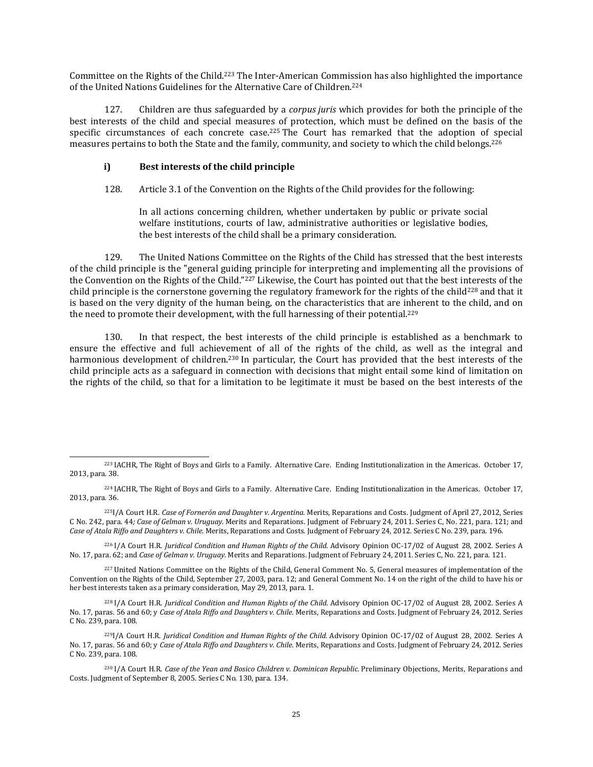Committee on the Rights of the Child.<sup>223</sup> The Inter-American Commission has also highlighted the importance of the United Nations Guidelines for the Alternative Care of Children.<sup>224</sup>

127. Children are thus safeguarded by a *corpus juris* which provides for both the principle of the best interests of the child and special measures of protection, which must be defined on the basis of the specific circumstances of each concrete case.<sup>225</sup> The Court has remarked that the adoption of special measures pertains to both the State and the family, community, and society to which the child belongs.<sup>226</sup>

#### **i) Best interests of the child principle**

 $\overline{\phantom{a}}$ 

128. Article 3.1 of the Convention on the Rights of the Child provides for the following:

In all actions concerning children, whether undertaken by public or private social welfare institutions, courts of law, administrative authorities or legislative bodies, the best interests of the child shall be a primary consideration.

129. The United Nations Committee on the Rights of the Child has stressed that the best interests of the child principle is the "general guiding principle for interpreting and implementing all the provisions of the Convention on the Rights of the Child."<sup>227</sup> Likewise, the Court has pointed out that the best interests of the child principle is the cornerstone governing the regulatory framework for the rights of the child<sup>228</sup> and that it is based on the very dignity of the human being, on the characteristics that are inherent to the child, and on the need to promote their development, with the full harnessing of their potential.<sup>229</sup>

130. In that respect, the best interests of the child principle is established as a benchmark to ensure the effective and full achievement of all of the rights of the child, as well as the integral and harmonious development of children.<sup>230</sup> In particular, the Court has provided that the best interests of the child principle acts as a safeguard in connection with decisions that might entail some kind of limitation on the rights of the child, so that for a limitation to be legitimate it must be based on the best interests of the

<sup>223</sup> IACHR, The Right of Boys and Girls to a Family. Alternative Care. Ending Institutionalization in the Americas. October 17, 2013, para. 38.

<sup>224</sup> IACHR, The Right of Boys and Girls to a Family. Alternative Care. Ending Institutionalization in the Americas. October 17, 2013, para. 36.

<sup>225</sup>I/A Court H.R. *Case of Fornerón and Daughter v. Argentina*. Merits, Reparations and Costs. Judgment of April 27, 2012, Series C No. 242, para. 44*; Case of Gelman v. Uruguay.* Merits and Reparations. Judgment of February 24, 2011. Series C, No. 221, para. 121; and *Case of Atala Riffo and Daughters v. Chile*. Merits, Reparations and Costs. Judgment of February 24, 2012. Series C No. 239, para. 196.

<sup>226</sup> I/A Court H.R. *Juridical Condition and Human Rights of the Child.* Advisory Opinion OC-17/02 of August 28, 2002. Series A No. 17, para. 62; and *Case of Gelman v. Uruguay.* Merits and Reparations. Judgment of February 24, 2011. Series C, No. 221, para. 121.

<sup>227</sup> United Nations Committee on the Rights of the Child, General Comment No. 5, General measures of implementation of the Convention on the Rights of the Child, September 27, 2003, para. 12; and General Comment No. 14 on the right of the child to have his or her best interests taken as a primary consideration, May 29, 2013, para. 1.

<sup>228</sup> I/A Court H.R. *Juridical Condition and Human Rights of the Child.* Advisory Opinion OC-17/02 of August 28, 2002. Series A No. 17, paras. 56 and 60; y *Case of Atala Riffo and Daughters v. Chile*. Merits, Reparations and Costs. Judgment of February 24, 2012. Series C No. 239, para. 108.

<sup>229</sup>I/A Court H.R. *Juridical Condition and Human Rights of the Child.* Advisory Opinion OC-17/02 of August 28, 2002. Series A No. 17, paras. 56 and 60; y *Case of Atala Riffo and Daughters v. Chile*. Merits, Reparations and Costs. Judgment of February 24, 2012. Series C No. 239, para. 108.

<sup>230</sup> I/A Court H.R. *Case of the Yean and Bosico Children v. Dominican Republic.* Preliminary Objections, Merits, Reparations and Costs. Judgment of September 8, 2005. Series C No. 130, para. 134.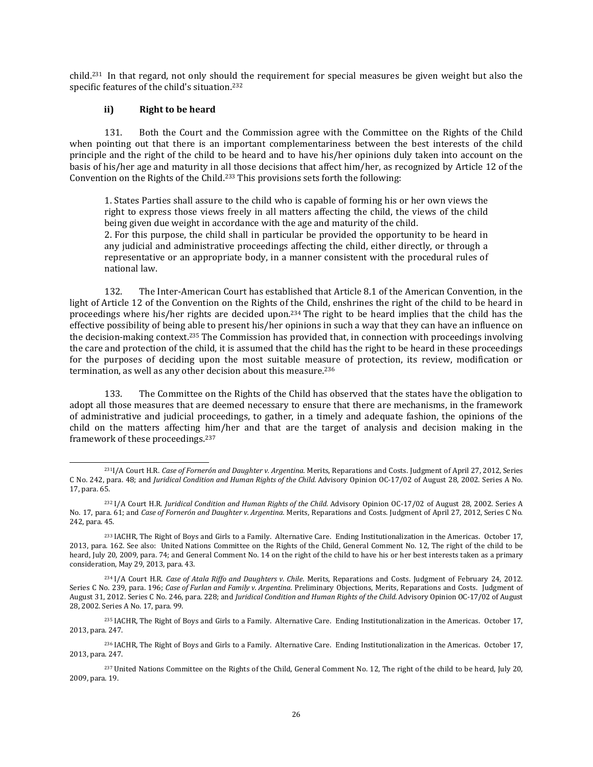child.231 In that regard, not only should the requirement for special measures be given weight but also the specific features of the child's situation.<sup>232</sup>

### **ii) Right to be heard**

 $\overline{\phantom{a}}$ 

131. Both the Court and the Commission agree with the Committee on the Rights of the Child when pointing out that there is an important complementariness between the best interests of the child principle and the right of the child to be heard and to have his/her opinions duly taken into account on the basis of his/her age and maturity in all those decisions that affect him/her, as recognized by Article 12 of the Convention on the Rights of the Child. <sup>233</sup> This provisions sets forth the following:

1. States Parties shall assure to the child who is capable of forming his or her own views the right to express those views freely in all matters affecting the child, the views of the child being given due weight in accordance with the age and maturity of the child. 2. For this purpose, the child shall in particular be provided the opportunity to be heard in any judicial and administrative proceedings affecting the child, either directly, or through a

representative or an appropriate body, in a manner consistent with the procedural rules of national law.

132. The Inter-American Court has established that Article 8.1 of the American Convention, in the light of Article 12 of the Convention on the Rights of the Child, enshrines the right of the child to be heard in proceedings where his/her rights are decided upon.<sup>234</sup> The right to be heard implies that the child has the effective possibility of being able to present his/her opinions in such a way that they can have an influence on the decision-making context.<sup>235</sup> The Commission has provided that, in connection with proceedings involving the care and protection of the child, it is assumed that the child has the right to be heard in these proceedings for the purposes of deciding upon the most suitable measure of protection, its review, modification or termination, as well as any other decision about this measure.<sup>236</sup>

133. The Committee on the Rights of the Child has observed that the states have the obligation to adopt all those measures that are deemed necessary to ensure that there are mechanisms, in the framework of administrative and judicial proceedings, to gather, in a timely and adequate fashion, the opinions of the child on the matters affecting him/her and that are the target of analysis and decision making in the framework of these proceedings.<sup>237</sup>

<sup>231</sup>I/A Court H.R. *Case of Fornerón and Daughter v. Argentina*. Merits, Reparations and Costs. Judgment of April 27, 2012, Series C No. 242, para. 48; and *Juridical Condition and Human Rights of the Child.* Advisory Opinion OC-17/02 of August 28, 2002. Series A No. 17, para. 65.

<sup>232</sup> I/A Court H.R. *Juridical Condition and Human Rights of the Child.* Advisory Opinion OC-17/02 of August 28, 2002. Series A No. 17, para. 61; and *Case of Fornerón and Daughter v. Argentina*. Merits, Reparations and Costs. Judgment of April 27, 2012, Series C No. 242, para. 45.

<sup>233</sup> IACHR, The Right of Boys and Girls to a Family. Alternative Care. Ending Institutionalization in the Americas. October 17, 2013, para. 162. See also: United Nations Committee on the Rights of the Child, General Comment No. 12, The right of the child to be heard, July 20, 2009, para. 74; and General Comment No. 14 on the right of the child to have his or her best interests taken as a primary consideration, May 29, 2013, para. 43.

<sup>234</sup> I/A Court H.R. *Case of Atala Riffo and Daughters v. Chile*. Merits, Reparations and Costs. Judgment of February 24, 2012. Series C No. 239, para. 196; *Case of Furlan and Family v. Argentina*. Preliminary Objections, Merits, Reparations and Costs. Judgment of August 31, 2012. Series C No. 246, para. 228; and *Juridical Condition and Human Rights of the Child.* Advisory Opinion OC-17/02 of August 28, 2002. Series A No. 17, para. 99.

<sup>235</sup> IACHR, The Right of Boys and Girls to a Family. Alternative Care. Ending Institutionalization in the Americas. October 17, 2013, para. 247.

<sup>236</sup> IACHR, The Right of Boys and Girls to a Family. Alternative Care. Ending Institutionalization in the Americas. October 17, 2013, para. 247.

<sup>&</sup>lt;sup>237</sup> United Nations Committee on the Rights of the Child, General Comment No. 12, The right of the child to be heard, July 20, 2009, para. 19.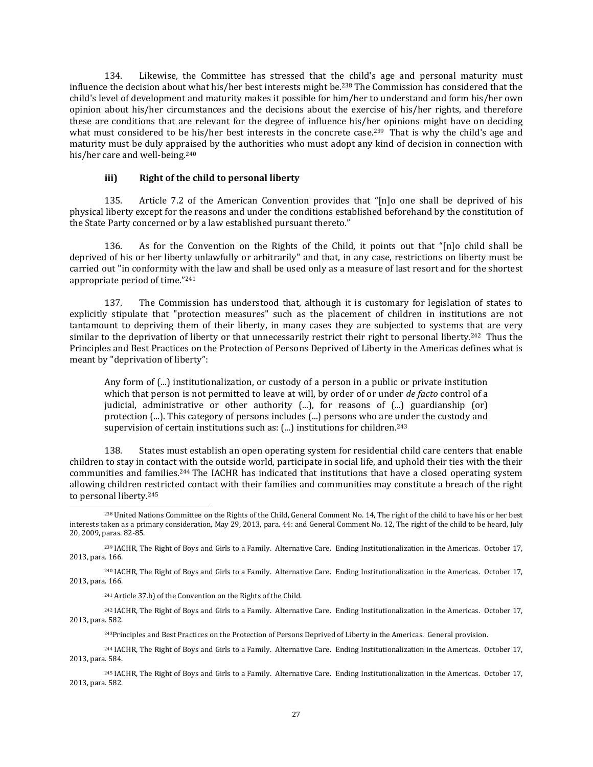134. Likewise, the Committee has stressed that the child's age and personal maturity must influence the decision about what his/her best interests might be.<sup>238</sup> The Commission has considered that the child's level of development and maturity makes it possible for him/her to understand and form his/her own opinion about his/her circumstances and the decisions about the exercise of his/her rights, and therefore these are conditions that are relevant for the degree of influence his/her opinions might have on deciding what must considered to be his/her best interests in the concrete case.<sup>239</sup> That is why the child's age and maturity must be duly appraised by the authorities who must adopt any kind of decision in connection with his/her care and well-being.<sup>240</sup>

#### **iii) Right of the child to personal liberty**

135. Article 7.2 of the American Convention provides that "[n]o one shall be deprived of his physical liberty except for the reasons and under the conditions established beforehand by the constitution of the State Party concerned or by a law established pursuant thereto."

136. As for the Convention on the Rights of the Child, it points out that "[n]o child shall be deprived of his or her liberty unlawfully or arbitrarily" and that, in any case, restrictions on liberty must be carried out "in conformity with the law and shall be used only as a measure of last resort and for the shortest appropriate period of time."<sup>241</sup>

137. The Commission has understood that, although it is customary for legislation of states to explicitly stipulate that "protection measures" such as the placement of children in institutions are not tantamount to depriving them of their liberty, in many cases they are subjected to systems that are very similar to the deprivation of liberty or that unnecessarily restrict their right to personal liberty.<sup>242</sup> Thus the Principles and Best Practices on the Protection of Persons Deprived of Liberty in the Americas defines what is meant by "deprivation of liberty":

Any form of (...) institutionalization, or custody of a person in a public or private institution which that person is not permitted to leave at will, by order of or under *de facto* control of a judicial, administrative or other authority (...), for reasons of (...) guardianship (or) protection (...). This category of persons includes (...) persons who are under the custody and supervision of certain institutions such as:  $(...)$  institutions for children.<sup>243</sup>

138. States must establish an open operating system for residential child care centers that enable children to stay in contact with the outside world, participate in social life, and uphold their ties with the their communities and families.<sup>244</sup> The IACHR has indicated that institutions that have a closed operating system allowing children restricted contact with their families and communities may constitute a breach of the right to personal liberty.<sup>245</sup>

 $\overline{\phantom{a}}$ 

<sup>&</sup>lt;sup>238</sup> United Nations Committee on the Rights of the Child, General Comment No. 14, The right of the child to have his or her best interests taken as a primary consideration, May 29, 2013, para. 44: and General Comment No. 12, The right of the child to be heard, July 20, 2009, paras. 82-85.

<sup>239</sup> IACHR, The Right of Boys and Girls to a Family. Alternative Care. Ending Institutionalization in the Americas. October 17, 2013, para. 166.

<sup>240</sup> IACHR, The Right of Boys and Girls to a Family. Alternative Care. Ending Institutionalization in the Americas. October 17, 2013, para. 166.

<sup>241</sup> Article 37.b) of the Convention on the Rights of the Child.

<sup>&</sup>lt;sup>242</sup> IACHR, The Right of Boys and Girls to a Family. Alternative Care. Ending Institutionalization in the Americas. October 17, 2013, para. 582.

<sup>243</sup>Principles and Best Practices on the Protection of Persons Deprived of Liberty in the Americas. General provision.

<sup>244</sup> IACHR, The Right of Boys and Girls to a Family. Alternative Care. Ending Institutionalization in the Americas. October 17, 2013, para. 584.

<sup>245</sup> IACHR, The Right of Boys and Girls to a Family. Alternative Care. Ending Institutionalization in the Americas. October 17, 2013, para. 582.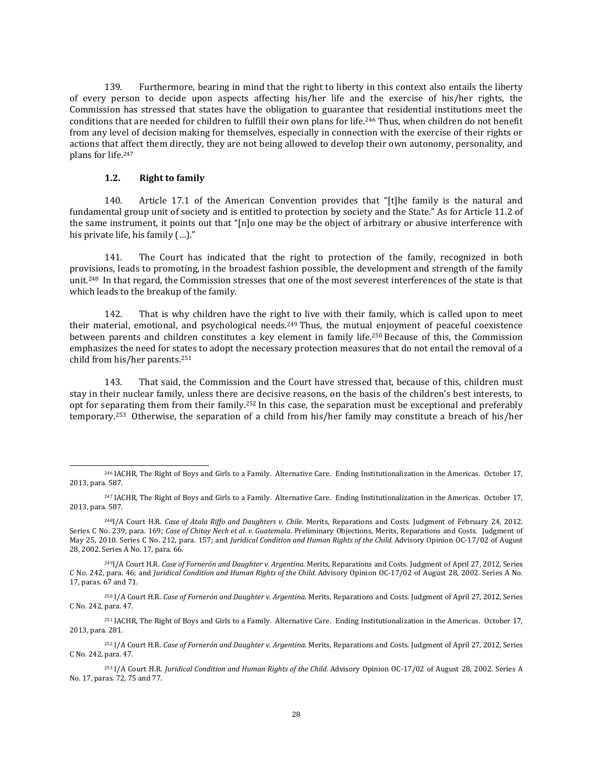139. Furthermore, bearing in mind that the right to liberty in this context also entails the liberty of every person to decide upon aspects affecting his/her life and the exercise of his/her rights, the Commission has stressed that states have the obligation to guarantee that residential institutions meet the conditions that are needed for children to fulfill their own plans for life.<sup>246</sup> Thus, when children do not benefit from any level of decision making for themselves, especially in connection with the exercise of their rights or actions that affect them directly, they are not being allowed to develop their own autonomy, personality, and plans for life.<sup>247</sup>

#### **1.2. Right to family**

 $\overline{\phantom{a}}$ 

140. Article 17.1 of the American Convention provides that "[t]he family is the natural and fundamental group unit of society and is entitled to protection by society and the State." As for Article 11.2 of the same instrument, it points out that "[n]o one may be the object of arbitrary or abusive interference with his private life, his family (…)."

141. The Court has indicated that the right to protection of the family, recognized in both provisions, leads to promoting, in the broadest fashion possible, the development and strength of the family unit.248 In that regard, the Commission stresses that one of the most severest interferences of the state is that which leads to the breakup of the family.

142. That is why children have the right to live with their family, which is called upon to meet their material, emotional, and psychological needs.<sup>249</sup> Thus, the mutual enjoyment of peaceful coexistence between parents and children constitutes a key element in family life.<sup>250</sup> Because of this, the Commission emphasizes the need for states to adopt the necessary protection measures that do not entail the removal of a child from his/her parents.<sup>251</sup>

143. That said, the Commission and the Court have stressed that, because of this, children must stay in their nuclear family, unless there are decisive reasons, on the basis of the children's best interests, to opt for separating them from their family.<sup>252</sup> In this case, the separation must be exceptional and preferably temporary.253 Otherwise, the separation of a child from his/her family may constitute a breach of his/her

<sup>246</sup> IACHR, The Right of Boys and Girls to a Family. Alternative Care. Ending Institutionalization in the Americas. October 17, 2013, para. 587.

<sup>247</sup> IACHR, The Right of Boys and Girls to a Family. Alternative Care. Ending Institutionalization in the Americas. October 17, 2013, para. 587.

<sup>248</sup>I/A Court H.R. *Case of Atala Riffo and Daughters v. Chile*. Merits, Reparations and Costs. Judgment of February 24, 2012. Series C No. 239, para. 169; *Case of Chitay Nech et al. v. Guatemala*. Preliminary Objections, Merits, Reparations and Costs. Judgment of May 25, 2010. Series C No. 212, para. 157; and *Juridical Condition and Human Rights of the Child.* Advisory Opinion OC-17/02 of August 28, 2002. Series A No. 17, para. 66.

<sup>249</sup>I/A Court H.R. *Case of Fornerón and Daughter v. Argentina*. Merits, Reparations and Costs. Judgment of April 27, 2012, Series C No. 242, para. 46; and *Juridical Condition and Human Rights of the Child.* Advisory Opinion OC-17/02 of August 28, 2002. Series A No. 17, paras. 67 and 71.

<sup>250</sup> I/A Court H.R. *Case of Fornerón and Daughter v. Argentina*. Merits, Reparations and Costs. Judgment of April 27, 2012, Series C No. 242, para. 47.

<sup>251</sup> IACHR, The Right of Boys and Girls to a Family. Alternative Care. Ending Institutionalization in the Americas. October 17, 2013, para. 281.

<sup>252</sup> I/A Court H.R. *Case of Fornerón and Daughter v. Argentina*. Merits, Reparations and Costs. Judgment of April 27, 2012, Series C No. 242, para. 47.

<sup>253</sup> I/A Court H.R. *Juridical Condition and Human Rights of the Child.* Advisory Opinion OC-17/02 of August 28, 2002. Series A No. 17, paras. 72, 75 and 77.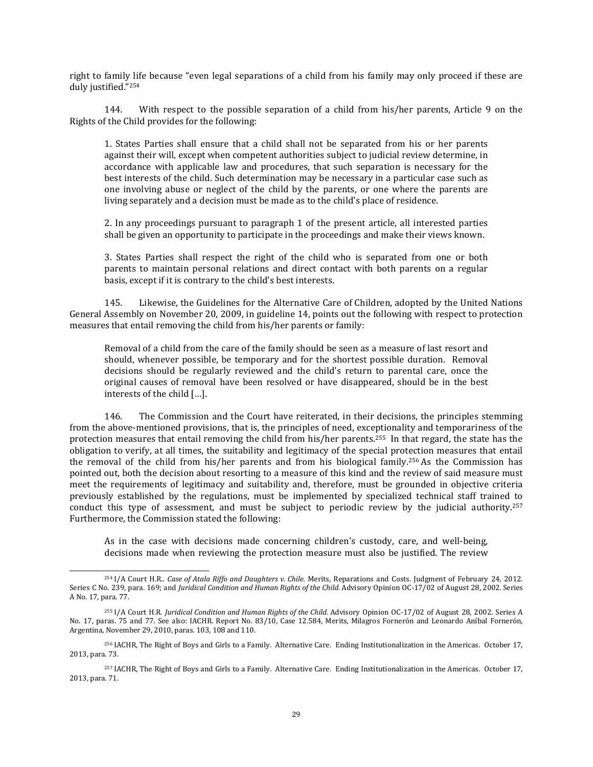right to family life because "even legal separations of a child from his family may only proceed if these are duly justified."<sup>254</sup>

144. With respect to the possible separation of a child from his/her parents, Article 9 on the Rights of the Child provides for the following:

1. States Parties shall ensure that a child shall not be separated from his or her parents against their will, except when competent authorities subject to judicial review determine, in accordance with applicable law and procedures, that such separation is necessary for the best interests of the child. Such determination may be necessary in a particular case such as one involving abuse or neglect of the child by the parents, or one where the parents are living separately and a decision must be made as to the child's place of residence.

2. In any proceedings pursuant to paragraph 1 of the present article, all interested parties shall be given an opportunity to participate in the proceedings and make their views known.

3. States Parties shall respect the right of the child who is separated from one or both parents to maintain personal relations and direct contact with both parents on a regular basis, except if it is contrary to the child's best interests.

145. Likewise, the Guidelines for the Alternative Care of Children, adopted by the United Nations General Assembly on November 20, 2009, in guideline 14, points out the following with respect to protection measures that entail removing the child from his/her parents or family:

Removal of a child from the care of the family should be seen as a measure of last resort and should, whenever possible, be temporary and for the shortest possible duration. Removal decisions should be regularly reviewed and the child's return to parental care, once the original causes of removal have been resolved or have disappeared, should be in the best interests of the child […].

146. The Commission and the Court have reiterated, in their decisions, the principles stemming from the above-mentioned provisions, that is, the principles of need, exceptionality and temporariness of the protection measures that entail removing the child from his/her parents.255 In that regard, the state has the obligation to verify, at all times, the suitability and legitimacy of the special protection measures that entail the removal of the child from his/her parents and from his biological family.<sup>256</sup> As the Commission has pointed out, both the decision about resorting to a measure of this kind and the review of said measure must meet the requirements of legitimacy and suitability and, therefore, must be grounded in objective criteria previously established by the regulations, must be implemented by specialized technical staff trained to conduct this type of assessment, and must be subject to periodic review by the judicial authority.<sup>257</sup> Furthermore, the Commission stated the following:

As in the case with decisions made concerning children's custody, care, and well-being, decisions made when reviewing the protection measure must also be justified. The review

 $\overline{\phantom{a}}$ 

<sup>254</sup> I/A Court H.R.. *Case of Atala Riffo and Daughters v. Chile*. Merits, Reparations and Costs. Judgment of February 24, 2012. Series C No. 239, para. 169; and *Juridical Condition and Human Rights of the Child.* Advisory Opinion OC-17/02 of August 28, 2002. Series A No. 17, para. 77.

<sup>255</sup> I/A Court H.R. *Juridical Condition and Human Rights of the Child.* Advisory Opinion OC-17/02 of August 28, 2002. Series A No. 17, paras. 75 and 77. See also: IACHR. Report No. 83/10, Case 12.584, Merits, Milagros Fornerón and Leonardo Aníbal Fornerón, Argentina, November 29, 2010, paras. 103, 108 and 110.

<sup>256</sup> IACHR, The Right of Boys and Girls to a Family. Alternative Care. Ending Institutionalization in the Americas. October 17, 2013, para. 73.

<sup>257</sup> IACHR, The Right of Boys and Girls to a Family. Alternative Care. Ending Institutionalization in the Americas. October 17, 2013, para. 71.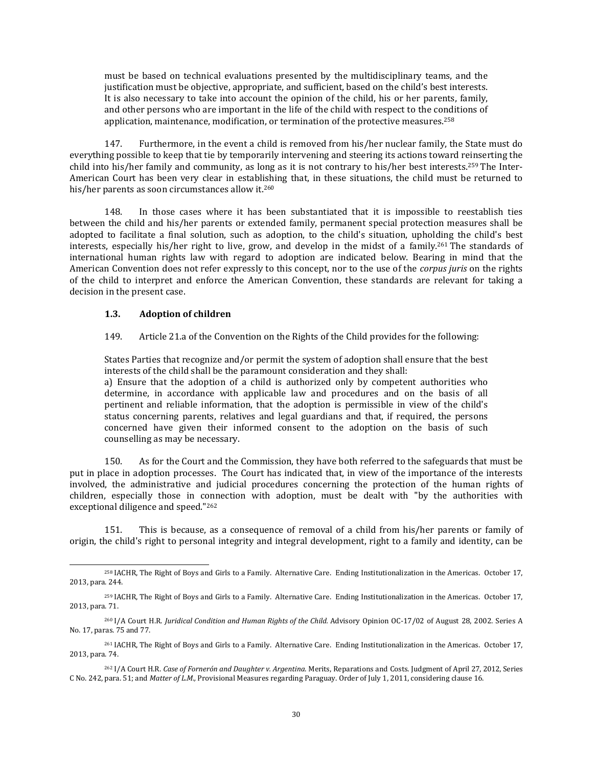must be based on technical evaluations presented by the multidisciplinary teams, and the justification must be objective, appropriate, and sufficient, based on the child's best interests. It is also necessary to take into account the opinion of the child, his or her parents, family, and other persons who are important in the life of the child with respect to the conditions of application, maintenance, modification, or termination of the protective measures.<sup>258</sup>

147. Furthermore, in the event a child is removed from his/her nuclear family, the State must do everything possible to keep that tie by temporarily intervening and steering its actions toward reinserting the child into his/her family and community, as long as it is not contrary to his/her best interests.<sup>259</sup> The Inter-American Court has been very clear in establishing that, in these situations, the child must be returned to his/her parents as soon circumstances allow it.<sup>260</sup>

148. In those cases where it has been substantiated that it is impossible to reestablish ties between the child and his/her parents or extended family, permanent special protection measures shall be adopted to facilitate a final solution, such as adoption, to the child's situation, upholding the child's best interests, especially his/her right to live, grow, and develop in the midst of a family.<sup>261</sup> The standards of international human rights law with regard to adoption are indicated below. Bearing in mind that the American Convention does not refer expressly to this concept, nor to the use of the *corpus juris* on the rights of the child to interpret and enforce the American Convention, these standards are relevant for taking a decision in the present case.

#### **1.3. Adoption of children**

 $\overline{\phantom{a}}$ 

149. Article 21.a of the Convention on the Rights of the Child provides for the following:

States Parties that recognize and/or permit the system of adoption shall ensure that the best interests of the child shall be the paramount consideration and they shall: a) Ensure that the adoption of a child is authorized only by competent authorities who determine, in accordance with applicable law and procedures and on the basis of all pertinent and reliable information, that the adoption is permissible in view of the child's status concerning parents, relatives and legal guardians and that, if required, the persons concerned have given their informed consent to the adoption on the basis of such counselling as may be necessary.

150. As for the Court and the Commission, they have both referred to the safeguards that must be put in place in adoption processes. The Court has indicated that, in view of the importance of the interests involved, the administrative and judicial procedures concerning the protection of the human rights of children, especially those in connection with adoption, must be dealt with "by the authorities with exceptional diligence and speed."<sup>262</sup>

151. This is because, as a consequence of removal of a child from his/her parents or family of origin, the child's right to personal integrity and integral development, right to a family and identity, can be

<sup>258</sup> IACHR, The Right of Boys and Girls to a Family. Alternative Care. Ending Institutionalization in the Americas. October 17, 2013, para. 244.

<sup>259</sup> IACHR, The Right of Boys and Girls to a Family. Alternative Care. Ending Institutionalization in the Americas. October 17, 2013, para. 71.

<sup>260</sup> I/A Court H.R. *Juridical Condition and Human Rights of the Child.* Advisory Opinion OC-17/02 of August 28, 2002. Series A No. 17, paras. 75 and 77.

<sup>261</sup> IACHR, The Right of Boys and Girls to a Family. Alternative Care. Ending Institutionalization in the Americas. October 17, 2013, para. 74.

<sup>262</sup> I/A Court H.R. *Case of Fornerón and Daughter v. Argentina*. Merits, Reparations and Costs. Judgment of April 27, 2012, Series C No. 242, para. 51; and *Matter of L.M.,* Provisional Measures regarding Paraguay. Order of July 1, 2011, considering clause 16.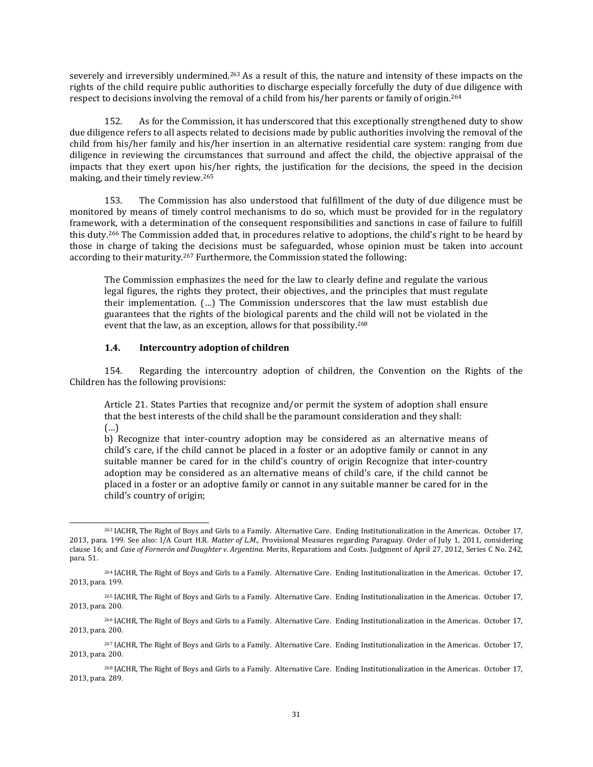severely and irreversibly undermined.<sup>263</sup> As a result of this, the nature and intensity of these impacts on the rights of the child require public authorities to discharge especially forcefully the duty of due diligence with respect to decisions involving the removal of a child from his/her parents or family of origin.<sup>264</sup>

152. As for the Commission, it has underscored that this exceptionally strengthened duty to show due diligence refers to all aspects related to decisions made by public authorities involving the removal of the child from his/her family and his/her insertion in an alternative residential care system: ranging from due diligence in reviewing the circumstances that surround and affect the child, the objective appraisal of the impacts that they exert upon his/her rights, the justification for the decisions, the speed in the decision making, and their timely review.<sup>265</sup>

153. The Commission has also understood that fulfillment of the duty of due diligence must be monitored by means of timely control mechanisms to do so, which must be provided for in the regulatory framework, with a determination of the consequent responsibilities and sanctions in case of failure to fulfill this duty.<sup>266</sup> The Commission added that, in procedures relative to adoptions, the child's right to be heard by those in charge of taking the decisions must be safeguarded, whose opinion must be taken into account according to their maturity.<sup>267</sup> Furthermore, the Commission stated the following:

The Commission emphasizes the need for the law to clearly define and regulate the various legal figures, the rights they protect, their objectives, and the principles that must regulate their implementation. (…) The Commission underscores that the law must establish due guarantees that the rights of the biological parents and the child will not be violated in the event that the law, as an exception, allows for that possibility.<sup>268</sup>

## **1.4. Intercountry adoption of children**

154. Regarding the intercountry adoption of children, the Convention on the Rights of the Children has the following provisions:

Article 21. States Parties that recognize and/or permit the system of adoption shall ensure that the best interests of the child shall be the paramount consideration and they shall: (…)

b) Recognize that inter-country adoption may be considered as an alternative means of child's care, if the child cannot be placed in a foster or an adoptive family or cannot in any suitable manner be cared for in the child's country of origin Recognize that inter-country adoption may be considered as an alternative means of child's care, if the child cannot be placed in a foster or an adoptive family or cannot in any suitable manner be cared for in the child's country of origin;

 $\overline{\phantom{a}}$ <sup>263</sup> IACHR, The Right of Boys and Girls to a Family. Alternative Care. Ending Institutionalization in the Americas. October 17, 2013, para. 199. See also: I/A Court H.R. *Matter of L.M.,* Provisional Measures regarding Paraguay. Order of July 1, 2011, considering clause 16; and *Case of Fornerón and Daughter v. Argentina*. Merits, Reparations and Costs. Judgment of April 27, 2012, Series C No. 242, para. 51.

<sup>264</sup> IACHR, The Right of Boys and Girls to a Family. Alternative Care. Ending Institutionalization in the Americas. October 17, 2013, para. 199.

<sup>265</sup> IACHR, The Right of Boys and Girls to a Family. Alternative Care. Ending Institutionalization in the Americas. October 17, 2013, para. 200.

<sup>266</sup> IACHR, The Right of Boys and Girls to a Family. Alternative Care. Ending Institutionalization in the Americas. October 17, 2013, para. 200.

<sup>267</sup> IACHR, The Right of Boys and Girls to a Family. Alternative Care. Ending Institutionalization in the Americas. October 17, 2013, para. 200.

<sup>268</sup> IACHR, The Right of Boys and Girls to a Family. Alternative Care. Ending Institutionalization in the Americas. October 17, 2013, para. 289.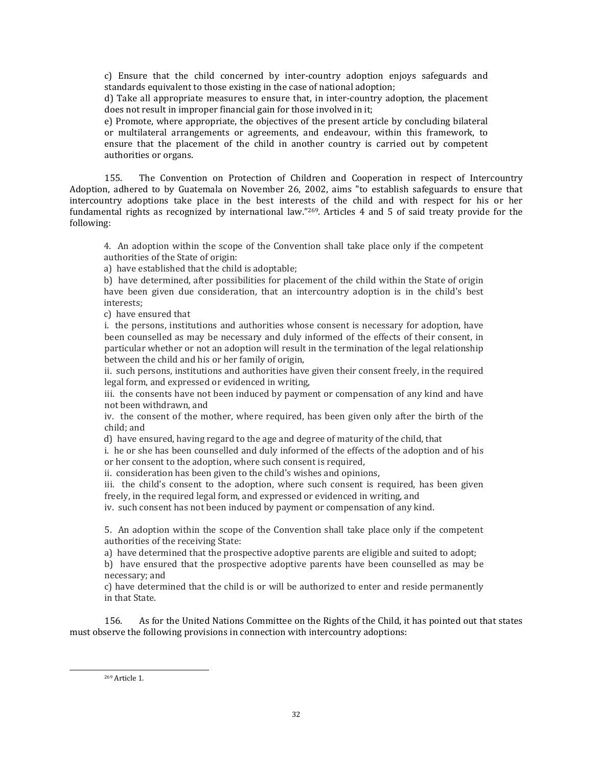c) Ensure that the child concerned by inter-country adoption enjoys safeguards and standards equivalent to those existing in the case of national adoption;

d) Take all appropriate measures to ensure that, in inter-country adoption, the placement does not result in improper financial gain for those involved in it;

e) Promote, where appropriate, the objectives of the present article by concluding bilateral or multilateral arrangements or agreements, and endeavour, within this framework, to ensure that the placement of the child in another country is carried out by competent authorities or organs.

155. The Convention on Protection of Children and Cooperation in respect of Intercountry Adoption, adhered to by Guatemala on November 26, 2002, aims "to establish safeguards to ensure that intercountry adoptions take place in the best interests of the child and with respect for his or her fundamental rights as recognized by international law."269. Articles 4 and 5 of said treaty provide for the following:

4. An adoption within the scope of the Convention shall take place only if the competent authorities of the State of origin:

a) have established that the child is adoptable;

b) have determined, after possibilities for placement of the child within the State of origin have been given due consideration, that an intercountry adoption is in the child's best interests;

c) have ensured that

i. the persons, institutions and authorities whose consent is necessary for adoption, have been counselled as may be necessary and duly informed of the effects of their consent, in particular whether or not an adoption will result in the termination of the legal relationship between the child and his or her family of origin,

ii. such persons, institutions and authorities have given their consent freely, in the required legal form, and expressed or evidenced in writing,

iii. the consents have not been induced by payment or compensation of any kind and have not been withdrawn, and

iv. the consent of the mother, where required, has been given only after the birth of the child; and

d) have ensured, having regard to the age and degree of maturity of the child, that

i. he or she has been counselled and duly informed of the effects of the adoption and of his or her consent to the adoption, where such consent is required,

ii. consideration has been given to the child's wishes and opinions,

iii. the child's consent to the adoption, where such consent is required, has been given freely, in the required legal form, and expressed or evidenced in writing, and

iv. such consent has not been induced by payment or compensation of any kind.

5. An adoption within the scope of the Convention shall take place only if the competent authorities of the receiving State:

a) have determined that the prospective adoptive parents are eligible and suited to adopt;

b) have ensured that the prospective adoptive parents have been counselled as may be necessary; and

c) have determined that the child is or will be authorized to enter and reside permanently in that State.

156. As for the United Nations Committee on the Rights of the Child, it has pointed out that states must observe the following provisions in connection with intercountry adoptions:

<sup>269</sup> Article 1.

 $\overline{a}$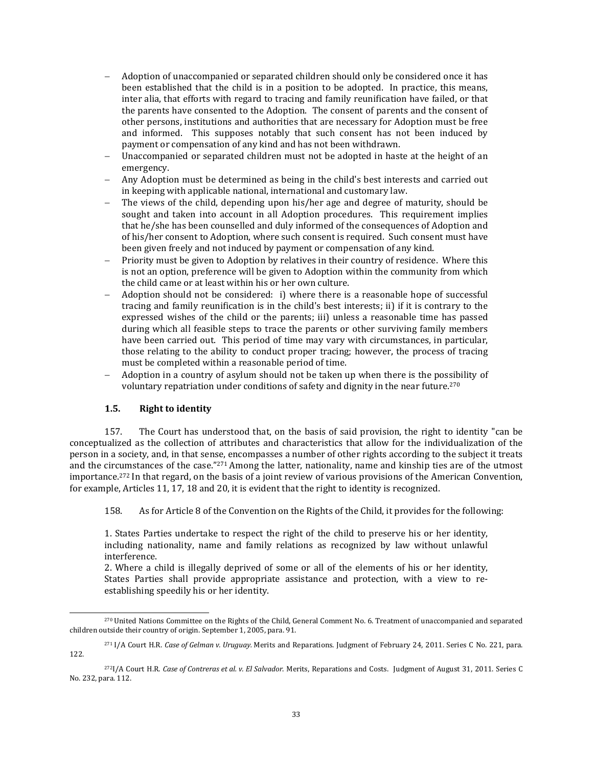- Adoption of unaccompanied or separated children should only be considered once it has been established that the child is in a position to be adopted. In practice, this means, inter alia, that efforts with regard to tracing and family reunification have failed, or that the parents have consented to the Adoption. The consent of parents and the consent of other persons, institutions and authorities that are necessary for Adoption must be free and informed. This supposes notably that such consent has not been induced by payment or compensation of any kind and has not been withdrawn.
- Unaccompanied or separated children must not be adopted in haste at the height of an emergency.
- Any Adoption must be determined as being in the child's best interests and carried out in keeping with applicable national, international and customary law.
- The views of the child, depending upon his/her age and degree of maturity, should be sought and taken into account in all Adoption procedures. This requirement implies that he/she has been counselled and duly informed of the consequences of Adoption and of his/her consent to Adoption, where such consent is required. Such consent must have been given freely and not induced by payment or compensation of any kind.
- Priority must be given to Adoption by relatives in their country of residence. Where this is not an option, preference will be given to Adoption within the community from which the child came or at least within his or her own culture.
- Adoption should not be considered: i) where there is a reasonable hope of successful tracing and family reunification is in the child's best interests; ii) if it is contrary to the expressed wishes of the child or the parents; iii) unless a reasonable time has passed during which all feasible steps to trace the parents or other surviving family members have been carried out. This period of time may vary with circumstances, in particular, those relating to the ability to conduct proper tracing; however, the process of tracing must be completed within a reasonable period of time.
- Adoption in a country of asylum should not be taken up when there is the possibility of voluntary repatriation under conditions of safety and dignity in the near future.<sup>270</sup>

## **1.5. Right to identity**

157. The Court has understood that, on the basis of said provision, the right to identity "can be conceptualized as the collection of attributes and characteristics that allow for the individualization of the person in a society, and, in that sense, encompasses a number of other rights according to the subject it treats and the circumstances of the case."<sup>271</sup> Among the latter, nationality, name and kinship ties are of the utmost importance.<sup>272</sup> In that regard, on the basis of a joint review of various provisions of the American Convention, for example, Articles 11, 17, 18 and 20, it is evident that the right to identity is recognized.

158. As for Article 8 of the Convention on the Rights of the Child, it provides for the following:

1. States Parties undertake to respect the right of the child to preserve his or her identity, including nationality, name and family relations as recognized by law without unlawful interference.

2. Where a child is illegally deprived of some or all of the elements of his or her identity, States Parties shall provide appropriate assistance and protection, with a view to reestablishing speedily his or her identity.

 $\overline{a}$ <sup>270</sup> United Nations Committee on the Rights of the Child, General Comment No. 6. Treatment of unaccompanied and separated children outside their country of origin. September 1, 2005, para. 91.

<sup>271</sup> I/A Court H.R. *Case of Gelman v. Uruguay.* Merits and Reparations. Judgment of February 24, 2011. Series C No. 221, para. 122.

<sup>272</sup>I/A Court H.R. *Case of Contreras et al. v. El Salvador*. Merits, Reparations and Costs. Judgment of August 31, 2011. Series C No. 232, para. 112.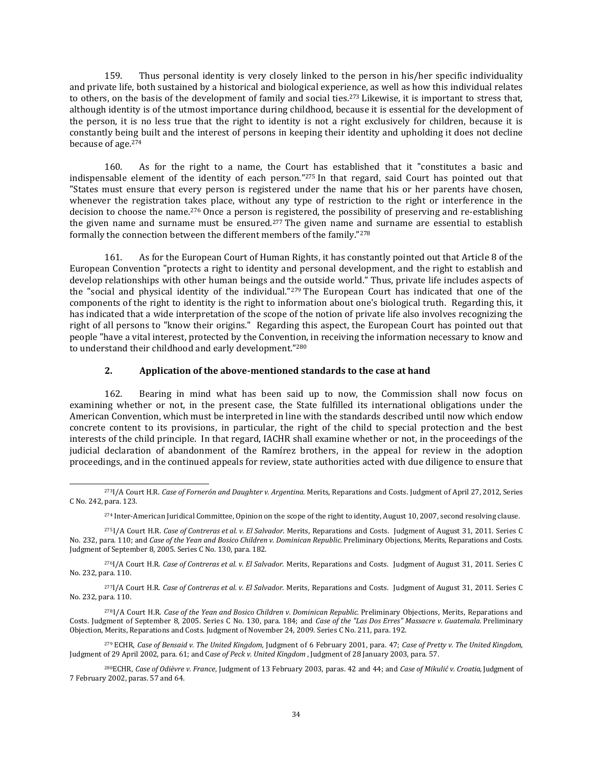159. Thus personal identity is very closely linked to the person in his/her specific individuality and private life, both sustained by a historical and biological experience, as well as how this individual relates to others, on the basis of the development of family and social ties.<sup>273</sup> Likewise, it is important to stress that, although identity is of the utmost importance during childhood, because it is essential for the development of the person, it is no less true that the right to identity is not a right exclusively for children, because it is constantly being built and the interest of persons in keeping their identity and upholding it does not decline because of age.<sup>274</sup>

160. As for the right to a name, the Court has established that it "constitutes a basic and indispensable element of the identity of each person."<sup>275</sup> In that regard, said Court has pointed out that "States must ensure that every person is registered under the name that his or her parents have chosen, whenever the registration takes place, without any type of restriction to the right or interference in the decision to choose the name.<sup>276</sup> Once a person is registered, the possibility of preserving and re-establishing the given name and surname must be ensured.<sup>277</sup> The given name and surname are essential to establish formally the connection between the different members of the family."<sup>278</sup>

161. As for the European Court of Human Rights, it has constantly pointed out that Article 8 of the European Convention "protects a right to identity and personal development, and the right to establish and develop relationships with other human beings and the outside world." Thus, private life includes aspects of the "social and physical identity of the individual."<sup>279</sup> The European Court has indicated that one of the components of the right to identity is the right to information about one's biological truth. Regarding this, it has indicated that a wide interpretation of the scope of the notion of private life also involves recognizing the right of all persons to "know their origins." Regarding this aspect, the European Court has pointed out that people "have a vital interest, protected by the Convention, in receiving the information necessary to know and to understand their childhood and early development."<sup>280</sup>

#### **2. Application of the above-mentioned standards to the case at hand**

 $\overline{\phantom{a}}$ 

162. Bearing in mind what has been said up to now, the Commission shall now focus on examining whether or not, in the present case, the State fulfilled its international obligations under the American Convention, which must be interpreted in line with the standards described until now which endow concrete content to its provisions, in particular, the right of the child to special protection and the best interests of the child principle. In that regard, IACHR shall examine whether or not, in the proceedings of the judicial declaration of abandonment of the Ramírez brothers, in the appeal for review in the adoption proceedings, and in the continued appeals for review, state authorities acted with due diligence to ensure that

<sup>273</sup>I/A Court H.R. *Case of Fornerón and Daughter v. Argentina*. Merits, Reparations and Costs. Judgment of April 27, 2012, Series C No. 242, para. 123.

<sup>274</sup> Inter-American Juridical Committee, Opinion on the scope of the right to identity, August 10, 2007, second resolving clause.

<sup>275</sup>I/A Court H.R. *Case of Contreras et al. v. El Salvador*. Merits, Reparations and Costs. Judgment of August 31, 2011. Series C No. 232, para. 110; and *Case of the Yean and Bosico Children v. Dominican Republic.* Preliminary Objections, Merits, Reparations and Costs. Judgment of September 8, 2005. Series C No. 130, para. 182.

<sup>276</sup>I/A Court H.R. *Case of Contreras et al. v. El Salvador*. Merits, Reparations and Costs. Judgment of August 31, 2011. Series C No. 232, para. 110.

<sup>277</sup>I/A Court H.R. *Case of Contreras et al. v. El Salvador*. Merits, Reparations and Costs. Judgment of August 31, 2011. Series C No. 232, para. 110.

<sup>278</sup>I/A Court H.R. *Case of the Yean and Bosico Children v. Dominican Republic.* Preliminary Objections, Merits, Reparations and Costs. Judgment of September 8, 2005. Series C No. 130, para. 184; and *Case of the "Las Dos Erres" Massacre v. Guatemala.* Preliminary Objection, Merits, Reparations and Costs. Judgment of November 24, 2009. Series C No. 211, para. 192.

<sup>279</sup> ECHR, *Case of Bensaid v. The United Kingdom,* Judgment of 6 February 2001, para. 47; *Case of Pretty v. The United Kingdom*, Judgment of 29 April 2002, para. 61; and C*ase of Peck v. United Kingdom* , Judgment of 28 January 2003, para*.* 57.

<sup>280</sup>ECHR, *Case of Odièvre v. France*, Judgment of 13 February 2003, paras. 42 and 44; and *Case of Mikulić v. Croatia,* Judgment of 7 February 2002, paras. 57 and 64.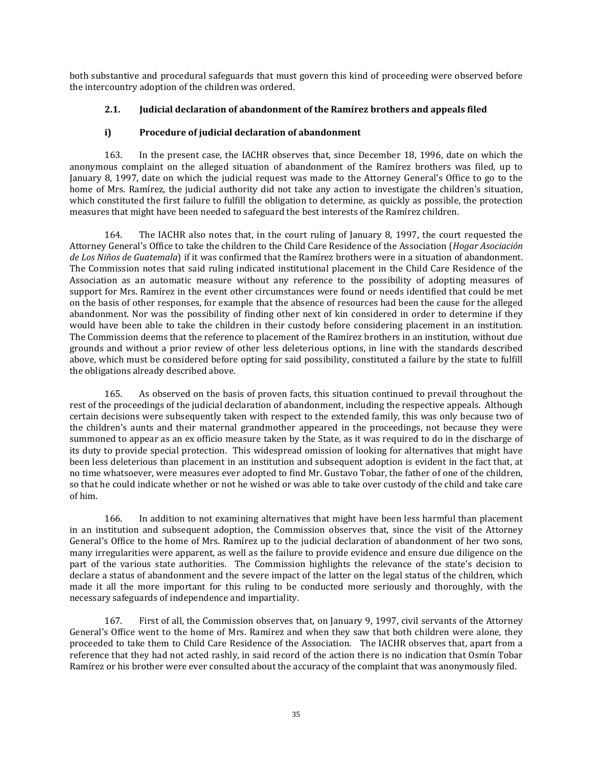both substantive and procedural safeguards that must govern this kind of proceeding were observed before the intercountry adoption of the children was ordered.

## **2.1. Judicial declaration of abandonment of the Ramírez brothers and appeals filed**

## **i) Procedure of judicial declaration of abandonment**

163. In the present case, the IACHR observes that, since December 18, 1996, date on which the anonymous complaint on the alleged situation of abandonment of the Ramírez brothers was filed, up to January 8, 1997, date on which the judicial request was made to the Attorney General's Office to go to the home of Mrs. Ramírez, the judicial authority did not take any action to investigate the children's situation, which constituted the first failure to fulfill the obligation to determine, as quickly as possible, the protection measures that might have been needed to safeguard the best interests of the Ramírez children.

164. The IACHR also notes that, in the court ruling of January 8, 1997, the court requested the Attorney General's Office to take the children to the Child Care Residence of the Association (*Hogar Asociación de Los Niños de Guatemala*) if it was confirmed that the Ramírez brothers were in a situation of abandonment. The Commission notes that said ruling indicated institutional placement in the Child Care Residence of the Association as an automatic measure without any reference to the possibility of adopting measures of support for Mrs. Ramírez in the event other circumstances were found or needs identified that could be met on the basis of other responses, for example that the absence of resources had been the cause for the alleged abandonment. Nor was the possibility of finding other next of kin considered in order to determine if they would have been able to take the children in their custody before considering placement in an institution. The Commission deems that the reference to placement of the Ramírez brothers in an institution, without due grounds and without a prior review of other less deleterious options, in line with the standards described above, which must be considered before opting for said possibility, constituted a failure by the state to fulfill the obligations already described above.

165. As observed on the basis of proven facts, this situation continued to prevail throughout the rest of the proceedings of the judicial declaration of abandonment, including the respective appeals. Although certain decisions were subsequently taken with respect to the extended family, this was only because two of the children's aunts and their maternal grandmother appeared in the proceedings, not because they were summoned to appear as an ex officio measure taken by the State, as it was required to do in the discharge of its duty to provide special protection. This widespread omission of looking for alternatives that might have been less deleterious than placement in an institution and subsequent adoption is evident in the fact that, at no time whatsoever, were measures ever adopted to find Mr. Gustavo Tobar, the father of one of the children, so that he could indicate whether or not he wished or was able to take over custody of the child and take care of him.

166. In addition to not examining alternatives that might have been less harmful than placement in an institution and subsequent adoption, the Commission observes that, since the visit of the Attorney General's Office to the home of Mrs. Ramírez up to the judicial declaration of abandonment of her two sons, many irregularities were apparent, as well as the failure to provide evidence and ensure due diligence on the part of the various state authorities. The Commission highlights the relevance of the state's decision to declare a status of abandonment and the severe impact of the latter on the legal status of the children, which made it all the more important for this ruling to be conducted more seriously and thoroughly, with the necessary safeguards of independence and impartiality.

167. First of all, the Commission observes that, on January 9, 1997, civil servants of the Attorney General's Office went to the home of Mrs. Ramírez and when they saw that both children were alone, they proceeded to take them to Child Care Residence of the Association. The IACHR observes that, apart from a reference that they had not acted rashly, in said record of the action there is no indication that Osmín Tobar Ramírez or his brother were ever consulted about the accuracy of the complaint that was anonymously filed.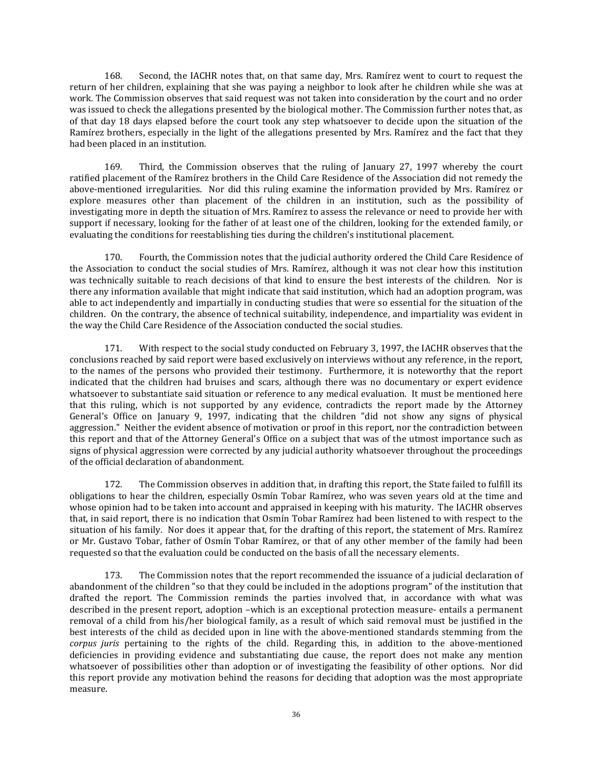168. Second, the IACHR notes that, on that same day, Mrs. Ramírez went to court to request the return of her children, explaining that she was paying a neighbor to look after he children while she was at work. The Commission observes that said request was not taken into consideration by the court and no order was issued to check the allegations presented by the biological mother. The Commission further notes that, as of that day 18 days elapsed before the court took any step whatsoever to decide upon the situation of the Ramírez brothers, especially in the light of the allegations presented by Mrs. Ramírez and the fact that they had been placed in an institution.

169. Third, the Commission observes that the ruling of January 27, 1997 whereby the court ratified placement of the Ramírez brothers in the Child Care Residence of the Association did not remedy the above-mentioned irregularities. Nor did this ruling examine the information provided by Mrs. Ramírez or explore measures other than placement of the children in an institution, such as the possibility of investigating more in depth the situation of Mrs. Ramírez to assess the relevance or need to provide her with support if necessary, looking for the father of at least one of the children, looking for the extended family, or evaluating the conditions for reestablishing ties during the children's institutional placement.

170. Fourth, the Commission notes that the judicial authority ordered the Child Care Residence of the Association to conduct the social studies of Mrs. Ramírez, although it was not clear how this institution was technically suitable to reach decisions of that kind to ensure the best interests of the children. Nor is there any information available that might indicate that said institution, which had an adoption program, was able to act independently and impartially in conducting studies that were so essential for the situation of the children. On the contrary, the absence of technical suitability, independence, and impartiality was evident in the way the Child Care Residence of the Association conducted the social studies.

171. With respect to the social study conducted on February 3, 1997, the IACHR observes that the conclusions reached by said report were based exclusively on interviews without any reference, in the report, to the names of the persons who provided their testimony. Furthermore, it is noteworthy that the report indicated that the children had bruises and scars, although there was no documentary or expert evidence whatsoever to substantiate said situation or reference to any medical evaluation. It must be mentioned here that this ruling, which is not supported by any evidence, contradicts the report made by the Attorney General's Office on January 9, 1997, indicating that the children "did not show any signs of physical aggression." Neither the evident absence of motivation or proof in this report, nor the contradiction between this report and that of the Attorney General's Office on a subject that was of the utmost importance such as signs of physical aggression were corrected by any judicial authority whatsoever throughout the proceedings of the official declaration of abandonment.

172. The Commission observes in addition that, in drafting this report, the State failed to fulfill its obligations to hear the children, especially Osmín Tobar Ramírez, who was seven years old at the time and whose opinion had to be taken into account and appraised in keeping with his maturity. The IACHR observes that, in said report, there is no indication that Osmín Tobar Ramírez had been listened to with respect to the situation of his family. Nor does it appear that, for the drafting of this report, the statement of Mrs. Ramírez or Mr. Gustavo Tobar, father of Osmín Tobar Ramírez, or that of any other member of the family had been requested so that the evaluation could be conducted on the basis of all the necessary elements.

173. The Commission notes that the report recommended the issuance of a judicial declaration of abandonment of the children "so that they could be included in the adoptions program" of the institution that drafted the report. The Commission reminds the parties involved that, in accordance with what was described in the present report, adoption –which is an exceptional protection measure- entails a permanent removal of a child from his/her biological family, as a result of which said removal must be justified in the best interests of the child as decided upon in line with the above-mentioned standards stemming from the *corpus juris* pertaining to the rights of the child. Regarding this, in addition to the above-mentioned deficiencies in providing evidence and substantiating due cause, the report does not make any mention whatsoever of possibilities other than adoption or of investigating the feasibility of other options. Nor did this report provide any motivation behind the reasons for deciding that adoption was the most appropriate measure.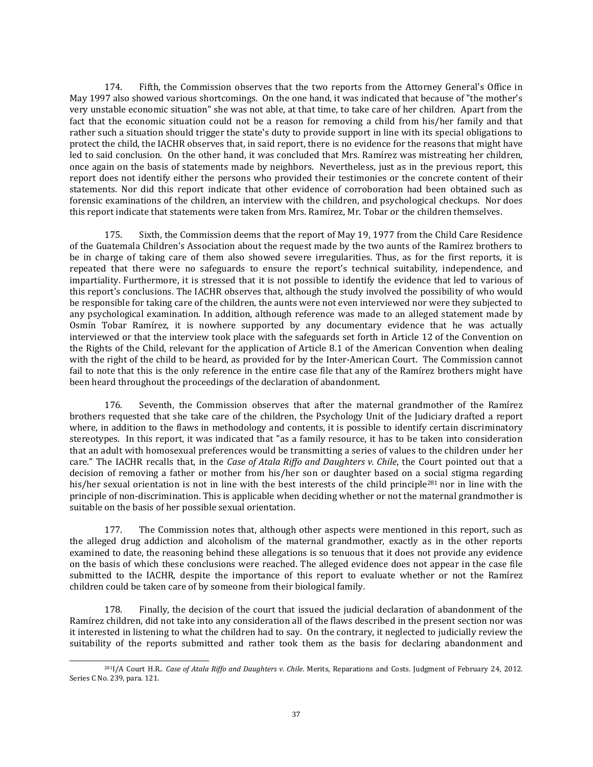174. Fifth, the Commission observes that the two reports from the Attorney General's Office in May 1997 also showed various shortcomings. On the one hand, it was indicated that because of "the mother's very unstable economic situation" she was not able, at that time, to take care of her children. Apart from the fact that the economic situation could not be a reason for removing a child from his/her family and that rather such a situation should trigger the state's duty to provide support in line with its special obligations to protect the child, the IACHR observes that, in said report, there is no evidence for the reasons that might have led to said conclusion. On the other hand, it was concluded that Mrs. Ramírez was mistreating her children, once again on the basis of statements made by neighbors. Nevertheless, just as in the previous report, this report does not identify either the persons who provided their testimonies or the concrete content of their statements. Nor did this report indicate that other evidence of corroboration had been obtained such as forensic examinations of the children, an interview with the children, and psychological checkups. Nor does this report indicate that statements were taken from Mrs. Ramírez, Mr. Tobar or the children themselves.

175. Sixth, the Commission deems that the report of May 19, 1977 from the Child Care Residence of the Guatemala Children's Association about the request made by the two aunts of the Ramírez brothers to be in charge of taking care of them also showed severe irregularities. Thus, as for the first reports, it is repeated that there were no safeguards to ensure the report's technical suitability, independence, and impartiality. Furthermore, it is stressed that it is not possible to identify the evidence that led to various of this report's conclusions. The IACHR observes that, although the study involved the possibility of who would be responsible for taking care of the children, the aunts were not even interviewed nor were they subjected to any psychological examination. In addition, although reference was made to an alleged statement made by Osmín Tobar Ramírez, it is nowhere supported by any documentary evidence that he was actually interviewed or that the interview took place with the safeguards set forth in Article 12 of the Convention on the Rights of the Child, relevant for the application of Article 8.1 of the American Convention when dealing with the right of the child to be heard, as provided for by the Inter-American Court. The Commission cannot fail to note that this is the only reference in the entire case file that any of the Ramírez brothers might have been heard throughout the proceedings of the declaration of abandonment.

176. Seventh, the Commission observes that after the maternal grandmother of the Ramírez brothers requested that she take care of the children, the Psychology Unit of the Judiciary drafted a report where, in addition to the flaws in methodology and contents, it is possible to identify certain discriminatory stereotypes. In this report, it was indicated that "as a family resource, it has to be taken into consideration that an adult with homosexual preferences would be transmitting a series of values to the children under her care." The IACHR recalls that, in the *Case of Atala Riffo and Daughters v. Chile*, the Court pointed out that a decision of removing a father or mother from his/her son or daughter based on a social stigma regarding his/her sexual orientation is not in line with the best interests of the child principle<sup>281</sup> nor in line with the principle of non-discrimination. This is applicable when deciding whether or not the maternal grandmother is suitable on the basis of her possible sexual orientation.

177. The Commission notes that, although other aspects were mentioned in this report, such as the alleged drug addiction and alcoholism of the maternal grandmother, exactly as in the other reports examined to date, the reasoning behind these allegations is so tenuous that it does not provide any evidence on the basis of which these conclusions were reached. The alleged evidence does not appear in the case file submitted to the IACHR, despite the importance of this report to evaluate whether or not the Ramírez children could be taken care of by someone from their biological family.

178. Finally, the decision of the court that issued the judicial declaration of abandonment of the Ramírez children, did not take into any consideration all of the flaws described in the present section nor was it interested in listening to what the children had to say. On the contrary, it neglected to judicially review the suitability of the reports submitted and rather took them as the basis for declaring abandonment and

 $\overline{\phantom{a}}$ 

<sup>281</sup>I/A Court H.R.. *Case of Atala Riffo and Daughters v. Chile*. Merits, Reparations and Costs. Judgment of February 24, 2012. Series C No. 239, para. 121.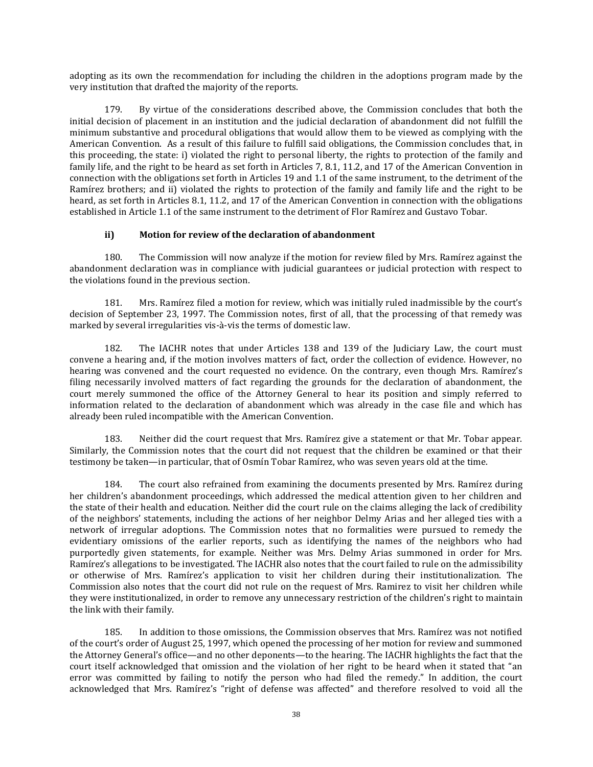adopting as its own the recommendation for including the children in the adoptions program made by the very institution that drafted the majority of the reports.

179. By virtue of the considerations described above, the Commission concludes that both the initial decision of placement in an institution and the judicial declaration of abandonment did not fulfill the minimum substantive and procedural obligations that would allow them to be viewed as complying with the American Convention. As a result of this failure to fulfill said obligations, the Commission concludes that, in this proceeding, the state: i) violated the right to personal liberty, the rights to protection of the family and family life, and the right to be heard as set forth in Articles 7, 8.1, 11.2, and 17 of the American Convention in connection with the obligations set forth in Articles 19 and 1.1 of the same instrument, to the detriment of the Ramírez brothers; and ii) violated the rights to protection of the family and family life and the right to be heard, as set forth in Articles 8.1, 11.2, and 17 of the American Convention in connection with the obligations established in Article 1.1 of the same instrument to the detriment of Flor Ramírez and Gustavo Tobar.

## **ii) Motion for review of the declaration of abandonment**

180. The Commission will now analyze if the motion for review filed by Mrs. Ramírez against the abandonment declaration was in compliance with judicial guarantees or judicial protection with respect to the violations found in the previous section.

181. Mrs. Ramírez filed a motion for review, which was initially ruled inadmissible by the court's decision of September 23, 1997. The Commission notes, first of all, that the processing of that remedy was marked by several irregularities vis-à-vis the terms of domestic law.

182. The IACHR notes that under Articles 138 and 139 of the Judiciary Law, the court must convene a hearing and, if the motion involves matters of fact, order the collection of evidence. However, no hearing was convened and the court requested no evidence. On the contrary, even though Mrs. Ramírez's filing necessarily involved matters of fact regarding the grounds for the declaration of abandonment, the court merely summoned the office of the Attorney General to hear its position and simply referred to information related to the declaration of abandonment which was already in the case file and which has already been ruled incompatible with the American Convention.

183. Neither did the court request that Mrs. Ramírez give a statement or that Mr. Tobar appear. Similarly, the Commission notes that the court did not request that the children be examined or that their testimony be taken—in particular, that of Osmín Tobar Ramírez, who was seven years old at the time.

184. The court also refrained from examining the documents presented by Mrs. Ramírez during her children's abandonment proceedings, which addressed the medical attention given to her children and the state of their health and education. Neither did the court rule on the claims alleging the lack of credibility of the neighbors' statements, including the actions of her neighbor Delmy Arias and her alleged ties with a network of irregular adoptions. The Commission notes that no formalities were pursued to remedy the evidentiary omissions of the earlier reports, such as identifying the names of the neighbors who had purportedly given statements, for example. Neither was Mrs. Delmy Arias summoned in order for Mrs. Ramírez's allegations to be investigated. The IACHR also notes that the court failed to rule on the admissibility or otherwise of Mrs. Ramírez's application to visit her children during their institutionalization. The Commission also notes that the court did not rule on the request of Mrs. Ramirez to visit her children while they were institutionalized, in order to remove any unnecessary restriction of the children's right to maintain the link with their family.

185. In addition to those omissions, the Commission observes that Mrs. Ramírez was not notified of the court's order of August 25, 1997, which opened the processing of her motion for review and summoned the Attorney General's office—and no other deponents—to the hearing. The IACHR highlights the fact that the court itself acknowledged that omission and the violation of her right to be heard when it stated that "an error was committed by failing to notify the person who had filed the remedy." In addition, the court acknowledged that Mrs. Ramírez's "right of defense was affected" and therefore resolved to void all the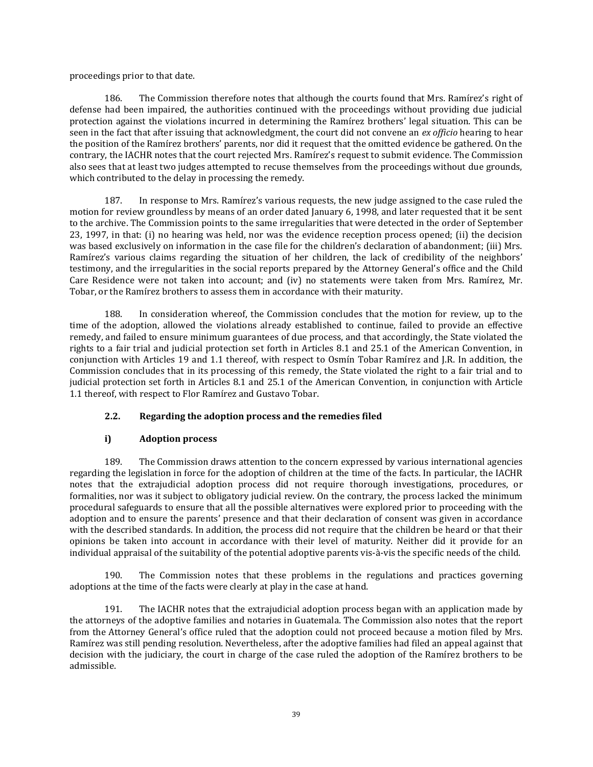proceedings prior to that date.

186. The Commission therefore notes that although the courts found that Mrs. Ramírez's right of defense had been impaired, the authorities continued with the proceedings without providing due judicial protection against the violations incurred in determining the Ramírez brothers' legal situation. This can be seen in the fact that after issuing that acknowledgment, the court did not convene an *ex officio* hearing to hear the position of the Ramírez brothers' parents, nor did it request that the omitted evidence be gathered. On the contrary, the IACHR notes that the court rejected Mrs. Ramírez's request to submit evidence. The Commission also sees that at least two judges attempted to recuse themselves from the proceedings without due grounds, which contributed to the delay in processing the remedy.

187. In response to Mrs. Ramírez's various requests, the new judge assigned to the case ruled the motion for review groundless by means of an order dated January 6, 1998, and later requested that it be sent to the archive. The Commission points to the same irregularities that were detected in the order of September 23, 1997, in that: (i) no hearing was held, nor was the evidence reception process opened; (ii) the decision was based exclusively on information in the case file for the children's declaration of abandonment; (iii) Mrs. Ramírez's various claims regarding the situation of her children, the lack of credibility of the neighbors' testimony, and the irregularities in the social reports prepared by the Attorney General's office and the Child Care Residence were not taken into account; and (iv) no statements were taken from Mrs. Ramírez, Mr. Tobar, or the Ramírez brothers to assess them in accordance with their maturity.

188. In consideration whereof, the Commission concludes that the motion for review, up to the time of the adoption, allowed the violations already established to continue, failed to provide an effective remedy, and failed to ensure minimum guarantees of due process, and that accordingly, the State violated the rights to a fair trial and judicial protection set forth in Articles 8.1 and 25.1 of the American Convention, in conjunction with Articles 19 and 1.1 thereof, with respect to Osmín Tobar Ramírez and J.R. In addition, the Commission concludes that in its processing of this remedy, the State violated the right to a fair trial and to judicial protection set forth in Articles 8.1 and 25.1 of the American Convention, in conjunction with Article 1.1 thereof, with respect to Flor Ramírez and Gustavo Tobar.

# **2.2. Regarding the adoption process and the remedies filed**

## **i) Adoption process**

189. The Commission draws attention to the concern expressed by various international agencies regarding the legislation in force for the adoption of children at the time of the facts. In particular, the IACHR notes that the extrajudicial adoption process did not require thorough investigations, procedures, or formalities, nor was it subject to obligatory judicial review. On the contrary, the process lacked the minimum procedural safeguards to ensure that all the possible alternatives were explored prior to proceeding with the adoption and to ensure the parents' presence and that their declaration of consent was given in accordance with the described standards. In addition, the process did not require that the children be heard or that their opinions be taken into account in accordance with their level of maturity. Neither did it provide for an individual appraisal of the suitability of the potential adoptive parents vis-à-vis the specific needs of the child.

190. The Commission notes that these problems in the regulations and practices governing adoptions at the time of the facts were clearly at play in the case at hand.

191. The IACHR notes that the extrajudicial adoption process began with an application made by the attorneys of the adoptive families and notaries in Guatemala. The Commission also notes that the report from the Attorney General's office ruled that the adoption could not proceed because a motion filed by Mrs. Ramírez was still pending resolution. Nevertheless, after the adoptive families had filed an appeal against that decision with the judiciary, the court in charge of the case ruled the adoption of the Ramírez brothers to be admissible.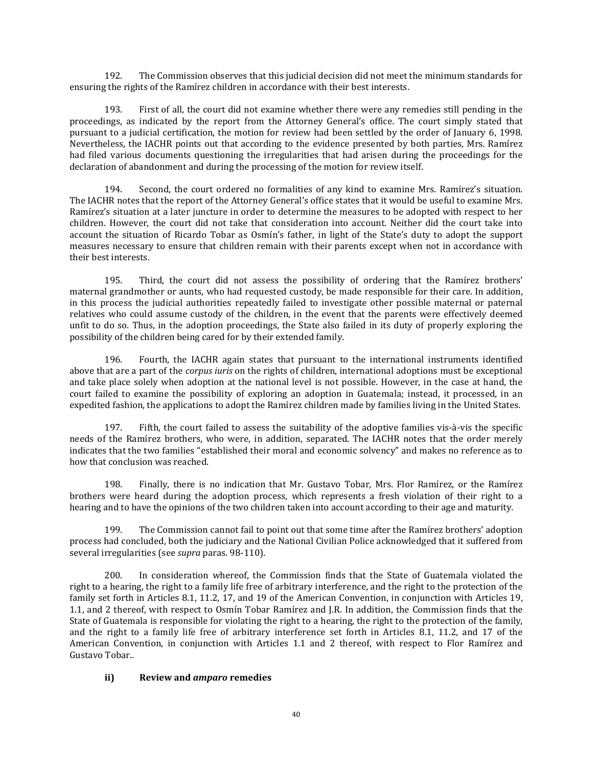192. The Commission observes that this judicial decision did not meet the minimum standards for ensuring the rights of the Ramírez children in accordance with their best interests.

193. First of all, the court did not examine whether there were any remedies still pending in the proceedings, as indicated by the report from the Attorney General's office. The court simply stated that pursuant to a judicial certification, the motion for review had been settled by the order of January 6, 1998. Nevertheless, the IACHR points out that according to the evidence presented by both parties, Mrs. Ramírez had filed various documents questioning the irregularities that had arisen during the proceedings for the declaration of abandonment and during the processing of the motion for review itself.

194. Second, the court ordered no formalities of any kind to examine Mrs. Ramírez's situation. The IACHR notes that the report of the Attorney General's office states that it would be useful to examine Mrs. Ramírez's situation at a later juncture in order to determine the measures to be adopted with respect to her children. However, the court did not take that consideration into account. Neither did the court take into account the situation of Ricardo Tobar as Osmín's father, in light of the State's duty to adopt the support measures necessary to ensure that children remain with their parents except when not in accordance with their best interests.

195. Third, the court did not assess the possibility of ordering that the Ramírez brothers' maternal grandmother or aunts, who had requested custody, be made responsible for their care. In addition, in this process the judicial authorities repeatedly failed to investigate other possible maternal or paternal relatives who could assume custody of the children, in the event that the parents were effectively deemed unfit to do so. Thus, in the adoption proceedings, the State also failed in its duty of properly exploring the possibility of the children being cared for by their extended family.

196. Fourth, the IACHR again states that pursuant to the international instruments identified above that are a part of the *corpus iuris* on the rights of children, international adoptions must be exceptional and take place solely when adoption at the national level is not possible. However, in the case at hand, the court failed to examine the possibility of exploring an adoption in Guatemala; instead, it processed, in an expedited fashion, the applications to adopt the Ramírez children made by families living in the United States.

197. Fifth, the court failed to assess the suitability of the adoptive families vis-à-vis the specific needs of the Ramírez brothers, who were, in addition, separated. The IACHR notes that the order merely indicates that the two families "established their moral and economic solvency" and makes no reference as to how that conclusion was reached.

198. Finally, there is no indication that Mr. Gustavo Tobar, Mrs. Flor Ramírez, or the Ramírez brothers were heard during the adoption process, which represents a fresh violation of their right to a hearing and to have the opinions of the two children taken into account according to their age and maturity.

199. The Commission cannot fail to point out that some time after the Ramírez brothers' adoption process had concluded, both the judiciary and the National Civilian Police acknowledged that it suffered from several irregularities (see *supra* paras. 98-110).

200. In consideration whereof, the Commission finds that the State of Guatemala violated the right to a hearing, the right to a family life free of arbitrary interference, and the right to the protection of the family set forth in Articles 8.1, 11.2, 17, and 19 of the American Convention, in conjunction with Articles 19, 1.1, and 2 thereof, with respect to Osmín Tobar Ramírez and J.R. In addition, the Commission finds that the State of Guatemala is responsible for violating the right to a hearing, the right to the protection of the family, and the right to a family life free of arbitrary interference set forth in Articles 8.1, 11.2, and 17 of the American Convention, in conjunction with Articles 1.1 and 2 thereof, with respect to Flor Ramírez and Gustavo Tobar..

## **ii) Review and** *amparo* **remedies**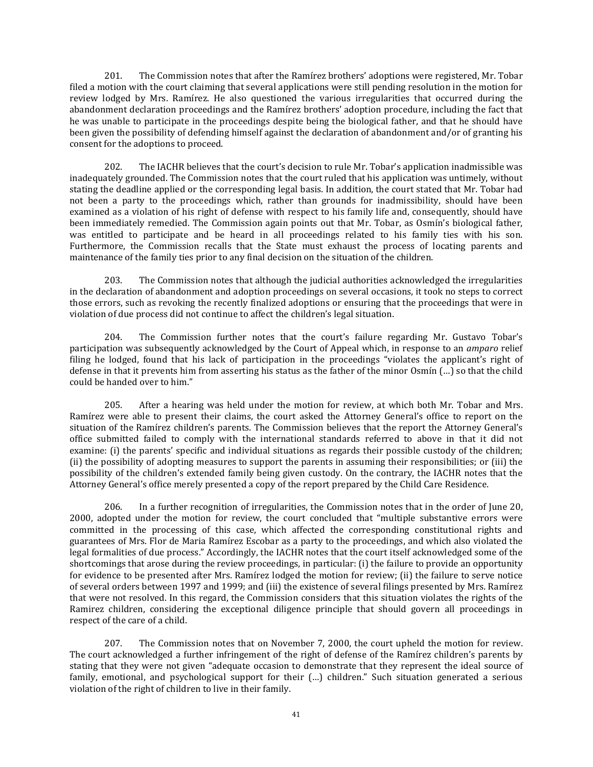201. The Commission notes that after the Ramírez brothers' adoptions were registered, Mr. Tobar filed a motion with the court claiming that several applications were still pending resolution in the motion for review lodged by Mrs. Ramírez. He also questioned the various irregularities that occurred during the abandonment declaration proceedings and the Ramírez brothers' adoption procedure, including the fact that he was unable to participate in the proceedings despite being the biological father, and that he should have been given the possibility of defending himself against the declaration of abandonment and/or of granting his consent for the adoptions to proceed.

202. The IACHR believes that the court's decision to rule Mr. Tobar's application inadmissible was inadequately grounded. The Commission notes that the court ruled that his application was untimely, without stating the deadline applied or the corresponding legal basis. In addition, the court stated that Mr. Tobar had not been a party to the proceedings which, rather than grounds for inadmissibility, should have been examined as a violation of his right of defense with respect to his family life and, consequently, should have been immediately remedied. The Commission again points out that Mr. Tobar, as Osmín's biological father, was entitled to participate and be heard in all proceedings related to his family ties with his son. Furthermore, the Commission recalls that the State must exhaust the process of locating parents and maintenance of the family ties prior to any final decision on the situation of the children.

203. The Commission notes that although the judicial authorities acknowledged the irregularities in the declaration of abandonment and adoption proceedings on several occasions, it took no steps to correct those errors, such as revoking the recently finalized adoptions or ensuring that the proceedings that were in violation of due process did not continue to affect the children's legal situation.

204. The Commission further notes that the court's failure regarding Mr. Gustavo Tobar's participation was subsequently acknowledged by the Court of Appeal which, in response to an *amparo* relief filing he lodged, found that his lack of participation in the proceedings "violates the applicant's right of defense in that it prevents him from asserting his status as the father of the minor Osmín (…) so that the child could be handed over to him."

205. After a hearing was held under the motion for review, at which both Mr. Tobar and Mrs. Ramírez were able to present their claims, the court asked the Attorney General's office to report on the situation of the Ramírez children's parents. The Commission believes that the report the Attorney General's office submitted failed to comply with the international standards referred to above in that it did not examine: (i) the parents' specific and individual situations as regards their possible custody of the children; (ii) the possibility of adopting measures to support the parents in assuming their responsibilities; or (iii) the possibility of the children's extended family being given custody. On the contrary, the IACHR notes that the Attorney General's office merely presented a copy of the report prepared by the Child Care Residence.

206. In a further recognition of irregularities, the Commission notes that in the order of June 20, 2000, adopted under the motion for review, the court concluded that "multiple substantive errors were committed in the processing of this case, which affected the corresponding constitutional rights and guarantees of Mrs. Flor de Maria Ramírez Escobar as a party to the proceedings, and which also violated the legal formalities of due process." Accordingly, the IACHR notes that the court itself acknowledged some of the shortcomings that arose during the review proceedings, in particular: (i) the failure to provide an opportunity for evidence to be presented after Mrs. Ramírez lodged the motion for review; (ii) the failure to serve notice of several orders between 1997 and 1999; and (iii) the existence of several filings presented by Mrs. Ramírez that were not resolved. In this regard, the Commission considers that this situation violates the rights of the Ramirez children, considering the exceptional diligence principle that should govern all proceedings in respect of the care of a child.

207. The Commission notes that on November 7, 2000, the court upheld the motion for review. The court acknowledged a further infringement of the right of defense of the Ramírez children's parents by stating that they were not given "adequate occasion to demonstrate that they represent the ideal source of family, emotional, and psychological support for their (…) children." Such situation generated a serious violation of the right of children to live in their family.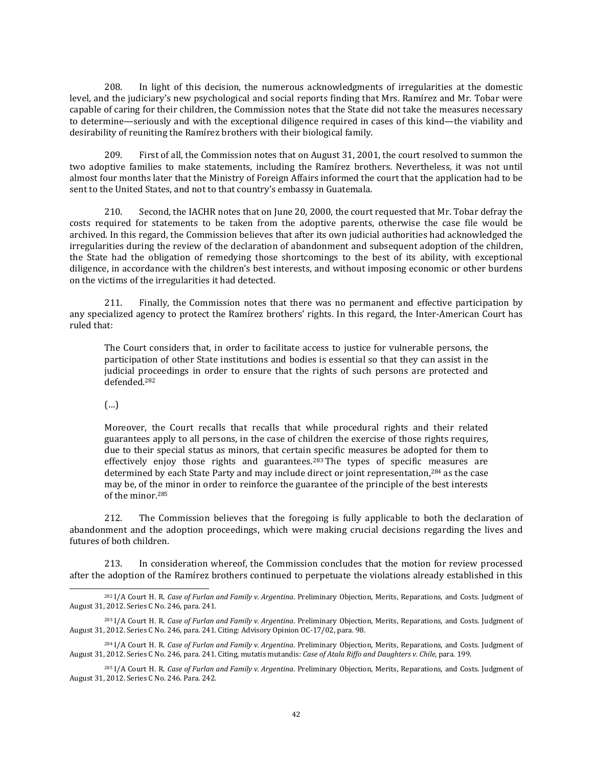208. In light of this decision, the numerous acknowledgments of irregularities at the domestic level, and the judiciary's new psychological and social reports finding that Mrs. Ramírez and Mr. Tobar were capable of caring for their children, the Commission notes that the State did not take the measures necessary to determine—seriously and with the exceptional diligence required in cases of this kind—the viability and desirability of reuniting the Ramírez brothers with their biological family.

209. First of all, the Commission notes that on August 31, 2001, the court resolved to summon the two adoptive families to make statements, including the Ramírez brothers. Nevertheless, it was not until almost four months later that the Ministry of Foreign Affairs informed the court that the application had to be sent to the United States, and not to that country's embassy in Guatemala.

210. Second, the IACHR notes that on June 20, 2000, the court requested that Mr. Tobar defray the costs required for statements to be taken from the adoptive parents, otherwise the case file would be archived. In this regard, the Commission believes that after its own judicial authorities had acknowledged the irregularities during the review of the declaration of abandonment and subsequent adoption of the children, the State had the obligation of remedying those shortcomings to the best of its ability, with exceptional diligence, in accordance with the children's best interests, and without imposing economic or other burdens on the victims of the irregularities it had detected.

211. Finally, the Commission notes that there was no permanent and effective participation by any specialized agency to protect the Ramírez brothers' rights. In this regard, the Inter-American Court has ruled that:

The Court considers that, in order to facilitate access to justice for vulnerable persons, the participation of other State institutions and bodies is essential so that they can assist in the judicial proceedings in order to ensure that the rights of such persons are protected and defended.<sup>282</sup>

(…)

 $\overline{\phantom{a}}$ 

Moreover, the Court recalls that recalls that while procedural rights and their related guarantees apply to all persons, in the case of children the exercise of those rights requires, due to their special status as minors, that certain specific measures be adopted for them to effectively enjoy those rights and guarantees.<sup>283</sup> The types of specific measures are determined by each State Party and may include direct or joint representation,<sup>284</sup> as the case may be, of the minor in order to reinforce the guarantee of the principle of the best interests of the minor.<sup>285</sup>

212. The Commission believes that the foregoing is fully applicable to both the declaration of abandonment and the adoption proceedings, which were making crucial decisions regarding the lives and futures of both children.

213. In consideration whereof, the Commission concludes that the motion for review processed after the adoption of the Ramírez brothers continued to perpetuate the violations already established in this

<sup>282</sup> I/A Court H. R. *Case of Furlan and Family v. Argentina*. Preliminary Objection, Merits, Reparations, and Costs. Judgment of August 31, 2012. Series C No. 246, para. 241.

<sup>283</sup> I/A Court H. R. *Case of Furlan and Family v. Argentina*. Preliminary Objection, Merits, Reparations, and Costs. Judgment of August 31, 2012. Series C No. 246, para. 241. Citing: Advisory Opinion OC-17/02, para. 98.

<sup>284</sup> I/A Court H. R. *Case of Furlan and Family v. Argentina*. Preliminary Objection, Merits, Reparations, and Costs. Judgment of August 31, 2012. Series C No. 246, para. 241. Citing, mutatis mutandis: *Case of Atala Riffo and Daughters v. Chile*, para. 199.

<sup>285</sup> I/A Court H. R. *Case of Furlan and Family v. Argentina*. Preliminary Objection, Merits, Reparations, and Costs. Judgment of August 31, 2012. Series C No. 246. Para. 242.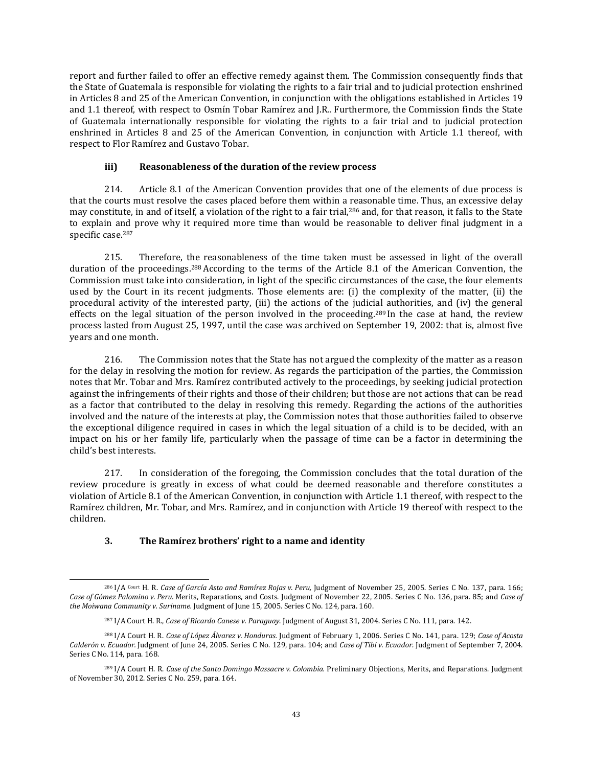report and further failed to offer an effective remedy against them. The Commission consequently finds that the State of Guatemala is responsible for violating the rights to a fair trial and to judicial protection enshrined in Articles 8 and 25 of the American Convention, in conjunction with the obligations established in Articles 19 and 1.1 thereof, with respect to Osmín Tobar Ramírez and J.R.. Furthermore, the Commission finds the State of Guatemala internationally responsible for violating the rights to a fair trial and to judicial protection enshrined in Articles 8 and 25 of the American Convention, in conjunction with Article 1.1 thereof, with respect to Flor Ramírez and Gustavo Tobar.

### **iii) Reasonableness of the duration of the review process**

214. Article 8.1 of the American Convention provides that one of the elements of due process is that the courts must resolve the cases placed before them within a reasonable time. Thus, an excessive delay may constitute, in and of itself, a violation of the right to a fair trial,<sup>286</sup> and, for that reason, it falls to the State to explain and prove why it required more time than would be reasonable to deliver final judgment in a specific case.<sup>287</sup>

215. Therefore, the reasonableness of the time taken must be assessed in light of the overall duration of the proceedings.288According to the terms of the Article 8.1 of the American Convention, the Commission must take into consideration, in light of the specific circumstances of the case, the four elements used by the Court in its recent judgments. Those elements are: (i) the complexity of the matter, (ii) the procedural activity of the interested party, (iii) the actions of the judicial authorities, and (iv) the general effects on the legal situation of the person involved in the proceeding.<sup>289</sup> In the case at hand, the review process lasted from August 25, 1997, until the case was archived on September 19, 2002: that is, almost five years and one month.

216. The Commission notes that the State has not argued the complexity of the matter as a reason for the delay in resolving the motion for review. As regards the participation of the parties, the Commission notes that Mr. Tobar and Mrs. Ramírez contributed actively to the proceedings, by seeking judicial protection against the infringements of their rights and those of their children; but those are not actions that can be read as a factor that contributed to the delay in resolving this remedy. Regarding the actions of the authorities involved and the nature of the interests at play, the Commission notes that those authorities failed to observe the exceptional diligence required in cases in which the legal situation of a child is to be decided, with an impact on his or her family life, particularly when the passage of time can be a factor in determining the child's best interests.

217. In consideration of the foregoing, the Commission concludes that the total duration of the review procedure is greatly in excess of what could be deemed reasonable and therefore constitutes a violation of Article 8.1 of the American Convention, in conjunction with Article 1.1 thereof, with respect to the Ramírez children, Mr. Tobar, and Mrs. Ramírez, and in conjunction with Article 19 thereof with respect to the children.

## **3. The Ramírez brothers' right to a name and identity**

 $\overline{\phantom{a}}$ 

<sup>286</sup> I/A Court H. R. *Case of García Asto and Ramírez Rojas v. Peru,* Judgment of November 25, 2005. Series C No. 137, para. 166; *Case of Gómez Palomino v. Peru.* Merits, Reparations, and Costs. Judgment of November 22, 2005. Series C No. 136, para. 85; and *Case of the Moiwana Community v. Suriname.* Judgment of June 15, 2005. Series C No. 124, para. 160.

<sup>287</sup> I/A Court H. R., *Case of Ricardo Canese v. Paraguay*. Judgment of August 31, 2004. Series C No. 111, para. 142.

<sup>288</sup> I/A Court H. R. *Case of López Álvarez v. Honduras.* Judgment of February 1, 2006. Series C No. 141, para. 129; *Case of Acosta Calderón v. Ecuador.* Judgment of June 24, 2005. Series C No. 129, para. 104; and *Case of Tibi v. Ecuador.* Judgment of September 7, 2004. Series C No. 114, para. 168.

<sup>289</sup> I/A Court H. R. *Case of the Santo Domingo Massacre v. Colombia.* Preliminary Objections, Merits, and Reparations. Judgment of November 30, 2012. Series C No. 259, para. 164.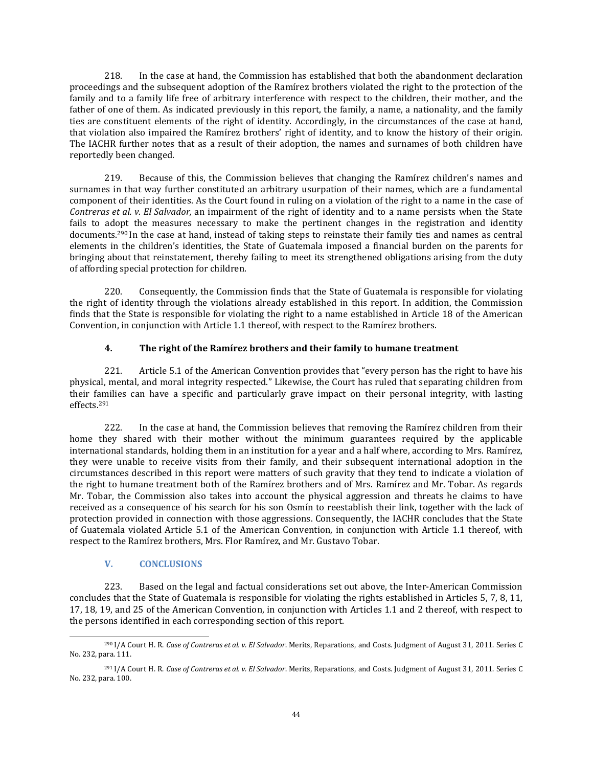218. In the case at hand, the Commission has established that both the abandonment declaration proceedings and the subsequent adoption of the Ramírez brothers violated the right to the protection of the family and to a family life free of arbitrary interference with respect to the children, their mother, and the father of one of them. As indicated previously in this report, the family, a name, a nationality, and the family ties are constituent elements of the right of identity. Accordingly, in the circumstances of the case at hand, that violation also impaired the Ramírez brothers' right of identity, and to know the history of their origin. The IACHR further notes that as a result of their adoption, the names and surnames of both children have reportedly been changed.

219. Because of this, the Commission believes that changing the Ramírez children's names and surnames in that way further constituted an arbitrary usurpation of their names, which are a fundamental component of their identities. As the Court found in ruling on a violation of the right to a name in the case of *Contreras et al. v. El Salvador,* an impairment of the right of identity and to a name persists when the State fails to adopt the measures necessary to make the pertinent changes in the registration and identity documents.<sup>290</sup> In the case at hand, instead of taking steps to reinstate their family ties and names as central elements in the children's identities, the State of Guatemala imposed a financial burden on the parents for bringing about that reinstatement, thereby failing to meet its strengthened obligations arising from the duty of affording special protection for children.

220. Consequently, the Commission finds that the State of Guatemala is responsible for violating the right of identity through the violations already established in this report. In addition, the Commission finds that the State is responsible for violating the right to a name established in Article 18 of the American Convention, in conjunction with Article 1.1 thereof, with respect to the Ramírez brothers.

# **4. The right of the Ramírez brothers and their family to humane treatment**

221. Article 5.1 of the American Convention provides that "every person has the right to have his physical, mental, and moral integrity respected." Likewise, the Court has ruled that separating children from their families can have a specific and particularly grave impact on their personal integrity, with lasting effects.<sup>291</sup>

222. In the case at hand, the Commission believes that removing the Ramírez children from their home they shared with their mother without the minimum guarantees required by the applicable international standards, holding them in an institution for a year and a half where, according to Mrs. Ramírez, they were unable to receive visits from their family, and their subsequent international adoption in the circumstances described in this report were matters of such gravity that they tend to indicate a violation of the right to humane treatment both of the Ramírez brothers and of Mrs. Ramírez and Mr. Tobar. As regards Mr. Tobar, the Commission also takes into account the physical aggression and threats he claims to have received as a consequence of his search for his son Osmín to reestablish their link, together with the lack of protection provided in connection with those aggressions. Consequently, the IACHR concludes that the State of Guatemala violated Article 5.1 of the American Convention, in conjunction with Article 1.1 thereof, with respect to the Ramírez brothers, Mrs. Flor Ramírez, and Mr. Gustavo Tobar.

## **V. CONCLUSIONS**

223. Based on the legal and factual considerations set out above, the Inter-American Commission concludes that the State of Guatemala is responsible for violating the rights established in Articles 5, 7, 8, 11, 17, 18, 19, and 25 of the American Convention, in conjunction with Articles 1.1 and 2 thereof, with respect to the persons identified in each corresponding section of this report.

 $\overline{\phantom{a}}$ <sup>290</sup> I/A Court H. R. *Case of Contreras et al. v. El Salvador*. Merits, Reparations, and Costs. Judgment of August 31, 2011. Series C No. 232, para. 111.

<sup>291</sup> I/A Court H. R. *Case of Contreras et al. v. El Salvador*. Merits, Reparations, and Costs. Judgment of August 31, 2011. Series C No. 232, para. 100.